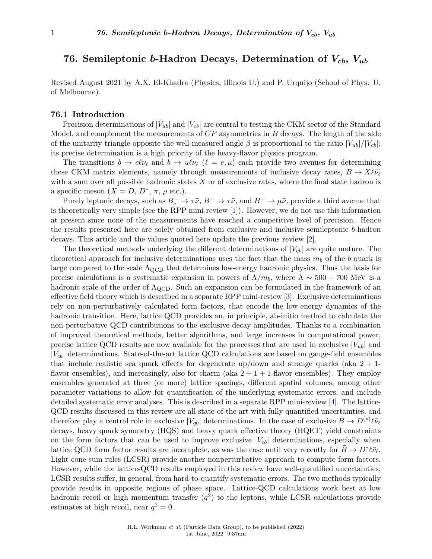## **76. Semileptonic** *b***-Hadron Decays, Determination of** *Vcb***,** *Vub*

Revised August 2021 by A.X. El-Khadra (Physics, Illinois U.) and P. Urquijo (School of Phys. U. of Melbourne).

#### **76.1 Introduction**

Precision determinations of  $|V_{ub}|$  and  $|V_{cb}|$  are central to testing the CKM sector of the Standard Model, and complement the measurements of *CP* asymmetries in *B* decays. The length of the side of the unitarity triangle opposite the well-measured angle  $\beta$  is proportional to the ratio  $|V_{ub}|/|V_{cb}|$ ; its precise determination is a high priority of the heavy-flavor physics program.

The transitions  $b \to c \ell \bar{\nu}_{\ell}$  and  $b \to u \ell \bar{\nu}_{\ell}$  ( $\ell = e, \mu$ ) each provide two avenues for determining these CKM matrix elements, namely through measurements of inclusive decay rates,  $B \to X \ell \bar{\nu}_{\ell}$ with a sum over all possible hadronic states *X* or of exclusive rates, where the final state hadron is a specific meson  $(X = D, D^*, \pi, \rho \text{ etc.}).$ 

Purely leptonic decays, such as  $B_c^- \to \tau \bar{\nu}$ ,  $B^- \to \tau \bar{\nu}$ , and  $B^- \to \mu \bar{\nu}$ , provide a third avenue that is theoretically very simple (see the RPP mini-review [\[1\]](#page-24-0)). However, we do not use this information at present since none of the measurements have reached a competitive level of precision. Hence the results presented here are solely obtained from exclusive and inclusive semileptonic *b*-hadron decays. This article and the values quoted here update the previous review [\[2\]](#page-24-1).

The theoretical methods underlying the different determinations of  $|V_{ab}|$  are quite mature. The theoretical approach for inclusive determinations uses the fact that the mass  $m_b$  of the *b* quark is large compared to the scale  $\Lambda_{\text{QCD}}$  that determines low-energy hadronic physics. Thus the basis for precise calculations is a systematic expansion in powers of  $\Lambda/m_b$ , where  $\Lambda \sim 500 - 700$  MeV is a hadronic scale of the order of  $\Lambda_{\text{QCD}}$ . Such an expansion can be formulated in the framework of an effective field theory which is described in a separate RPP mini-review [\[3\]](#page-24-2). Exclusive determinations rely on non-perturbatively calculated form factors, that encode the low-energy dynamics of the hadronic transition. Here, lattice QCD provides an, in principle, ab-initio method to calculate the non-perturbative QCD contributions to the exclusive decay amplitudes. Thanks to a combination of improved theoretical methods, better algorithms, and large increases in computational power, precise lattice QCD results are now available for the processes that are used in exclusive  $|V_{ub}|$  and |*Vcb*| determinations. State-of-the-art lattice QCD calculations are based on gauge-field ensembles that include realistic sea quark effects for degenerate up/down and strange quarks (aka  $2 + 1$ flavor ensembles), and increasingly, also for charm (aka  $2 + 1 + 1$ -flavor ensembles). They employ ensembles generated at three (or more) lattice spacings, different spatial volumes, among other parameter variations to allow for quantification of the underlying systematic errors, and include detailed systematic error analyses. This is described in a separate RPP mini-review [\[4\]](#page-24-3). The lattice-QCD results discussed in this review are all state-of-the art with fully quantified uncertainties, and therefore play a central role in exclusive  $|V_{qb}|$  determinations. In the case of exclusive  $\bar{B} \to D^{(*)} \ell \bar{\nu}_{\ell}$ decays, heavy quark symmetry (HQS) and heavy quark effective theory (HQET) yield constraints on the form factors that can be used to improve exclusive  $|V_{cb}|$  determinations, especially when lattice QCD form factor results are incomplete, as was the case until very recently for  $\bar{B} \to D^* \ell \bar{\nu}_{\ell}$ . Light-cone sum rules (LCSR) provide another nonperturbative approach to compute form factors. However, while the lattice-QCD results employed in this review have well-quantified uncertainties, LCSR results suffer, in general, from hard-to-quantify systematic errors. The two methods typically provide results in opposite regions of phase space. Lattice-QCD calculations work best at low hadronic recoil or high momentum transfer  $(q^2)$  to the leptons, while LCSR calculations provide estimates at high recoil, near  $q^2 = 0$ .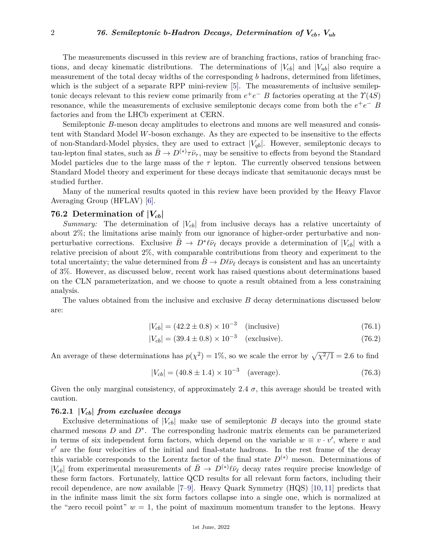The measurements discussed in this review are of branching fractions, ratios of branching fractions, and decay kinematic distributions. The determinations of  $|V_{cb}|$  and  $|V_{ub}|$  also require a measurement of the total decay widths of the corresponding *b* hadrons, determined from lifetimes, which is the subject of a separate RPP mini-review [\[5\]](#page-24-4). The measurements of inclusive semileptonic decays relevant to this review come primarily from  $e^+e^-$  *B* factories operating at the  $\Upsilon(4S)$ resonance, while the measurements of exclusive semileptonic decays come from both the  $e^+e^-$  *B* factories and from the LHCb experiment at CERN.

Semileptonic *B*-meson decay amplitudes to electrons and muons are well measured and consistent with Standard Model *W*-boson exchange. As they are expected to be insensitive to the effects of non-Standard-Model physics, they are used to extract  $|V_{ab}|$ . However, semileptonic decays to tau-lepton final states, such as  $\bar{B} \to D^{(*)}\tau\bar{\nu}_{\tau}$ , may be sensitive to effects from beyond the Standard Model particles due to the large mass of the  $\tau$  lepton. The currently observed tensions between Standard Model theory and experiment for these decays indicate that semitauonic decays must be studied further.

Many of the numerical results quoted in this review have been provided by the Heavy Flavor Averaging Group (HFLAV) [\[6\]](#page-25-0).

## **76.2 Determination of |***Vcb***|**

*Summary:* The determination of  $|V_{cb}|$  from inclusive decays has a relative uncertainty of about 2%; the limitations arise mainly from our ignorance of higher-order perturbative and nonperturbative corrections. Exclusive  $\bar{B} \to D^* \ell \bar{\nu}_{\ell}$  decays provide a determination of  $|V_{cb}|$  with a relative precision of about 2%, with comparable contributions from theory and experiment to the total uncertainty; the value determined from  $B \to D\ell\bar{\nu}_\ell$  decays is consistent and has an uncertainty of 3%. However, as discussed below, recent work has raised questions about determinations based on the CLN parameterization, and we choose to quote a result obtained from a less constraining analysis.

The values obtained from the inclusive and exclusive *B* decay determinations discussed below are:

$$
|V_{cb}| = (42.2 \pm 0.8) \times 10^{-3} \quad \text{(inclusive)}\tag{76.1}
$$

$$
|V_{cb}| = (39.4 \pm 0.8) \times 10^{-3} \quad \text{(exclusive)}.
$$
 (76.2)

An average of these determinations has  $p(\chi^2) = 1\%$ , so we scale the error by  $\sqrt{\chi^2/1} = 2.6$  to find

$$
|V_{cb}| = (40.8 \pm 1.4) \times 10^{-3} \quad \text{(average)}.
$$
 (76.3)

Given the only marginal consistency, of approximately 2.4  $\sigma$ , this average should be treated with caution.

#### **76.2.1 |***Vcb***|** *from exclusive decays*

Exclusive determinations of  $|V_{cb}|$  make use of semileptonic *B* decays into the ground state charmed mesons *D* and *D*<sup>∗</sup> . The corresponding hadronic matrix elements can be parameterized in terms of six independent form factors, which depend on the variable  $w \equiv v \cdot v'$ , where *v* and  $v'$  are the four velocities of the initial and final-state hadrons. In the rest frame of the decay this variable corresponds to the Lorentz factor of the final state  $D^{(*)}$  meson. Determinations of  $|V_{cb}|$  from experimental measurements of  $\bar{B} \to D^{(*)} \ell \bar{\nu}_{\ell}$  decay rates require precise knowledge of these form factors. Fortunately, lattice QCD results for all relevant form factors, including their recoil dependence, are now available [\[7–](#page-25-1)[9\]](#page-25-2). Heavy Quark Symmetry (HQS) [\[10,](#page-25-3) [11\]](#page-25-4) predicts that in the infinite mass limit the six form factors collapse into a single one, which is normalized at the "zero recoil point"  $w = 1$ , the point of maximum momentum transfer to the leptons. Heavy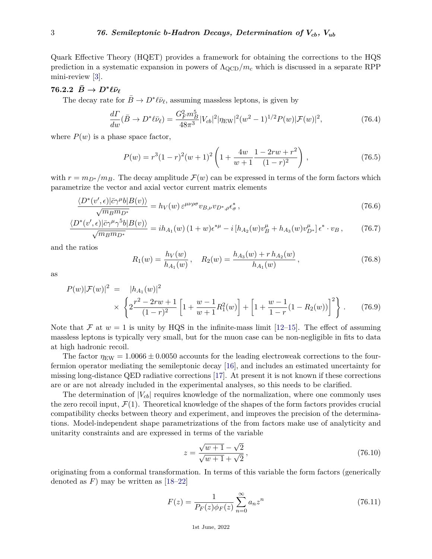Quark Effective Theory (HQET) provides a framework for obtaining the corrections to the HQS prediction in a systematic expansion in powers of ΛQCD*/m<sup>c</sup>* which is discussed in a separate RPP mini-review [\[3\]](#page-24-2).

## $76.2.2 \ \ \bar{B} \rightarrow D^* \ell \bar{\nu}_{\ell}$

The decay rate for  $\bar{B} \to D^* \ell \bar{\nu}_{\ell}$ , assuming massless leptons, is given by

$$
\frac{d\Gamma}{dw}(\bar{B} \to D^*\ell\bar{\nu}_\ell) = \frac{G_F^2 m_B^5}{48\pi^3} |V_{cb}|^2 |\eta_{\rm EW}|^2 (w^2 - 1)^{1/2} P(w) |\mathcal{F}(w)|^2, \tag{76.4}
$$

where  $P(w)$  is a phase space factor,

$$
P(w) = r^{3}(1-r)^{2}(w+1)^{2}\left(1+\frac{4w}{w+1}\frac{1-2rw+r^{2}}{(1-r)^{2}}\right),
$$
\n(76.5)

with  $r = m_{D^*}/m_B$ . The decay amplitude  $\mathcal{F}(w)$  can be expressed in terms of the form factors which parametrize the vector and axial vector current matrix elements

$$
\frac{\langle D^*(v',\epsilon)|\bar{c}\gamma^{\mu}b|B(v)\rangle}{\sqrt{m_Bm_{D^*}}} = h_V(w)\,\varepsilon^{\mu\nu\rho\sigma}v_{B,\nu}v_{D^*,\rho}\epsilon^*_{\sigma}\,,\tag{76.6}
$$

$$
\frac{\langle D^*(v',\epsilon)|\bar{c}\gamma^\mu\gamma^5 b|B(v)\rangle}{\sqrt{m_Bm_{D^*}}} = ih_{A_1}(w)\left(1+w\right)\epsilon^{*\mu} - i\left[h_{A_2}(w)v_B^\mu + h_{A_3}(w)v_{D^*}^\mu\right]\epsilon^*\cdot v_B\,,\tag{76.7}
$$

and the ratios

$$
R_1(w) = \frac{h_V(w)}{h_{A_1}(w)}, \quad R_2(w) = \frac{h_{A_3}(w) + r h_{A_2}(w)}{h_{A_1}(w)},
$$
\n(76.8)

as

$$
P(w)|\mathcal{F}(w)|^2 = |h_{A_1}(w)|^2
$$
  
 
$$
\times \left\{ 2\frac{r^2 - 2rw + 1}{(1-r)^2} \left[ 1 + \frac{w-1}{w+1} R_1^2(w) \right] + \left[ 1 + \frac{w-1}{1-r} (1 - R_2(w)) \right]^2 \right\}.
$$
 (76.9)

Note that F at  $w = 1$  is unity by HQS in the infinite-mass limit [\[12–](#page-25-5)[15\]](#page-25-6). The effect of assuming massless leptons is typically very small, but for the muon case can be non-negligible in fits to data at high hadronic recoil.

The factor  $\eta_{EW} = 1.0066 \pm 0.0050$  accounts for the leading electroweak corrections to the fourfermion operator mediating the semileptonic decay [\[16\]](#page-25-7), and includes an estimated uncertainty for missing long-distance QED radiative corrections [\[17\]](#page-25-8). At present it is not known if these corrections are or are not already included in the experimental analyses, so this needs to be clarified.

The determination of  $|V_{cb}|$  requires knowledge of the normalization, where one commonly uses the zero recoil input,  $\mathcal{F}(1)$ . Theoretical knowledge of the shapes of the form factors provides crucial compatibility checks between theory and experiment, and improves the precision of the determinations. Model-independent shape parametrizations of the from factors make use of analyticity and unitarity constraints and are expressed in terms of the variable

$$
z = \frac{\sqrt{w+1} - \sqrt{2}}{\sqrt{w+1} + \sqrt{2}},
$$
\n(76.10)

originating from a conformal transformation. In terms of this variable the form factors (generically denoted as  $F$ ) may be written as  $[18-22]$  $[18-22]$ 

$$
F(z) = \frac{1}{P_F(z)\phi_F(z)} \sum_{n=0}^{\infty} a_n z^n
$$
 (76.11)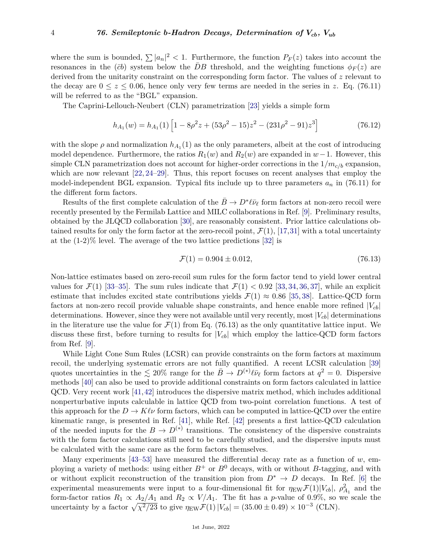where the sum is bounded,  $\sum |a_n|^2 < 1$ . Furthermore, the function  $P_F(z)$  takes into account the resonances in the  $(\bar{c}b)$  system below the *DB* threshold, and the weighting functions  $\phi_F(z)$  are derived from the unitarity constraint on the corresponding form factor. The values of *z* relevant to the decay are  $0 \le z \le 0.06$ , hence only very few terms are needed in the series in *z*. Eq. (76.11) will be referred to as the "BGL" expansion.

The Caprini-Lellouch-Neubert (CLN) parametrization [\[23\]](#page-25-11) yields a simple form

$$
h_{A_1}(w) = h_{A_1}(1) \left[ 1 - 8\rho^2 z + (53\rho^2 - 15)z^2 - (231\rho^2 - 91)z^3 \right]
$$
 (76.12)

with the slope  $\rho$  and normalization  $h_{A_1}(1)$  as the only parameters, albeit at the cost of introducing model dependence. Furthermore, the ratios  $R_1(w)$  and  $R_2(w)$  are expanded in  $w-1$ . However, this simple CLN parametrization does not account for higher-order corrections in the  $1/m_{c/b}$  expansion, which are now relevant  $[22, 24-29]$  $[22, 24-29]$  $[22, 24-29]$ . Thus, this report focuses on recent analyses that employ the model-independent BGL expansion. Typical fits include up to three parameters  $a_n$  in (76.11) for the different form factors.

Results of the first complete calculation of the  $\bar{B} \to D^* \ell \bar{\nu}_{\ell}$  form factors at non-zero recoil were recently presented by the Fermilab Lattice and MILC collaborations in Ref. [\[9\]](#page-25-2). Preliminary results, obtained by the JLQCD collaboration [\[30\]](#page-25-14), are reasonably consistent. Prior lattice calculations obtained results for only the form factor at the zero-recoil point,  $\mathcal{F}(1)$ , [\[17,](#page-25-8)[31\]](#page-25-15) with a total uncertainty at the (1-2)% level. The average of the two lattice predictions [\[32\]](#page-25-16) is

$$
\mathcal{F}(1) = 0.904 \pm 0.012,\tag{76.13}
$$

Non-lattice estimates based on zero-recoil sum rules for the form factor tend to yield lower central values for  $\mathcal{F}(1)$  [\[33](#page-25-17)[–35\]](#page-25-18). The sum rules indicate that  $\mathcal{F}(1) < 0.92$  [\[33,](#page-25-17) [34,](#page-25-19) [36,](#page-26-0) [37\]](#page-26-1), while an explicit estimate that includes excited state contributions yields  $\mathcal{F}(1) \approx 0.86$  [\[35,](#page-25-18) [38\]](#page-26-2). Lattice-QCD form factors at non-zero recoil provide valuable shape constraints, and hence enable more refined  $|V_{cb}|$ determinations. However, since they were not available until very recently, most  $|V_{cb}|$  determinations in the literature use the value for  $\mathcal{F}(1)$  from Eq. (76.13) as the only quantitative lattice input. We discuss these first, before turning to results for  $|V_{cb}|$  which employ the lattice-QCD form factors from Ref. [\[9\]](#page-25-2).

While Light Cone Sum Rules (LCSR) can provide constraints on the form factors at maximum recoil, the underlying systematic errors are not fully quantified. A recent LCSR calculation [\[39\]](#page-26-3) quotes uncertainties in the  $\lesssim 20\%$  range for the  $\bar{B} \to D^{(*)} \ell \bar{\nu}_{\ell}$  form factors at  $q^2 = 0$ . Dispersive methods [\[40\]](#page-26-4) can also be used to provide additional constraints on form factors calculated in lattice QCD. Very recent work [\[41,](#page-26-5)[42\]](#page-26-6) introduces the dispersive matrix method, which includes additional nonperturbative inputs calculable in lattice QCD from two-point correlation functions. A test of this approach for the  $D \to K\ell\nu$  form factors, which can be computed in lattice-QCD over the entire kinematic range, is presented in Ref. [\[41\]](#page-26-5), while Ref. [\[42\]](#page-26-6) presents a first lattice-QCD calculation of the needed inputs for the  $B \to D^{(*)}$  transitions. The consistency of the dispersive constraints with the form factor calculations still need to be carefully studied, and the dispersive inputs must be calculated with the same care as the form factors themselves.

Many experiments  $[43-53]$  $[43-53]$  have measured the differential decay rate as a function of *w*, employing a variety of methods: using either  $B^+$  or  $B^0$  decays, with or without *B*-tagging, and with or without explicit reconstruction of the transition pion from  $D^* \to D$  decays. In Ref. [\[6\]](#page-25-0) the experimental measurements were input to a four-dimensional fit for  $\eta_{\text{EW}}\mathcal{F}(1)|V_{cb}|$ ,  $\rho_{A_1}^2$  and the form-factor ratios  $R_1 \propto A_2/A_1$  and  $R_2 \propto V/A_1$ . The fit has a *p*-value of 0.9%, so we scale the uncertainty by a factor  $\sqrt{\chi^2/23}$  to give  $\eta_{\text{EW}}\mathcal{F}(1)|V_{cb}| = (35.00 \pm 0.49) \times 10^{-3}$  (CLN).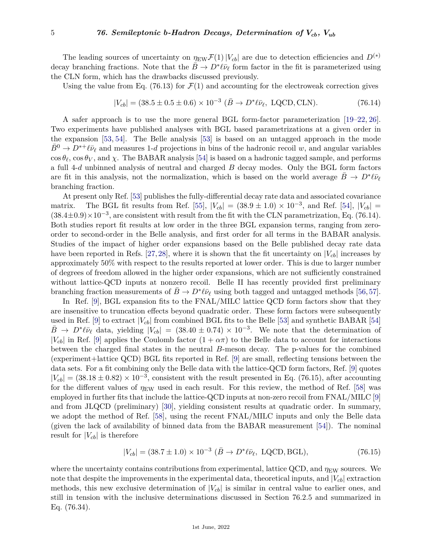The leading sources of uncertainty on  $\eta_{EW} \mathcal{F}(1)|V_{cb}|$  are due to detection efficiencies and  $D^{(*)}$ decay branching fractions. Note that the  $\bar{B} \to D^* \ell \bar{\nu}_{\ell}$  form factor in the fit is parameterized using the CLN form, which has the drawbacks discussed previously.

Using the value from Eq. (76.13) for  $\mathcal{F}(1)$  and accounting for the electroweak correction gives

$$
|V_{cb}| = (38.5 \pm 0.5 \pm 0.6) \times 10^{-3} \ (\bar{B} \to D^* \ell \bar{\nu}_{\ell}, \ \text{LQCD}, \text{CLN}). \tag{76.14}
$$

A safer approach is to use the more general BGL form-factor parameterization [\[19–](#page-25-20)[22,](#page-25-10) [26\]](#page-25-21). Two experiments have published analyses with BGL based parametrizations at a given order in the expansion [\[53,](#page-26-8) [54\]](#page-26-9). The Belle analysis [\[53\]](#page-26-8) is based on an untagged approach in the mode  $B^0 \to D^{*+}\ell\bar{\nu}_\ell$  and measures 1-*d* projections in bins of the hadronic recoil *w*, and angular variables  $\cos \theta_\ell, \cos \theta_V,$  and  $\chi$ . The BABAR analysis [\[54\]](#page-26-9) is based on a hadronic tagged sample, and performs a full 4-*d* unbinned analysis of neutral and charged *B* decay modes. Only the BGL form factors are fit in this analysis, not the normalization, which is based on the world average  $\bar{B} \to D^* \ell \bar{\nu}_{\ell}$ branching fraction.

At present only Ref. [\[53\]](#page-26-8) publishes the fully-differential decay rate data and associated covariance matrix. The BGL fit results from Ref. [\[55\]](#page-26-10),  $|V_{cb}| = (38.9 \pm 1.0) \times 10^{-3}$ , and Ref. [\[54\]](#page-26-9),  $|V_{cb}| =$  $(38.4\pm0.9)\times10^{-3}$ , are consistent with result from the fit with the CLN parametrization, Eq. (76.14). Both studies report fit results at low order in the three BGL expansion terms, ranging from zeroorder to second-order in the Belle analysis, and first order for all terms in the BABAR analysis. Studies of the impact of higher order expansions based on the Belle published decay rate data have been reported in Refs. [\[27,](#page-25-22) [28\]](#page-25-23), where it is shown that the fit uncertainty on  $|V_{cb}|$  increases by approximately 50% with respect to the results reported at lower order. This is due to larger number of degrees of freedom allowed in the higher order expansions, which are not sufficiently constrained without lattice-QCD inputs at nonzero recoil. Belle II has recently provided first preliminary branching fraction measurements of  $\bar{B} \to D^* \ell \bar{\nu}_{\ell}$  using both tagged and untagged methods [\[56,](#page-26-11) [57\]](#page-26-12).

In Ref. [\[9\]](#page-25-2), BGL expansion fits to the FNAL/MILC lattice QCD form factors show that they are insensitive to truncation effects beyond quadratic order. These form factors were subsequently used in Ref. [\[9\]](#page-25-2) to extract  $|V_{cb}|$  from combined BGL fits to the Belle [\[53\]](#page-26-8) and synthetic BABAR [\[54\]](#page-26-9)  $\bar{B} \to D^* \ell \bar{\nu}_{\ell}$  data, yielding  $|V_{cb}| = (38.40 \pm 0.74) \times 10^{-3}$ . We note that the determination of  $|V_{cb}|$  in Ref. [\[9\]](#page-25-2) applies the Coulomb factor  $(1 + \alpha \pi)$  to the Belle data to account for interactions between the charged final states in the neutral *B*-meson decay. The p-values for the combined (experiment+lattice QCD) BGL fits reported in Ref. [\[9\]](#page-25-2) are small, reflecting tensions between the data sets. For a fit combining only the Belle data with the lattice-QCD form factors, Ref. [\[9\]](#page-25-2) quotes  $|V_{cb}| = (38.18 \pm 0.82) \times 10^{-3}$ , consistent with the result presented in Eq. (76.15), after accounting for the different values of  $\eta_{EW}$  used in each result. For this review, the method of Ref. [\[58\]](#page-26-13) was employed in further fits that include the lattice-QCD inputs at non-zero recoil from FNAL/MILC [\[9\]](#page-25-2) and from JLQCD (preliminary) [\[30\]](#page-25-14), yielding consistent results at quadratic order. In summary, we adopt the method of Ref. [\[58\]](#page-26-13), using the recent FNAL/MILC inputs and only the Belle data (given the lack of availability of binned data from the BABAR measurement [\[54\]](#page-26-9)). The nominal result for  $|V_{cb}|$  is therefore

$$
|V_{cb}| = (38.7 \pm 1.0) \times 10^{-3} \; (\bar{B} \to D^* \ell \bar{\nu}_{\ell}, \text{ LQCD}, \text{BGL}), \tag{76.15}
$$

where the uncertainty contains contributions from experimental, lattice QCD, and  $\eta_{EW}$  sources. We note that despite the improvements in the experimental data, theoretical inputs, and  $|V_{cb}|$  extraction methods, this new exclusive determination of  $|V_{cb}|$  is similar in central value to earlier ones, and still in tension with the inclusive determinations discussed in Section 76.2.5 and summarized in Eq. (76.34).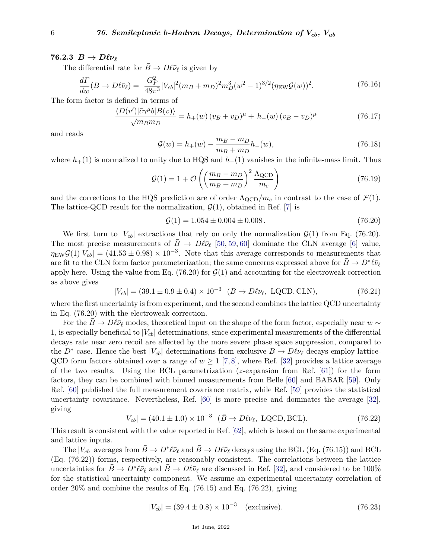## **76.2.3**  $\bar{B} \to D\ell\bar{\nu}_\ell$

The differential rate for  $\bar{B} \to D\ell\bar{\nu}_{\ell}$  is given by

$$
\frac{d\Gamma}{dw}(\bar{B} \to D\ell\bar{\nu}_{\ell}) = \frac{G_F^2}{48\pi^3} |V_{cb}|^2 (m_B + m_D)^2 m_D^3 (w^2 - 1)^{3/2} (\eta_{\rm EW} \mathcal{G}(w))^2. \tag{76.16}
$$

The form factor is defined in terms of

$$
\frac{\langle D(v')|\bar{c}\gamma^{\mu}b|B(v)\rangle}{\sqrt{m_Bm_D}} = h_+(w)\left(v_B + v_D\right)^{\mu} + h_-(w)\left(v_B - v_D\right)^{\mu} \tag{76.17}
$$

and reads

$$
\mathcal{G}(w) = h_{+}(w) - \frac{m_{B} - m_{D}}{m_{B} + m_{D}} h_{-}(w),
$$
\n(76.18)

where  $h_{+}(1)$  is normalized to unity due to HQS and  $h_{-}(1)$  vanishes in the infinite-mass limit. Thus

$$
\mathcal{G}(1) = 1 + \mathcal{O}\left(\left(\frac{m_B - m_D}{m_B + m_D}\right)^2 \frac{\Lambda_{\text{QCD}}}{m_c}\right) \tag{76.19}
$$

and the corrections to the HQS prediction are of order  $\Lambda_{\text{QCD}}/m_c$  in contrast to the case of  $\mathcal{F}(1)$ . The lattice-QCD result for the normalization,  $\mathcal{G}(1)$ , obtained in Ref. [\[7\]](#page-25-1) is

$$
\mathcal{G}(1) = 1.054 \pm 0.004 \pm 0.008. \tag{76.20}
$$

We first turn to  $|V_{cb}|$  extractions that rely on only the normalization  $\mathcal{G}(1)$  from Eq. (76.20). The most precise measurements of  $\bar{B} \to D\ell\bar{\nu}_\ell$  [\[50,](#page-26-14) [59,](#page-26-15) [60\]](#page-26-16) dominate the CLN average [\[6\]](#page-25-0) value,  $\eta_{\text{EW}}\mathcal{G}(1)|V_{cb}| = (41.53 \pm 0.98) \times 10^{-3}$ . Note that this average corresponds to measurements that are fit to the CLN form factor parameterization; the same concerns expressed above for  $\bar{B} \to D^* \ell \bar{\nu}_{\ell}$ apply here. Using the value from Eq.  $(76.20)$  for  $\mathcal{G}(1)$  and accounting for the electroweak correction as above gives

$$
|V_{cb}| = (39.1 \pm 0.9 \pm 0.4) \times 10^{-3} \quad (\bar{B} \to D\ell\bar{\nu}_{\ell}, \text{ LQCD}, \text{CLN}), \tag{76.21}
$$

where the first uncertainty is from experiment, and the second combines the lattice QCD uncertainty in Eq. (76.20) with the electroweak correction.

For the *B*  $\rightarrow$  *D* $\ell \bar{\nu}_{\ell}$  modes, theoretical input on the shape of the form factor, especially near *w* ∼ 1, is especially beneficial to  $|V_{cb}|$  determinations, since experimental measurements of the differential decays rate near zero recoil are affected by the more severe phase space suppression, compared to the  $D^*$  case. Hence the best  $|V_{cb}|$  determinations from exclusive  $\bar{B} \to D\ell\bar{\nu}_{\ell}$  decays employ lattice-QCD form factors obtained over a range of  $w \geq 1$  [\[7,](#page-25-1)[8\]](#page-25-24), where Ref. [\[32\]](#page-25-16) provides a lattice average of the two results. Using the BCL parametrization (*z*-expansion from Ref. [\[61\]](#page-26-17)) for the form factors, they can be combined with binned measurements from Belle [\[60\]](#page-26-16) and BABAR [\[59\]](#page-26-15). Only Ref. [\[60\]](#page-26-16) published the full measurement covariance matrix, while Ref. [\[59\]](#page-26-15) provides the statistical uncertainty covariance. Nevertheless, Ref. [\[60\]](#page-26-16) is more precise and dominates the average [\[32\]](#page-25-16), giving

$$
|V_{cb}| = (40.1 \pm 1.0) \times 10^{-3} \quad (\bar{B} \to D\ell\bar{\nu}_{\ell}, \text{ LQCD, BCL}). \tag{76.22}
$$

This result is consistent with the value reported in Ref. [\[62\]](#page-26-18), which is based on the same experimental and lattice inputs.

The  $|V_{cb}|$  averages from  $\bar{B} \to D^* \ell \bar{\nu}_{\ell}$  and  $\bar{B} \to D \ell \bar{\nu}_{\ell}$  decays using the BGL (Eq. (76.15)) and BCL (Eq. (76.22)) forms, respectively, are reasonably consistent. The correlations between the lattice uncertainties for  $\bar{B} \to D^* \ell \bar{\nu}_{\ell}$  and  $\bar{B} \to D \ell \bar{\nu}_{\ell}$  are discussed in Ref. [\[32\]](#page-25-16), and considered to be 100% for the statistical uncertainty component. We assume an experimental uncertainty correlation of order 20% and combine the results of Eq. (76.15) and Eq. (76.22), giving

$$
|V_{cb}| = (39.4 \pm 0.8) \times 10^{-3} \quad \text{(exclusive)}.
$$
 (76.23)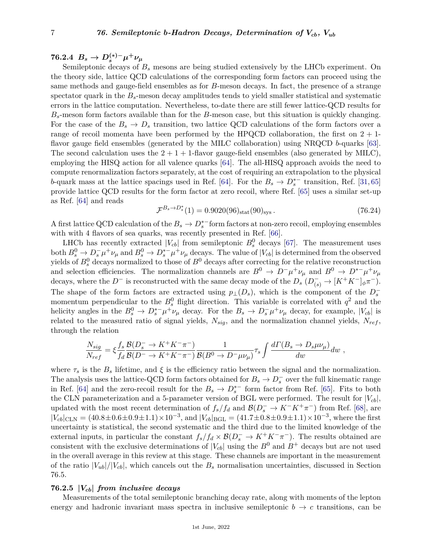# $76.2.4$   $B_s \to D_s^{(*)-} \mu^+ \nu_\mu$

Semileptonic decays of  $B_s$  mesons are being studied extensively by the LHCb experiment. On the theory side, lattice QCD calculations of the corresponding form factors can proceed using the same methods and gauge-field ensembles as for *B*-meson decays. In fact, the presence of a strange spectator quark in the *Bs*-meson decay amplitudes tends to yield smaller statistical and systematic errors in the lattice computation. Nevertheless, to-date there are still fewer lattice-QCD results for *Bs*-meson form factors available than for the *B*-meson case, but this situation is quickly changing. For the case of the  $B_s \to D_s$  transition, two lattice QCD calculations of the form factors over a range of recoil momenta have been performed by the HPQCD collaboration, the first on  $2 + 1$ flavor gauge field ensembles (generated by the MILC collaboration) using NRQCD *b*-quarks [\[63\]](#page-26-19). The second calculation uses the  $2 + 1 + 1$ -flavor gauge-field ensembles (also generated by MILC), employing the HISQ action for all valence quarks [\[64\]](#page-26-20). The all-HISQ approach avoids the need to compute renormalization factors separately, at the cost of requiring an extrapolation to the physical *b*-quark mass at the lattice spacings used in Ref. [\[64\]](#page-26-20). For the  $B_s \to D_s^{*-}$  transition, Ref. [\[31,](#page-25-15) [65\]](#page-26-21) provide lattice QCD results for the form factor at zero recoil, where Ref. [\[65\]](#page-26-21) uses a similar set-up as Ref. [\[64\]](#page-26-20) and reads *Bs*→*D*<sup>∗</sup>

$$
\mathcal{F}^{B_s \to D_s^*}(1) = 0.9020(96)_{\text{stat}}(90)_{\text{sys}}.
$$
\n(76.24)

A first lattice QCD calculation of the  $B_s \to D_s^*$ <sup>−</sup> form factors at non-zero recoil, employing ensembles with with 4 flavors of sea quarks, was recently presented in Ref. [\[66\]](#page-26-22).

LHCb has recently extracted  $|V_{cb}|$  from semileptonic  $B_s^0$  decays [\[67\]](#page-26-23). The measurement uses both  $B_s^0 \to D_s^- \mu^+ \nu_\mu$  and  $B_s^0 \to D_s^{*-} \mu^+ \nu_\mu$  decays. The value of  $|V_{cb}|$  is determined from the observed yields of  $B_s^0$  decays normalized to those of  $B^0$  decays after correcting for the relative reconstruction and selection efficiencies. The normalization channels are  $B^0 \to D^- \mu^+ \nu_\mu$  and  $B^0 \to D^{*-} \mu^+ \nu_\mu$ decays, where the  $D^-$  is reconstructed with the same decay mode of the  $D_s(D^-_{(s)} \to [K^+K^-]_{\phi}\pi^-)$ . The shape of the form factors are extracted using  $p_{\perp}(D_s)$ , which is the component of the  $D_s^$ momentum perpendicular to the  $B_s^0$  flight direction. This variable is correlated with  $q^2$  and the helicity angles in the  $B_s^0 \to D_s^*^- \mu^+ \nu_\mu$  decay. For the  $B_s \to D_s^- \mu^+ \nu_\mu$  decay, for example,  $|V_{cb}|$  is related to the measured ratio of signal yields,  $N_{sig}$ , and the normalization channel yields,  $N_{ref}$ , through the relation

$$
\frac{N_{sig}}{N_{ref}} = \xi \frac{f_s}{f_d} \frac{\mathcal{B}(D_s^- \to K^+ K^- \pi^-)}{\mathcal{B}(D^- \to K^+ K^- \pi^-)} \frac{1}{\mathcal{B}(B^0 \to D^- \mu \nu_\mu)} \tau_s \int \frac{d \Gamma(B_s \to D_s \mu \nu_\mu)}{dw} dw \ ,
$$

where  $\tau_s$  is the *B*<sub>*s*</sub> lifetime, and  $\xi$  is the efficiency ratio between the signal and the normalization. The analysis uses the lattice-QCD form factors obtained for  $B_s \to D_s^-$  over the full kinematic range in Ref. [\[64\]](#page-26-20) and the zero-recoil result for the  $B_s \to D_s^{*-}$  form factor from Ref. [\[65\]](#page-26-21). Fits to both the CLN parameterization and a 5-parameter version of BGL were performed. The result for  $|V_{cb}|$ , updated with the most recent determination of  $f_s/f_d$  and  $\mathcal{B}(D_s^- \to K^-K^+\pi^-)$  from Ref. [\[68\]](#page-26-24), are  $|V_{cb}|_{\text{CLN}} = (40.8 \pm 0.6 \pm 0.9 \pm 1.1) \times 10^{-3}$ , and  $|V_{cb}|_{\text{BGL}} = (41.7 \pm 0.8 \pm 0.9 \pm 1.1) \times 10^{-3}$ , where the first uncertainty is statistical, the second systematic and the third due to the limited knowledge of the external inputs, in particular the constant  $f_s/f_d \times B(D_s^- \to K^+K^-\pi^-)$ . The results obtained are consistent with the exclusive determinations of  $|V_{cb}|$  using the  $B^0$  and  $B^+$  decays but are not used in the overall average in this review at this stage. These channels are important in the measurement of the ratio  $|V_{ub}|/|V_{cb}|$ , which cancels out the  $B_s$  normalisation uncertainties, discussed in Section 76.5.

### **76.2.5 |***Vcb***|** *from inclusive decays*

Measurements of the total semileptonic branching decay rate, along with moments of the lepton energy and hadronic invariant mass spectra in inclusive semileptonic  $b \rightarrow c$  transitions, can be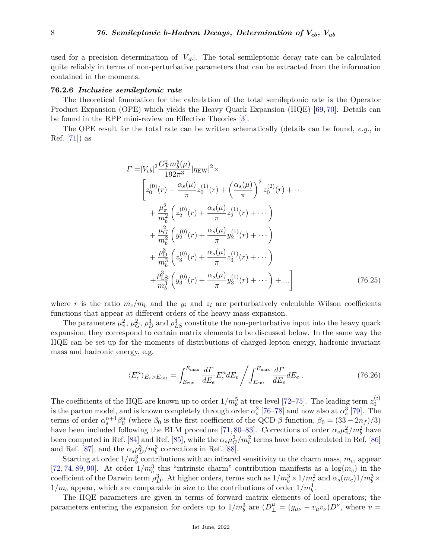used for a precision determination of  $|V_{cb}|$ . The total semileptonic decay rate can be calculated quite reliably in terms of non-perturbative parameters that can be extracted from the information contained in the moments.

#### **76.2.6** *Inclusive semileptonic rate*

The theoretical foundation for the calculation of the total semileptonic rate is the Operator Product Expansion (OPE) which yields the Heavy Quark Expansion (HQE) [\[69,](#page-26-25) [70\]](#page-26-26). Details can be found in the RPP mini-review on Effective Theories [\[3\]](#page-24-2).

The OPE result for the total rate can be written schematically (details can be found, *e.g.*, in Ref. [\[71\]](#page-27-0)) as

$$
\Gamma = |V_{cb}|^2 \frac{G_F^2 m_b^5(\mu)}{192\pi^3} |\eta_{\text{EW}}|^2 \times
$$
\n
$$
\left[ z_0^{(0)}(r) + \frac{\alpha_s(\mu)}{\pi} z_0^{(1)}(r) + \left( \frac{\alpha_s(\mu)}{\pi} \right)^2 z_0^{(2)}(r) + \cdots \right]
$$
\n
$$
+ \frac{\mu_\pi^2}{m_b^2} \left( z_2^{(0)}(r) + \frac{\alpha_s(\mu)}{\pi} z_2^{(1)}(r) + \cdots \right)
$$
\n
$$
+ \frac{\mu_G^2}{m_b^2} \left( y_2^{(0)}(r) + \frac{\alpha_s(\mu)}{\pi} y_2^{(1)}(r) + \cdots \right)
$$
\n
$$
+ \frac{\rho_D^3}{m_b^3} \left( z_3^{(0)}(r) + \frac{\alpha_s(\mu)}{\pi} z_3^{(1)}(r) + \cdots \right)
$$
\n
$$
+ \frac{\rho_{\text{LS}}^3}{m_b^3} \left( y_3^{(0)}(r) + \frac{\alpha_s(\mu)}{\pi} y_3^{(1)}(r) + \cdots \right) + \cdots \right]
$$
\n(76.25)

where r is the ratio  $m_c/m_b$  and the  $y_i$  and  $z_i$  are perturbatively calculable Wilson coefficients functions that appear at different orders of the heavy mass expansion.

The parameters  $\mu^2_\pi$ ,  $\mu^2_G$ ,  $\rho^3_D$  and  $\rho^3_{LS}$  constitute the non-perturbative input into the heavy quark expansion; they correspond to certain matrix elements to be discussed below. In the same way the HQE can be set up for the moments of distributions of charged-lepton energy, hadronic invariant mass and hadronic energy, e.g.

$$
\langle E_e^n \rangle_{E_e > E_{\text{cut}}} = \int_{E_{\text{cut}}}^{E_{\text{max}}} \frac{d\Gamma}{dE_e} E_e^n dE_e \left/ \int_{E_{\text{cut}}}^{E_{\text{max}}} \frac{d\Gamma}{dE_e} dE_e \right. \tag{76.26}
$$

The coefficients of the HQE are known up to order  $1/m_b^5$  at tree level [\[72–](#page-27-1)[75\]](#page-27-2). The leading term  $z_0^{(i)}$ 0 is the parton model, and is known completely through order  $\alpha_s^2$  [\[76–](#page-27-3)[78\]](#page-27-4) and now also at  $\alpha_s^3$  [\[79\]](#page-27-5). The terms of order  $\alpha_s^{n+1}\beta_0^n$  (where  $\beta_0$  is the first coefficient of the QCD  $\beta$  function,  $\beta_0 = (33 - 2n_f)/3$ ) have been included following the BLM procedure [\[71,](#page-27-0) [80–](#page-27-6)[83\]](#page-27-7). Corrections of order  $\alpha_s \mu_\pi^2/m_b^2$  have been computed in Ref. [\[84\]](#page-27-8) and Ref. [\[85\]](#page-27-9), while the  $\alpha_s \mu_G^2/m_b^2$  terms have been calculated in Ref. [\[86\]](#page-27-10) and Ref. [\[87\]](#page-27-11), and the  $\alpha_s \rho_D^3/m_b^3$  corrections in Ref. [\[88\]](#page-27-12).

Starting at order  $1/m_b^3$  contributions with an infrared sensitivity to the charm mass,  $m_c$ , appear [\[72,](#page-27-1) [74,](#page-27-13) [89,](#page-27-14) [90\]](#page-27-15). At order  $1/m_b^3$  this "intrinsic charm" contribution manifests as a  $\log(m_c)$  in the coefficient of the Darwin term  $\rho_D^3$ . At higher orders, terms such as  $1/m_b^3 \times 1/m_c^2$  and  $\alpha_s(m_c)1/m_b^3 \times$  $1/m_c$  appear, which are comparable in size to the contributions of order  $1/m_b^4$ .

The HQE parameters are given in terms of forward matrix elements of local operators; the parameters entering the expansion for orders up to  $1/m_b^3$  are  $(D_\perp^\mu = (g_{\mu\nu} - v_\mu v_\nu)D_\nu$ , where  $v =$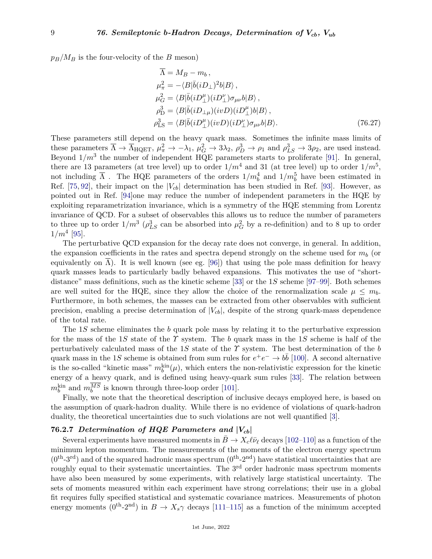$p_B/M_B$  is the four-velocity of the *B* meson)

$$
\Lambda = M_B - m_b,
$$
  
\n
$$
\mu_{\pi}^2 = -\langle B|\bar{b}(iD_{\perp})^2b|B\rangle,
$$
  
\n
$$
\mu_G^2 = \langle B|\bar{b}(iD_{\perp}^{\mu})(iD_{\perp}^{\nu})\sigma_{\mu\nu}b|B\rangle,
$$
  
\n
$$
\rho_{\rm D}^3 = \langle B|\bar{b}(iD_{\perp\mu})(ivD)(iD_{\perp}^{\mu})b|B\rangle,
$$
  
\n
$$
\rho_{\rm LS}^3 = \langle B|\bar{b}(iD_{\perp}^{\mu})(ivD)(iD_{\perp}^{\nu})\sigma_{\mu\nu}b|B\rangle.
$$
\n(76.27)

These parameters still depend on the heavy quark mass. Sometimes the infinite mass limits of these parameters  $\overline{\Lambda} \to \overline{\Lambda}_{\text{HQET}}$ ,  $\mu_{\pi}^2 \to -\lambda_1$ ,  $\mu_G^2 \to 3\lambda_2$ ,  $\rho_D^3 \to \rho_1$  and  $\rho_{LS}^3 \to 3\rho_2$ , are used instead. Beyond  $1/m^3$  the number of independent HQE parameters starts to proliferate [\[91\]](#page-27-16). In general, there are 13 parameters (at tree level) up to order  $1/m^4$  and 31 (at tree level) up to order  $1/m^5$ , not including  $\overline{\Lambda}$ . The HQE parameters of the orders  $1/m_b^4$  and  $1/m_b^5$  have been estimated in Ref. [\[75,](#page-27-2) [92\]](#page-27-17), their impact on the  $|V_{cb}|$  determination has been studied in Ref. [\[93\]](#page-27-18). However, as pointed out in Ref. [\[94\]](#page-27-19)one may reduce the number of independent parameters in the HQE by exploiting reparametrization invariance, which is a symmetry of the HQE stemming from Lorentz invariance of QCD. For a subset of observables this allows us to reduce the number of parameters to three up to order  $1/m^3$  ( $\rho_{LS}^3$  can be absorbed into  $\mu_G^2$  by a re-definition) and to 8 up to order  $1/m^4$  [\[95\]](#page-27-20).

The perturbative QCD expansion for the decay rate does not converge, in general. In addition, the expansion coefficients in the rates and spectra depend strongly on the scheme used for  $m_b$  (or equivalently on  $\Lambda$ ). It is well known (see eg. [\[96\]](#page-27-21)) that using the pole mass definition for heavy quark masses leads to particularly badly behaved expansions. This motivates the use of "shortdistance" mass definitions, such as the kinetic scheme [\[33\]](#page-25-17) or the 1*S* scheme [\[97–](#page-27-22)[99\]](#page-27-23). Both schemes are well suited for the HQE, since they allow the choice of the renormalization scale  $\mu \leq m_b$ . Furthermore, in both schemes, the masses can be extracted from other observables with sufficient precision, enabling a precise determination of  $|V_{cb}|$ , despite of the strong quark-mass dependence of the total rate.

The 1*S* scheme eliminates the *b* quark pole mass by relating it to the perturbative expression for the mass of the 1*S* state of the *Υ* system. The *b* quark mass in the 1*S* scheme is half of the perturbatively calculated mass of the 1*S* state of the *Υ* system. The best determination of the *b* quark mass in the 1*S* scheme is obtained from sum rules for  $e^+e^- \to b\bar{b}$  [\[100\]](#page-27-24). A second alternative is the so-called "kinetic mass"  $m_b^{\text{kin}}(\mu)$ , which enters the non-relativistic expression for the kinetic energy of a heavy quark, and is defined using heavy-quark sum rules [\[33\]](#page-25-17). The relation between  $m_b^{\text{kin}}$  and  $m_b^{MS}$  is known through three-loop order [\[101\]](#page-27-25).

Finally, we note that the theoretical description of inclusive decays employed here, is based on the assumption of quark-hadron duality. While there is no evidence of violations of quark-hadron duality, the theoretical uncertainties due to such violations are not well quantified [\[3\]](#page-24-2).

## **76.2.7** *Determination of HQE Parameters and* **|***Vcb***|**

Several experiments have measured moments in  $\bar{B} \to X_c \ell \bar{\nu}_\ell$  decays [\[102](#page-27-26)[–110\]](#page-28-0) as a function of the minimum lepton momentum. The measurements of the moments of the electron energy spectrum  $(0^{th} - 3^{rd})$  and of the squared hadronic mass spectrum  $(0^{th} - 2^{nd})$  have statistical uncertainties that are roughly equal to their systematic uncertainties. The 3<sup>rd</sup> order hadronic mass spectrum moments have also been measured by some experiments, with relatively large statistical uncertainty. The sets of moments measured within each experiment have strong correlations; their use in a global fit requires fully specified statistical and systematic covariance matrices. Measurements of photon energy moments  $(0^{th} - 2^{nd})$  in  $B \to X_s \gamma$  decays [\[111](#page-28-1)[–115\]](#page-28-2) as a function of the minimum accepted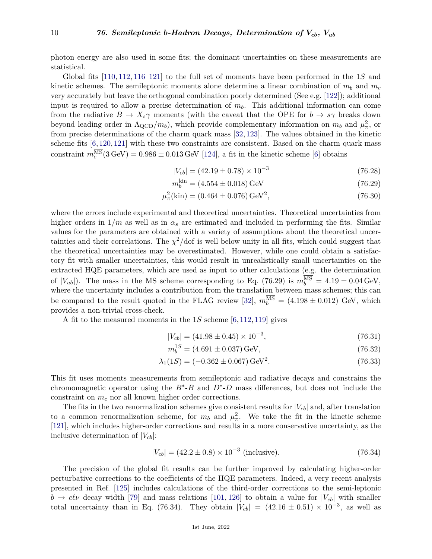photon energy are also used in some fits; the dominant uncertainties on these measurements are statistical.

Global fits [\[110,](#page-28-0) [112,](#page-28-3) [116](#page-28-4)[–121\]](#page-28-5) to the full set of moments have been performed in the 1*S* and kinetic schemes. The semileptonic moments alone determine a linear combination of  $m_b$  and  $m_c$ very accurately but leave the orthogonal combination poorly determined (See e.g. [\[122\]](#page-28-6)); additional input is required to allow a precise determination of *mb*. This additional information can come from the radiative  $B \to X_s \gamma$  moments (with the caveat that the OPE for  $b \to s \gamma$  breaks down beyond leading order in  $\Lambda_{\rm QCD}/m_b$ , which provide complementary information on  $m_b$  and  $\mu_{\pi}^2$ , or from precise determinations of the charm quark mass [\[32,](#page-25-16) [123\]](#page-28-7). The values obtained in the kinetic scheme fits  $[6, 120, 121]$  $[6, 120, 121]$  $[6, 120, 121]$  $[6, 120, 121]$  $[6, 120, 121]$  with these two constraints are consistent. Based on the charm quark mass constraint  $m_c^{\text{MS}}(3 \text{ GeV}) = 0.986 \pm 0.013 \text{ GeV}$  [\[124\]](#page-28-9), a fit in the kinetic scheme [\[6\]](#page-25-0) obtains

$$
|V_{cb}| = (42.19 \pm 0.78) \times 10^{-3} \tag{76.28}
$$

$$
m_b^{\text{kin}} = (4.554 \pm 0.018) \,\text{GeV} \tag{76.29}
$$

$$
\mu_{\pi}^{2}(\text{kin}) = (0.464 \pm 0.076) \,\text{GeV}^{2},\tag{76.30}
$$

where the errors include experimental and theoretical uncertainties. Theoretical uncertainties from higher orders in  $1/m$  as well as in  $\alpha_s$  are estimated and included in performing the fits. Similar values for the parameters are obtained with a variety of assumptions about the theoretical uncertainties and their correlations. The  $\chi^2$ /dof is well below unity in all fits, which could suggest that the theoretical uncertainties may be overestimated. However, while one could obtain a satisfactory fit with smaller uncertainties, this would result in unrealistically small uncertainties on the extracted HQE parameters, which are used as input to other calculations (e.g. the determination of  $|V_{ub}|$ ). The mass in the  $\overline{\text{MS}}$  scheme corresponding to Eq. (76.29) is  $m_b^{\text{MS}} = 4.19 \pm 0.04 \,\text{GeV}$ , where the uncertainty includes a contribution from the translation between mass schemes; this can be compared to the result quoted in the FLAG review [\[32\]](#page-25-16),  $m_b^{\text{MS}} = (4.198 \pm 0.012)$  GeV, which provides a non-trivial cross-check.

A fit to the measured moments in the 1*S* scheme [\[6,](#page-25-0) [112,](#page-28-3) [119\]](#page-28-10) gives

$$
|V_{cb}| = (41.98 \pm 0.45) \times 10^{-3}, \tag{76.31}
$$

$$
m_b^{1S} = (4.691 \pm 0.037) \,\text{GeV},\tag{76.32}
$$

$$
\lambda_1(1S) = (-0.362 \pm 0.067) \,\text{GeV}^2. \tag{76.33}
$$

This fit uses moments measurements from semileptonic and radiative decays and constrains the chromomagnetic operator using the  $B^*$ - $B$  and  $D^*$ - $D$  mass differences, but does not include the constraint on *m<sup>c</sup>* nor all known higher order corrections.

The fits in the two renormalization schemes give consistent results for  $|V_{cb}|$  and, after translation to a common renormalization scheme, for  $m_b$  and  $\mu_{\pi}^2$ . We take the fit in the kinetic scheme [\[121\]](#page-28-5), which includes higher-order corrections and results in a more conservative uncertainty, as the inclusive determination of  $|V_{cb}|$ :

$$
|V_{cb}| = (42.2 \pm 0.8) \times 10^{-3} \text{ (inclusive)}.
$$
 (76.34)

The precision of the global fit results can be further improved by calculating higher-order perturbative corrections to the coefficients of the HQE parameters. Indeed, a very recent analysis presented in Ref. [\[125\]](#page-28-11) includes calculations of the third-order corrections to the semi-leptonic  $b \rightarrow c \ell \nu$  decay width [\[79\]](#page-27-5) and mass relations [\[101,](#page-27-25) [126\]](#page-28-12) to obtain a value for  $|V_{cb}|$  with smaller total uncertainty than in Eq. (76.34). They obtain  $|V_{cb}| = (42.16 \pm 0.51) \times 10^{-3}$ , as well as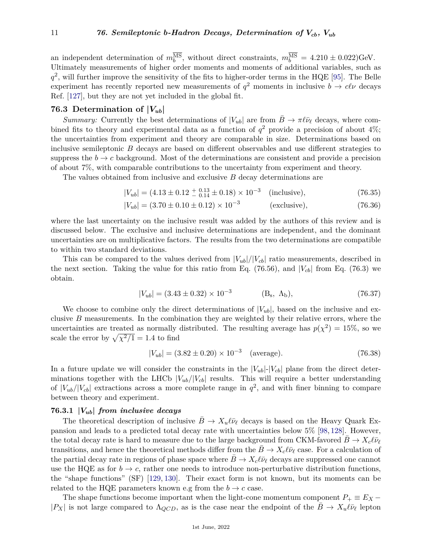an independent determination of  $m_b^{\text{MS}}$ , without direct constraints,  $m_b^{\text{MS}} = 4.210 \pm 0.022$ )GeV. Ultimately measurements of higher order moments and moments of additional variables, such as  $q^2$ , will further improve the sensitivity of the fits to higher-order terms in the HQE [\[95\]](#page-27-20). The Belle experiment has recently reported new measurements of  $q^2$  moments in inclusive  $b \to c \ell \nu$  decays Ref. [\[127\]](#page-28-13), but they are not yet included in the global fit.

## **76.3 Determination of**  $|V_{ub}|$

*Summary:* Currently the best determinations of  $|V_{ub}|$  are from  $B \to \pi \ell \bar{\nu}_{\ell}$  decays, where combined fits to theory and experimental data as a function of  $q^2$  provide a precision of about  $4\%$ ; the uncertainties from experiment and theory are comparable in size. Determinations based on inclusive semileptonic *B* decays are based on different observables and use different strategies to suppress the  $b \to c$  background. Most of the determinations are consistent and provide a precision of about 7%, with comparable contributions to the uncertainty from experiment and theory.

The values obtained from inclusive and exclusive *B* decay determinations are

$$
|V_{ub}| = (4.13 \pm 0.12 \pm 0.13 \pm 0.18) \times 10^{-3} \quad \text{(inclusive)},\tag{76.35}
$$

$$
|V_{ub}| = (3.70 \pm 0.10 \pm 0.12) \times 10^{-3}
$$
 (exclusive), (76.36)

where the last uncertainty on the inclusive result was added by the authors of this review and is discussed below. The exclusive and inclusive determinations are independent, and the dominant uncertainties are on multiplicative factors. The results from the two determinations are compatible to within two standard deviations.

This can be compared to the values derived from  $|V_{ub}|/|V_{cb}|$  ratio measurements, described in the next section. Taking the value for this ratio from Eq. (76.56), and  $|V_{cb}|$  from Eq. (76.3) we obtain.

$$
|V_{ub}| = (3.43 \pm 0.32) \times 10^{-3} \tag{B_s, \Lambda_b}, \tag{76.37}
$$

We choose to combine only the direct determinations of  $|V_{ub}|$ , based on the inclusive and exclusive *B* measurements. In the combination they are weighted by their relative errors, where the uncertainties are treated as normally distributed. The resulting average has  $p(\chi^2) = 15\%$ , so we scale the error by  $\sqrt{\chi^2/1} = 1.4$  to find

$$
|V_{ub}| = (3.82 \pm 0.20) \times 10^{-3} \quad \text{(average)}.\tag{76.38}
$$

In a future update we will consider the constraints in the  $|V_{ub}|\cdot|V_{cb}|$  plane from the direct determinations together with the LHCb  $|V_{ub}/|V_{cb}|$  results. This will require a better understanding of  $|V_{ub}/|V_{cb}|$  extractions across a more complete range in  $q^2$ , and with finer binning to compare between theory and experiment.

#### **76.3.1 |***Vub***|** *from inclusive decays*

The theoretical description of inclusive  $\bar{B} \to X_u \ell \bar{\nu}_\ell$  decays is based on the Heavy Quark Expansion and leads to a predicted total decay rate with uncertainties below 5% [\[98,](#page-27-27) [128\]](#page-28-14). However, the total decay rate is hard to measure due to the large background from CKM-favored  $B \to X_c l \bar{\nu}_\ell$ transitions, and hence the theoretical methods differ from the  $B \to X_c \ell \bar{\nu}_\ell$  case. For a calculation of the partial decay rate in regions of phase space where  $B \to X_c \ell \bar{\nu}_\ell$  decays are suppressed one cannot use the HQE as for  $b \to c$ , rather one needs to introduce non-perturbative distribution functions, the "shape functions" (SF) [\[129,](#page-28-15) [130\]](#page-28-16). Their exact form is not known, but its moments can be related to the HQE parameters known e.g from the  $b \to c$  case.

The shape functions become important when the light-cone momentum component  $P_+ \equiv E_X$  −  $|P_X|$  is not large compared to  $\Lambda_{QCD}$ , as is the case near the endpoint of the  $\bar{B} \to X_u \ell \bar{\nu}_\ell$  lepton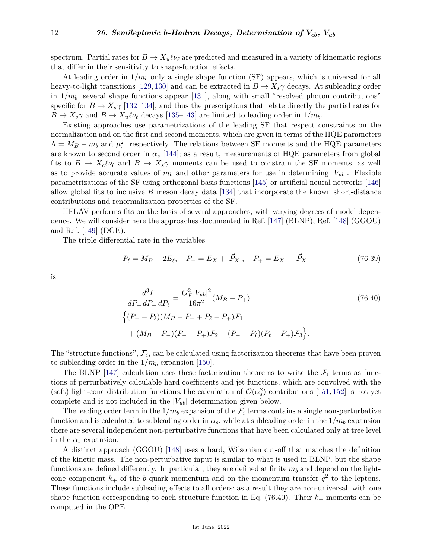spectrum. Partial rates for  $B \to X_u \ell \bar{\nu}_\ell$  are predicted and measured in a variety of kinematic regions that differ in their sensitivity to shape-function effects.

At leading order in  $1/m_b$  only a single shape function (SF) appears, which is universal for all heavy-to-light transitions [\[129,](#page-28-15)[130\]](#page-28-16) and can be extracted in  $B \to X_s \gamma$  decays. At subleading order in  $1/m_b$ , several shape functions appear [\[131\]](#page-28-17), along with small "resolved photon contributions" specific for  $B \to X_s \gamma$  [\[132–](#page-28-18)[134\]](#page-28-19), and thus the prescriptions that relate directly the partial rates for  $B \to X_s \gamma$  and  $B \to X_u \ell \bar{\nu}_\ell$  decays [\[135–](#page-28-20)[143\]](#page-29-0) are limited to leading order in  $1/m_b$ .

Existing approaches use parametrizations of the leading SF that respect constraints on the normalization and on the first and second moments, which are given in terms of the HQE parameters  $\overline{\Lambda} = M_B - m_b$  and  $\mu_{\pi}^2$ , respectively. The relations between SF moments and the HQE parameters are known to second order in  $\alpha_s$  [\[144\]](#page-29-1); as a result, measurements of HQE parameters from global fits to  $B \to X_c \ell \bar{\nu}_\ell$  and  $B \to X_s \gamma$  moments can be used to constrain the SF moments, as well as to provide accurate values of  $m_b$  and other parameters for use in determining  $|V_{ub}|$ . Flexible parametrizations of the SF using orthogonal basis functions [\[145\]](#page-29-2) or artificial neural networks [\[146\]](#page-29-3) allow global fits to inclusive *B* meson decay data [\[134\]](#page-28-19) that incorporate the known short-distance contributions and renormalization properties of the SF.

HFLAV performs fits on the basis of several approaches, with varying degrees of model dependence. We will consider here the approaches documented in Ref. [\[147\]](#page-29-4) (BLNP), Ref. [\[148\]](#page-29-5) (GGOU) and Ref. [\[149\]](#page-29-6) (DGE).

The triple differential rate in the variables

$$
P_{\ell} = M_B - 2E_{\ell}, \quad P_{-} = E_X + |\vec{P}_X|, \quad P_{+} = E_X - |\vec{P}_X| \tag{76.39}
$$

is

$$
\frac{d^3\Gamma}{dP_+ dP_- dP_\ell} = \frac{G_F^2 |V_{ub}|^2}{16\pi^2} (M_B - P_+) \tag{76.40}
$$
\n
$$
\left\{ (P_- - P_\ell)(M_B - P_- + P_\ell - P_+) \mathcal{F}_1 + (M_B - P_-)(P_- - P_+) \mathcal{F}_2 + (P_- - P_\ell)(P_\ell - P_+) \mathcal{F}_3 \right\}.
$$

The "structure functions",  $\mathcal{F}_i$ , can be calculated using factorization theorems that have been proven to subleading order in the  $1/m_b$  expansion [\[150\]](#page-29-7).

The BLNP [\[147\]](#page-29-4) calculation uses these factorization theorems to write the  $\mathcal{F}_i$  terms as functions of perturbatively calculable hard coefficients and jet functions, which are convolved with the (soft) light-cone distribution functions. The calculation of  $\mathcal{O}(\alpha_s^2)$  contributions [\[151,](#page-29-8) [152\]](#page-29-9) is not yet complete and is not included in the  $|V_{ub}|$  determination given below.

The leading order term in the  $1/m_b$  expansion of the  $\mathcal{F}_i$  terms contains a single non-perturbative function and is calculated to subleading order in  $\alpha_s$ , while at subleading order in the  $1/m_b$  expansion there are several independent non-perturbative functions that have been calculated only at tree level in the  $\alpha_s$  expansion.

A distinct approach (GGOU) [\[148\]](#page-29-5) uses a hard, Wilsonian cut-off that matches the definition of the kinetic mass. The non-perturbative input is similar to what is used in BLNP, but the shape functions are defined differently. In particular, they are defined at finite *m<sup>b</sup>* and depend on the lightcone component  $k_+$  of the *b* quark momentum and on the momentum transfer  $q^2$  to the leptons. These functions include subleading effects to all orders; as a result they are non-universal, with one shape function corresponding to each structure function in Eq.  $(76.40)$ . Their  $k_{+}$  moments can be computed in the OPE.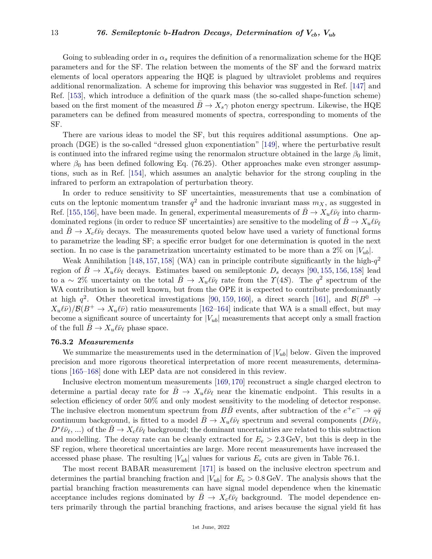Going to subleading order in  $\alpha_s$  requires the definition of a renormalization scheme for the HQE parameters and for the SF. The relation between the moments of the SF and the forward matrix elements of local operators appearing the HQE is plagued by ultraviolet problems and requires additional renormalization. A scheme for improving this behavior was suggested in Ref. [\[147\]](#page-29-4) and Ref. [\[153\]](#page-29-10), which introduce a definition of the quark mass (the so-called shape-function scheme) based on the first moment of the measured  $B \to X_s \gamma$  photon energy spectrum. Likewise, the HQE parameters can be defined from measured moments of spectra, corresponding to moments of the SF.

There are various ideas to model the SF, but this requires additional assumptions. One approach (DGE) is the so-called "dressed gluon exponentiation" [\[149\]](#page-29-6), where the perturbative result is continued into the infrared regime using the renormalon structure obtained in the large  $\beta_0$  limit, where  $\beta_0$  has been defined following Eq. (76.25). Other approaches make even stronger assumptions, such as in Ref. [\[154\]](#page-29-11), which assumes an analytic behavior for the strong coupling in the infrared to perform an extrapolation of perturbation theory.

In order to reduce sensitivity to SF uncertainties, measurements that use a combination of cuts on the leptonic momentum transfer  $q^2$  and the hadronic invariant mass  $m_X$ , as suggested in Ref. [\[155,](#page-29-12)[156\]](#page-29-13), have been made. In general, experimental measurements of  $\bar{B} \to X_u \ell \bar{\nu}_\ell$  into charmdominated regions (in order to reduce SF uncertainties) are sensitive to the modeling of  $B \to X_u \ell \bar{\nu}_\ell$ and  $B \to X_c \ell \bar{\nu}_\ell$  decays. The measurements quoted below have used a variety of functional forms to parametrize the leading SF; a specific error budget for one determination is quoted in the next section. In no case is the parametrization uncertainty estimated to be more than a  $2\%$  on  $|V_{ub}|$ .

Weak Annihilation [\[148,](#page-29-5) [157,](#page-29-14) [158\]](#page-29-15) (WA) can in principle contribute significantly in the high- $q^2$ region of  $B \to X_u \ell \bar{\nu}_\ell$  decays. Estimates based on semileptonic  $D_s$  decays [\[90,](#page-27-15) [155,](#page-29-12) [156,](#page-29-13) [158\]](#page-29-15) lead to a ~ 2% uncertainty on the total  $\bar{B} \to X_u \ell \bar{\nu}_\ell$  rate from the  $\gamma(4S)$ . The  $q^2$  spectrum of the WA contribution is not well known, but from the OPE it is expected to contribute predominantly at high  $q^2$ . Other theoretical investigations [\[90,](#page-27-15) [159,](#page-29-16) [160\]](#page-29-17), a direct search [\[161\]](#page-29-18), and  $\mathcal{B}(B^0 \to$  $X_u(\bar{\nu})/B(B^+ \to X_u(\bar{\nu})$  ratio measurements [\[162–](#page-29-19)[164\]](#page-29-20) indicate that WA is a small effect, but may become a significant source of uncertainty for  $|V_{ub}|$  measurements that accept only a small fraction of the full  $B \to X_u \ell \bar{\nu}_\ell$  phase space.

#### **76.3.2** *Measurements*

We summarize the measurements used in the determination of  $|V_{ub}|$  below. Given the improved precision and more rigorous theoretical interpretation of more recent measurements, determinations [\[165–](#page-29-21)[168\]](#page-29-22) done with LEP data are not considered in this review.

Inclusive electron momentum measurements [\[169,](#page-29-23) [170\]](#page-29-24) reconstruct a single charged electron to determine a partial decay rate for  $B \to X_u \ell \bar{\nu}_\ell$  near the kinematic endpoint. This results in a selection efficiency of order 50% and only modest sensitivity to the modeling of detector response. The inclusive electron momentum spectrum from  $B\overline{B}$  events, after subtraction of the  $e^+e^- \rightarrow q\overline{q}$ continuum background, is fitted to a model  $\bar{B} \to X_u \ell \bar{\nu}_\ell$  spectrum and several components  $(D \ell \bar{\nu}_\ell,$  $D^*\ell\bar{\nu}_\ell$ , ...) of the  $\bar{B}\to X_c\ell\bar{\nu}_\ell$  background; the dominant uncertainties are related to this subtraction and modelling. The decay rate can be cleanly extracted for  $E_e > 2.3$  GeV, but this is deep in the SF region, where theoretical uncertainties are large. More recent measurements have increased the accessed phase phase. The resulting  $|V_{ub}|$  values for various  $E_e$  cuts are given in Table 76.1.

The most recent BABAR measurement [\[171\]](#page-29-25) is based on the inclusive electron spectrum and determines the partial branching fraction and  $|V_{ub}|$  for  $E_e > 0.8$  GeV. The analysis shows that the partial branching fraction measurements can have signal model dependence when the kinematic acceptance includes regions dominated by  $B \to X_c \ell \bar{\nu}_\ell$  background. The model dependence enters primarily through the partial branching fractions, and arises because the signal yield fit has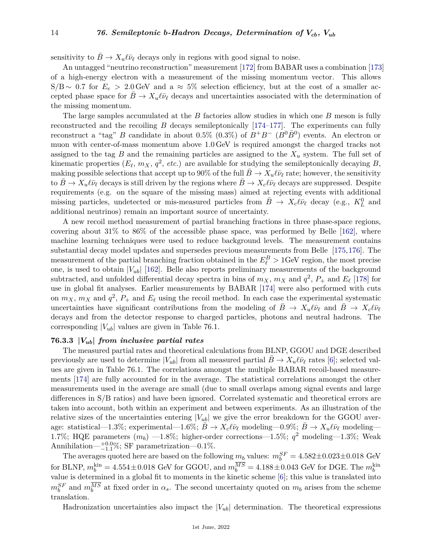sensitivity to  $B \to X_u \ell \bar{\nu}_\ell$  decays only in regions with good signal to noise.

An untagged "neutrino reconstruction" measurement [\[172\]](#page-29-26) from BABAR uses a combination [\[173\]](#page-29-27) of a high-energy electron with a measurement of the missing momentum vector. This allows  $S/B \sim 0.7$  for  $E_e > 2.0$  GeV and a ≈ 5% selection efficiency, but at the cost of a smaller accepted phase space for  $B \to X_u \ell \bar{\nu}_\ell$  decays and uncertainties associated with the determination of the missing momentum.

The large samples accumulated at the *B* factories allow studies in which one *B* meson is fully reconstructed and the recoiling *B* decays semileptonically [\[174–](#page-29-28)[177\]](#page-30-0). The experiments can fully reconstruct a "tag" *B* candidate in about 0.5% (0.3%) of  $B^+B^-$  ( $B^0\overline{B}^0$ ) events. An electron or muon with center-of-mass momentum above 1*.*0 GeV is required amongst the charged tracks not assigned to the tag  $B$  and the remaining particles are assigned to the  $X_u$  system. The full set of kinematic properties  $(E_{\ell}, m_X, q^2, etc.)$  are available for studying the semileptonically decaying  $B$ , making possible selections that accept up to 90% of the full  $\bar{B} \to X_u \ell \bar{\nu}_\ell$  rate; however, the sensitivity to  $B \to X_u \ell \bar{\nu}_\ell$  decays is still driven by the regions where  $B \to X_c \ell \bar{\nu}_\ell$  decays are suppressed. Despite requirements (e.g. on the square of the missing mass) aimed at rejecting events with additional missing particles, undetected or mis-measured particles from  $\bar{B} \to X_c \ell \bar{\nu}_{\ell}$  decay (e.g.,  $K^0_L$  and additional neutrinos) remain an important source of uncertainty.

A new recoil method measurement of partial branching fractions in three phase-space regions, covering about  $31\%$  to  $86\%$  of the accessible phase space, was performed by Belle [\[162\]](#page-29-19), where machine learning techniques were used to reduce background levels. The measurement contains substantial decay model updates and supersedes previous measurements from Belle [\[175,](#page-29-29)[176\]](#page-29-30). The measurement of the partial branching fraction obtained in the  $E_{\ell}^{B} > 1$ GeV region, the most precise one, is used to obtain |*Vub*| [\[162\]](#page-29-19). Belle also reports preliminary measurements of the background subtracted, and unfolded differential decay spectra in bins of  $m_X$ ,  $m_X$  and  $q^2$ ,  $P_+$  and  $E_\ell$  [\[178\]](#page-30-1) for use in global fit analyses. Earlier measurements by BABAR [\[174\]](#page-29-28) were also performed with cuts on  $m_X$ ,  $m_X$  and  $q^2$ ,  $P_+$  and  $E_\ell$  using the recoil method. In each case the experimental systematic uncertainties have significant contributions from the modeling of  $B \to X_u \ell \bar{\nu}_\ell$  and  $B \to X_c \ell \bar{\nu}_\ell$ decays and from the detector response to charged particles, photons and neutral hadrons. The corresponding  $|V_{ub}|$  values are given in Table 76.1.

#### **76.3.3 |***Vub***|** *from inclusive partial rates*

The measured partial rates and theoretical calculations from BLNP, GGOU and DGE described previously are used to determine  $|V_{ub}|$  from all measured partial  $B \to X_u \ell \bar{\nu}_\ell$  rates [\[6\]](#page-25-0); selected values are given in Table 76.1. The correlations amongst the multiple BABAR recoil-based measurements [\[174\]](#page-29-28) are fully accounted for in the average. The statistical correlations amongst the other measurements used in the average are small (due to small overlaps among signal events and large differences in S/B ratios) and have been ignored. Correlated systematic and theoretical errors are taken into account, both within an experiment and between experiments. As an illustration of the relative sizes of the uncertainties entering  $|V_{ub}|$  we give the error breakdown for the GGOU average: statistical—1.3%; experimental—1.6%;  $\bar{B} \to X_c \ell \bar{\nu}_{\ell}$  modeling—0.9%;  $B \to X_u \ell \bar{\nu}_{\ell}$  modeling— 1.7%; HQE parameters  $(m_b)$  —1.8%; higher-order corrections—1.5%;  $q^2$  modeling—1.3%; Weak Annihilation— $^{+0.0}_{-1.1}\%$ ; SF parametrization—0.1%.

The averages quoted here are based on the following  $m_b$  values:  $m_b^{SF} = 4.582 \pm 0.023 \pm 0.018$  GeV for BLNP,  $m_b^{\text{kin}} = 4.554 \pm 0.018$  GeV for GGOU, and  $m_b^{MS} = 4.188 \pm 0.043$  GeV for DGE. The  $m_b^{\text{kin}}$ value is determined in a global fit to moments in the kinetic scheme [\[6\]](#page-25-0); this value is translated into  $m_b^{SF}$  and  $m_b^{MS}$  at fixed order in  $\alpha_s$ . The second uncertainty quoted on  $m_b$  arises from the scheme translation.

Hadronization uncertainties also impact the  $|V_{ub}|$  determination. The theoretical expressions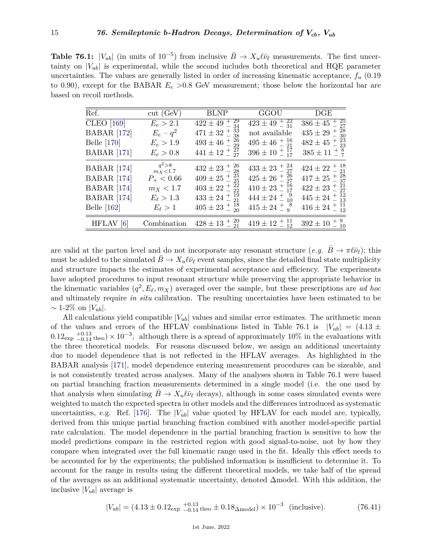**Table 76.1:**  $|V_{ub}|$  (in units of 10<sup>-5</sup>) from inclusive  $\bar{B} \to X_u \ell \bar{\nu}_\ell$  measurements. The first uncertainty on  $|V_{ub}|$  is experimental, while the second includes both theoretical and HQE parameter uncertainties. The values are generally listed in order of increasing kinematic acceptance, *f<sup>u</sup>* (0.19 to 0.90), except for the BABAR *E<sup>e</sup> >*0.8 GeV measurement; those below the horizontal bar are based on recoil methods.

| Ref.               | cut (GeV)              | <b>BLNP</b>                              | GGOU                           | DGE                                 |
|--------------------|------------------------|------------------------------------------|--------------------------------|-------------------------------------|
| <b>CLEO</b> [169]  | $E_e > 2.1$            | $\frac{422 \pm 49 + 29}{234}$            | $423 \pm 49 + \frac{22}{31}$   | $\overline{386\pm45\,\frac{+}{25}}$ |
| <b>BABAR</b> [172] | $E_e - q^2$            | $471 \pm 32 + \frac{33}{38}$             | not available                  | $435 \pm 29 + \frac{28}{30}$        |
| <b>Belle</b> [170] | $E_e > 1.9$            | $493 \pm 46 \pm 26 \atop 29$             | $495 \pm 46 \pm \frac{16}{21}$ | $482 \pm 45 + ^{23}_{-23}$          |
| <b>BABAR</b> [171] | $E_e > 0.8$            | $441 \pm 12 + \frac{27}{27}$             | $396 \pm 10 \frac{+}{-17}$     | $385 \pm 11 \pm \frac{8}{7}$        |
| <b>BABAR</b> [174] | $q^2 > 8$<br>$m_X<1.7$ | $432 \pm 23 + \frac{26}{28}$             | $433 \pm 23 + \frac{24}{27}$   | $424 \pm 22 + \frac{18}{21}$        |
| <b>BABAR</b> [174] | $P_{+}$ < 0.66         | $409 \pm 25 + \frac{25}{25}$             | $425 \pm 26 \pm \frac{26}{27}$ | $417 \pm 25 + ^{28}_{-37}$          |
| <b>BABAR</b> [174] | $m_X < 1.7$            | $403 \pm 22 + \frac{22}{22}$             | $410 \pm 23 + ^{16}_{-17}$     | $422 \pm 23 + \frac{21}{27}$        |
| <b>BABAR</b> [174] | $E_{\ell} > 1.3$       | $433 \pm 24 \pm \frac{19}{21}$           | $444 \pm 24 + ^{9}_{-10}$      | $445 \pm 24 \pm \frac{12}{13}$      |
| Belle $[162]$      | $E_{\ell} > 1$         | $405 \pm 23 + \frac{18}{20}$             | $415 \pm 24 + ^{8}_{9}$        | $416 \pm 24 \pm 11$                 |
| HFLAV [6]          |                        | Combination $428 \pm 13 + \frac{20}{21}$ | $419 \pm 12 + 11 \over 12$     | $392 \pm 10 \pm \frac{9}{10}$       |

are valid at the parton level and do not incorporate any resonant structure  $(e.g. B \to \pi \ell \bar{\nu}_\ell)$ ; this must be added to the simulated  $B \to X_u \ell \bar{\nu}_\ell$  event samples, since the detailed final state multiplicity and structure impacts the estimates of experimental acceptance and efficiency. The experiments have adopted procedures to input resonant structure while preserving the appropriate behavior in the kinematic variables  $(q^2, E_\ell, m_X)$  averaged over the sample, but these prescriptions are *ad hoc* and ultimately require *in situ* calibration. The resulting uncertainties have been estimated to be  $\sim$  1-2\% on |*V*<sub>*ub*</sub>|.

All calculations yield compatible  $|V_{ub}|$  values and similar error estimates. The arithmetic mean of the values and errors of the HFLAV combinations listed in Table 76.1 is  $|V_{ub}| = (4.13 \pm 1.00)$  $0.12_{\rm exp}$   $^{+0.13}_{-0.14}$  theo) × 10<sup>-3</sup>, although there is a spread of approximately 10% in the evaluations with the three theoretical models. For reasons discussed below, we assign an additional uncertainty due to model dependence that is not reflected in the HFLAV averages. As highlighted in the BABAR analysis [\[171\]](#page-29-25), model dependence entering measurement procedures can be sizeable, and is not consistently treated across analyses. Many of the analyses shown in Table 76.1 were based on partial branching fraction measurements determined in a single model (i.e. the one used by that analysis when simulating  $B \to X_u \ell \bar{\nu}_\ell$  decays), although in some cases simulated events were weighted to match the expected spectra in other models and the differences introduced as systematic uncertainties, e.g. Ref.  $[176]$ . The  $|V_{ub}|$  value quoted by HFLAV for each model are, typically, derived from this unique partial branching fraction combined with another model-specific partial rate calculation. The model dependence in the partial branching fraction is sensitive to how the model predictions compare in the restricted region with good signal-to-noise, not by how they compare when integrated over the full kinematic range used in the fit. Ideally this effect needs to be accounted for by the experiments; the published information is insufficient to determine it. To account for the range in results using the different theoretical models, we take half of the spread of the averages as an additional systematic uncertainty, denoted ∆model. With this addition, the inclusive  $|V_{ub}|$  average is

$$
|V_{ub}| = (4.13 \pm 0.12_{\text{exp}} \frac{+0.13}{-0.14} \text{theo} \pm 0.18_{\Delta \text{model}}) \times 10^{-3} \text{ (inclusive).}
$$
 (76.41)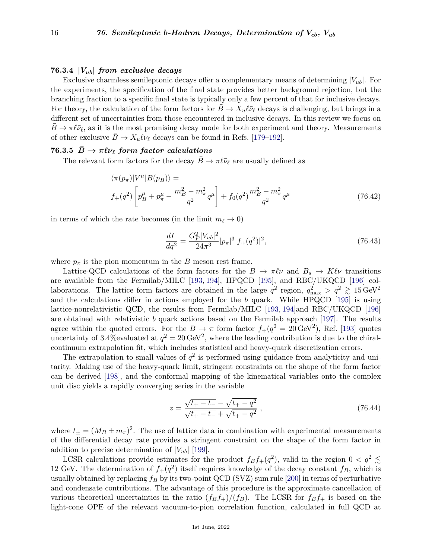#### **76.3.4 |***Vub***|** *from exclusive decays*

Exclusive charmless semileptonic decays offer a complementary means of determining  $|V_{ub}|$ . For the experiments, the specification of the final state provides better background rejection, but the branching fraction to a specific final state is typically only a few percent of that for inclusive decays. For theory, the calculation of the form factors for  $B \to X_u \ell \bar{\nu}_\ell$  decays is challenging, but brings in a different set of uncertainties from those encountered in inclusive decays. In this review we focus on  $\bar{B} \to \pi \ell \bar{\nu}_{\ell}$ , as it is the most promising decay mode for both experiment and theory. Measurements of other exclusive  $\bar{B} \to X_u \ell \bar{\nu}_\ell$  decays can be found in Refs. [\[179–](#page-30-2)[192\]](#page-30-3).

## **76.3.5**  $B \to \pi \ell \bar{\nu}_{\ell}$  form factor calculations

The relevant form factors for the decay  $B \to \pi \ell \bar{\nu}_{\ell}$  are usually defined as

$$
\langle \pi(p_{\pi})|V^{\mu}|B(p_{B})\rangle =
$$
  

$$
f_{+}(q^{2})\left[p_{B}^{\mu}+p_{\pi}^{\mu}-\frac{m_{B}^{2}-m_{\pi}^{2}}{q^{2}}q^{\mu}\right]+f_{0}(q^{2})\frac{m_{B}^{2}-m_{\pi}^{2}}{q^{2}}q^{\mu}
$$
 (76.42)

in terms of which the rate becomes (in the limit  $m_\ell \to 0$ )

$$
\frac{d\Gamma}{dq^2} = \frac{G_F^2 |V_{ub}|^2}{24\pi^3} |p_\pi|^3 |f_+(q^2)|^2,\tag{76.43}
$$

where  $p_{\pi}$  is the pion momentum in the *B* meson rest frame.

Lattice-QCD calculations of the form factors for the  $B \to \pi \ell \bar{\nu}$  and  $B_s \to K \ell \bar{\nu}$  transitions are available from the Fermilab/MILC [\[193,](#page-30-4) [194\]](#page-30-5), HPQCD [\[195\]](#page-30-6), and RBC/UKQCD [\[196\]](#page-30-7) collaborations. The lattice form factors are obtained in the large  $q^2$  region,  $q_{\text{max}}^2 > q^2 \geq 15 \,\text{GeV}^2$ and the calculations differ in actions employed for the *b* quark. While HPQCD [\[195\]](#page-30-6) is using lattice-nonrelativistic QCD, the results from Fermilab/MILC [\[193,](#page-30-4) [194\]](#page-30-5)and RBC/UKQCD [\[196\]](#page-30-7) are obtained with relativistic *b* quark actions based on the Fermilab approach [\[197\]](#page-30-8). The results agree within the quoted errors. For the  $B \to \pi$  form factor  $f_+(q^2 = 20 \,\text{GeV}^2)$ , Ref. [\[193\]](#page-30-4) quotes uncertainty of 3.4% evaluated at  $q^2 = 20 \,\text{GeV}^2$ , where the leading contribution is due to the chiralcontinuum extrapolation fit, which includes statistical and heavy-quark discretization errors.

The extrapolation to small values of  $q^2$  is performed using guidance from analyticity and unitarity. Making use of the heavy-quark limit, stringent constraints on the shape of the form factor can be derived [\[198\]](#page-30-9), and the conformal mapping of the kinematical variables onto the complex unit disc yields a rapidly converging series in the variable

$$
z = \frac{\sqrt{t_+ - t_-} - \sqrt{t_+ - q^2}}{\sqrt{t_+ - t_-} + \sqrt{t_+ - q^2}} \,,\tag{76.44}
$$

where  $t_{\pm} = (M_B \pm m_{\pi})^2$ . The use of lattice data in combination with experimental measurements of the differential decay rate provides a stringent constraint on the shape of the form factor in addition to precise determination of  $|V_{ub}|$  [\[199\]](#page-30-10).

LCSR calculations provide estimates for the product  $f_B f_+(q^2)$ , valid in the region  $0 < q^2 \lesssim$ 12 GeV. The determination of  $f_+(q^2)$  itself requires knowledge of the decay constant  $f_B$ , which is usually obtained by replacing *f<sup>B</sup>* by its two-point QCD (SVZ) sum rule [\[200\]](#page-30-11) in terms of perturbative and condensate contributions. The advantage of this procedure is the approximate cancellation of various theoretical uncertainties in the ratio  $(f_B f_+)/(f_B)$ . The LCSR for  $f_B f_+$  is based on the light-cone OPE of the relevant vacuum-to-pion correlation function, calculated in full QCD at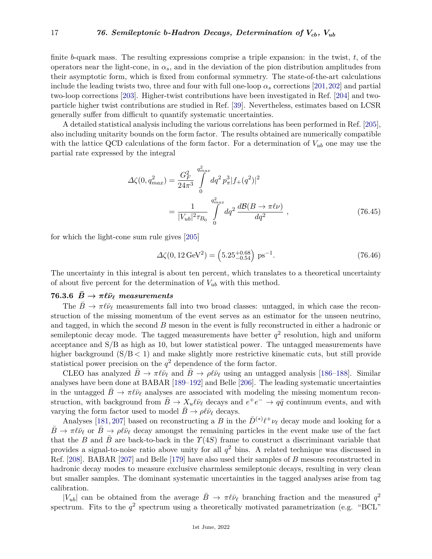finite *b*-quark mass. The resulting expressions comprise a triple expansion: in the twist, *t*, of the operators near the light-cone, in  $\alpha_s$ , and in the deviation of the pion distribution amplitudes from their asymptotic form, which is fixed from conformal symmetry. The state-of-the-art calculations include the leading twists two, three and four with full one-loop  $\alpha_s$  corrections [\[201,](#page-30-12)[202\]](#page-30-13) and partial two-loop corrections [\[203\]](#page-30-14). Higher-twist contributions have been investigated in Ref. [\[204\]](#page-30-15) and twoparticle higher twist contributions are studied in Ref. [\[39\]](#page-26-3). Nevertheless, estimates based on LCSR generally suffer from difficult to quantify systematic uncertainties.

A detailed statistical analysis including the various correlations has been performed in Ref. [\[205\]](#page-30-16), also including unitarity bounds on the form factor. The results obtained are numerically compatible with the lattice QCD calculations of the form factor. For a determination of  $V_{ub}$  one may use the partial rate expressed by the integral

$$
\Delta\zeta(0, q_{max}^2) = \frac{G_F^2}{24\pi^3} \int_0^{q_{max}^2} dq^2 p_\pi^3 |f_+(q^2)|^2
$$
  
= 
$$
\frac{1}{|V_{ub}|^2 \tau_{B_0}} \int_0^{q_{max}^2} dq^2 \frac{d\mathcal{B}(B \to \pi\ell\nu)}{dq^2} ,
$$
 (76.45)

for which the light-cone sum rule gives [\[205\]](#page-30-16)

$$
\Delta\zeta(0, 12 \,\text{GeV}^2) = \left(5.25^{+0.68}_{-0.54}\right) \,\text{ps}^{-1}.\tag{76.46}
$$

The uncertainty in this integral is about ten percent, which translates to a theoretical uncertainty of about five percent for the determination of  $V_{ub}$  with this method.

## **76.3.6**  $\bar{B} \rightarrow \pi \ell \bar{\nu}_{\ell}$  measurements

The  $B \to \pi \ell \bar{\nu}_\ell$  measurements fall into two broad classes: untagged, in which case the reconstruction of the missing momentum of the event serves as an estimator for the unseen neutrino, and tagged, in which the second *B* meson in the event is fully reconstructed in either a hadronic or semileptonic decay mode. The tagged measurements have better  $q^2$  resolution, high and uniform acceptance and S/B as high as 10, but lower statistical power. The untagged measurements have higher background  $(S/B < 1)$  and make slightly more restrictive kinematic cuts, but still provide statistical power precision on the  $q<sup>2</sup>$  dependence of the form factor.

CLEO has analyzed  $B \to \pi \ell \bar{\nu}_{\ell}$  and  $\bar{B} \to \rho \ell \bar{\nu}_{\ell}$  using an untagged analysis [\[186–](#page-30-17)[188\]](#page-30-18). Similar analyses have been done at BABAR [\[189–](#page-30-19)[192\]](#page-30-3) and Belle [\[206\]](#page-30-20). The leading systematic uncertainties in the untagged  $B \to \pi \ell \bar{\nu}_{\ell}$  analyses are associated with modeling the missing momentum reconstruction, with background from  $\bar{B} \to X_u \ell \bar{\nu}_\ell$  decays and  $e^+e^- \to q\bar{q}$  continuum events, and with varying the form factor used to model  $\bar{B} \to \rho \ell \bar{\nu}_{\ell}$  decays.

Analyses [\[181,](#page-30-21) [207\]](#page-30-22) based on reconstructing a *B* in the  $\bar{D}^{(*)}\ell^+\nu_{\ell}$  decay mode and looking for a  $\bar{B} \to \pi \ell \bar{\nu}_{\ell}$  or  $\bar{B} \to \rho \ell \bar{\nu}_{\ell}$  decay amongst the remaining particles in the event make use of the fact that the *B* and  $\bar{B}$  are back-to-back in the  $\gamma(4S)$  frame to construct a discriminant variable that provides a signal-to-noise ratio above unity for all  $q^2$  bins. A related technique was discussed in Ref. [\[208\]](#page-31-0). BABAR [\[207\]](#page-30-22) and Belle [\[179\]](#page-30-2) have also used their samples of *B* mesons reconstructed in hadronic decay modes to measure exclusive charmless semileptonic decays, resulting in very clean but smaller samples. The dominant systematic uncertainties in the tagged analyses arise from tag calibration.

| $|V_{ub}|$  can be obtained from the average  $\bar{B} \to \pi \ell \bar{\nu}_{\ell}$  branching fraction and the measured  $q^2$ spectrum. Fits to the  $q^2$  spectrum using a theoretically motivated parametrization (e.g. "BCL"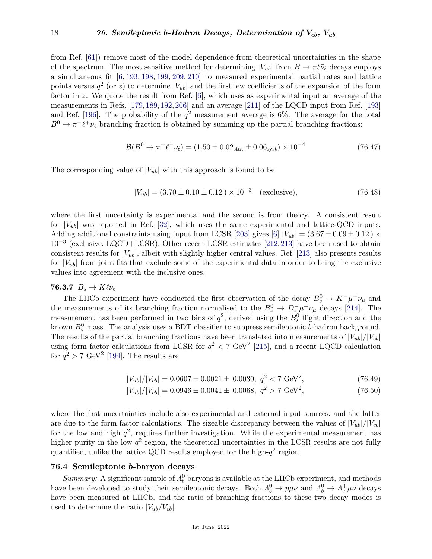from Ref. [\[61\]](#page-26-17)) remove most of the model dependence from theoretical uncertainties in the shape of the spectrum. The most sensitive method for determining  $|V_{ub}|$  from  $B \to \pi \ell \bar{\nu}_{\ell}$  decays employs a simultaneous fit [\[6,](#page-25-0) [193,](#page-30-4) [198,](#page-30-9) [199,](#page-30-10) [209,](#page-31-1) [210\]](#page-31-2) to measured experimental partial rates and lattice points versus  $q^2$  (or *z*) to determine  $|V_{ub}|$  and the first few coefficients of the expansion of the form factor in *z*. We quote the result from Ref. [\[6\]](#page-25-0), which uses as experimental input an average of the measurements in Refs. [\[179,](#page-30-2) [189,](#page-30-19) [192,](#page-30-3) [206\]](#page-30-20) and an average [\[211\]](#page-31-3) of the LQCD input from Ref. [\[193\]](#page-30-4) and Ref. [\[196\]](#page-30-7). The probability of the  $q^2$  measurement average is 6%. The average for the total  $B^0 \to \pi^- \ell^+ \nu_\ell$  branching fraction is obtained by summing up the partial branching fractions:

$$
\mathcal{B}(B^0 \to \pi^- \ell^+ \nu_\ell) = (1.50 \pm 0.02_{\text{stat}} \pm 0.06_{\text{syst}}) \times 10^{-4} \tag{76.47}
$$

The corresponding value of  $|V_{ub}|$  with this approach is found to be

$$
|V_{ub}| = (3.70 \pm 0.10 \pm 0.12) \times 10^{-3} \quad \text{(exclusive)},\tag{76.48}
$$

where the first uncertainty is experimental and the second is from theory. A consistent result for  $|V_{ub}|$  was reported in Ref. [\[32\]](#page-25-16), which uses the same experimental and lattice-QCD inputs. Adding additional constraints using input from LCSR [\[203\]](#page-30-14) gives [\[6\]](#page-25-0)  $|V_{ub}| = (3.67 \pm 0.09 \pm 0.12) \times$ 10−<sup>3</sup> (exclusive, LQCD+LCSR). Other recent LCSR estimates [\[212,](#page-31-4)[213\]](#page-31-5) have been used to obtain consistent results for  $|V_{ub}|$ , albeit with slightly higher central values. Ref. [\[213\]](#page-31-5) also presents results for  $|V_{ub}|$  from joint fits that exclude some of the experimental data in order to bring the exclusive values into agreement with the inclusive ones.

# **76.3.7**  $\bar{B}_s \to K \ell \bar{\nu}_{\ell}$

The LHCb experiment have conducted the first observation of the decay  $B_s^0 \to K^- \mu^+ \nu_\mu$  and the measurements of its branching fraction normalised to the  $B_s^0 \to D_s^- \mu^+ \nu_\mu$  decays [\[214\]](#page-31-6). The measurement has been performed in two bins of  $q^2$ , derived using the  $B_s^0$  flight direction and the known  $B_s^0$  mass. The analysis uses a BDT classifier to suppress semileptonic *b*-hadron background. The results of the partial branching fractions have been translated into measurements of  $|V_{ub}|/|V_{cb}|$ using form factor calculations from LCSR for  $q^2 < 7$  GeV<sup>2</sup> [\[215\]](#page-31-7), and a recent LQCD calculation for  $q^2 > 7$  GeV<sup>2</sup> [\[194\]](#page-30-5). The results are

$$
|V_{ub}|/|V_{cb}| = 0.0607 \pm 0.0021 \pm 0.0030, \ q^2 < 7 \text{ GeV}^2,\tag{76.49}
$$

$$
|V_{ub}|/|V_{cb}| = 0.0607 \pm 0.0021 \pm 0.0030, q^2 < 7 \text{ GeV}^2,
$$
(76.49)  

$$
|V_{ub}|/|V_{cb}| = 0.0946 \pm 0.0041 \pm 0.0068, q^2 > 7 \text{ GeV}^2,
$$
(76.50)

where the first uncertainties include also experimental and external input sources, and the latter are due to the form factor calculations. The sizeable discrepancy between the values of  $|V_{ub}|/|V_{cb}|$ for the low and high  $q^2$ , requires further investigation. While the experimental measurement has higher purity in the low  $q^2$  region, the theoretical uncertainties in the LCSR results are not fully quantified, unlike the lattice QCD results employed for the high- $q^2$  region.

#### **76.4 Semileptonic** *b***-baryon decays**

*Summary:* A significant sample of  $\Lambda_b^0$  baryons is available at the LHCb experiment, and methods have been developed to study their semileptonic decays. Both  $\Lambda_b^0 \to p\mu\bar{\nu}$  and  $\Lambda_b^0 \to \Lambda_c^+\mu\bar{\nu}$  decays have been measured at LHCb, and the ratio of branching fractions to these two decay modes is used to determine the ratio  $|V_{ub}/V_{cb}|$ .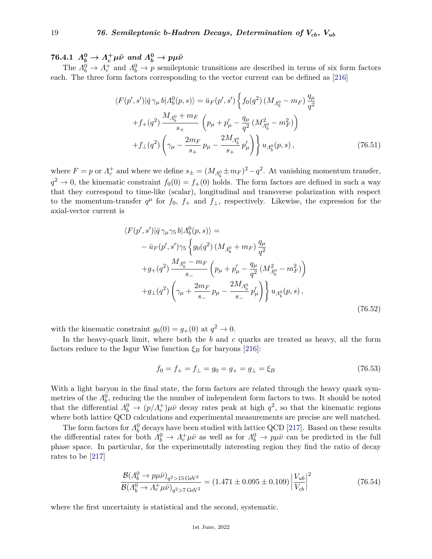$76.4.1 \ \ A_b^0 \rightarrow A_c^+ \mu \bar{\nu} \ \ and \ \ \Lambda_b^0 \rightarrow p \mu \bar{\nu}$ 

The  $\Lambda_b^0 \to \Lambda_c^+$  and  $\Lambda_b^0 \to p$  semileptonic transitions are described in terms of six form factors each. The three form factors corresponding to the vector current can be defined as [\[216\]](#page-31-8)

$$
\langle F(p',s')|\bar{q}\gamma_{\mu}b|A_b^0(p,s)\rangle = \bar{u}_F(p',s')\left\{f_0(q^2)(M_{A_b^0} - m_F)\frac{q_{\mu}}{q^2} + f_{+}(q^2)\frac{M_{A_b^0} + m_F}{s_+}\left(p_{\mu} + p'_{\mu} - \frac{q_{\mu}}{q^2}(M_{A_b^0}^2 - m_F^2)\right) + f_{\perp}(q^2)\left(\gamma_{\mu} - \frac{2m_F}{s_+}p_{\mu} - \frac{2M_{A_b^0}}{s_+}p'_{\mu}\right)\right\}u_{A_b^0}(p,s),\tag{76.51}
$$

where  $F = p$  or  $\Lambda_c^+$  and where we define  $s_{\pm} = (M_{\Lambda_b^0} \pm m_F)^2 - q^2$ . At vanishing momentum transfer,  $q^2 \to 0$ , the kinematic constraint  $f_0(0) = f_+(0)$  holds. The form factors are defined in such a way that they correspond to time-like (scalar), longitudinal and transverse polarization with respect to the momentum-transfer  $q^{\mu}$  for  $f_0$ ,  $f_+$  and  $f_{\perp}$ , respectively. Likewise, the expression for the axial-vector current is

$$
\langle F(p',s')|\bar{q}\gamma_{\mu}\gamma_{5} b|A_{b}^{0}(p,s)\rangle =
$$
  
\n
$$
-\bar{u}_{F}(p',s')\gamma_{5}\left\{g_{0}(q^{2})(M_{A_{b}^{0}}+m_{F})\frac{q_{\mu}}{q^{2}}\right\}
$$
  
\n
$$
+g_{+}(q^{2})\frac{M_{A_{b}^{0}}-m_{F}}{s_{-}}\left(p_{\mu}+p'_{\mu}-\frac{q_{\mu}}{q^{2}}(M_{A_{b}^{0}}^{2}-m_{F}^{2})\right)
$$
  
\n
$$
+g_{\perp}(q^{2})\left(\gamma_{\mu}+\frac{2m_{F}}{s_{-}}p_{\mu}-\frac{2M_{A_{b}^{0}}}{s_{-}}p'_{\mu}\right)\left\}u_{A_{b}^{0}}(p,s), \tag{76.52}
$$

with the kinematic constraint  $g_0(0) = g_+(0)$  at  $q^2 \to 0$ .

In the heavy-quark limit, where both the *b* and *c* quarks are treated as heavy, all the form factors reduce to the Isgur Wise function  $\xi_B$  for baryons [\[216\]](#page-31-8):

$$
f_0 = f_+ = f_\perp = g_0 = g_+ = g_\perp = \xi_B \tag{76.53}
$$

With a light baryon in the final state, the form factors are related through the heavy quark symmetries of the  $\Lambda_b^0$ , reducing the the number of independent form factors to two. It should be noted that the differential  $\Lambda_b^0 \to (p/\Lambda_c^+) \mu \bar{\nu}$  decay rates peak at high  $q^2$ , so that the kinematic regions where both lattice QCD calculations and experimental measurements are precise are well matched.

The form factors for  $\Lambda_b^0$  decays have been studied with lattice QCD [\[217\]](#page-31-9). Based on these results the differential rates for both  $\Lambda_b^0 \to \Lambda_c^+\mu\bar{\nu}$  as well as for  $\Lambda_b^0 \to p\mu\bar{\nu}$  can be predicted in the full phase space. In particular, for the experimentally interesting region they find the ratio of decay rates to be [\[217\]](#page-31-9)

$$
\frac{\mathcal{B}(A_b^0 \to p\mu\bar{\nu})_{q^2 > 15 \text{ GeV}^2}}{\mathcal{B}(A_b^0 \to A_c^+ \mu\bar{\nu})_{q^2 > 7 \text{ GeV}^2}} = (1.471 \pm 0.095 \pm 0.109) \left| \frac{V_{ub}}{V_{cb}} \right|^2 \tag{76.54}
$$

where the first uncertainty is statistical and the second, systematic.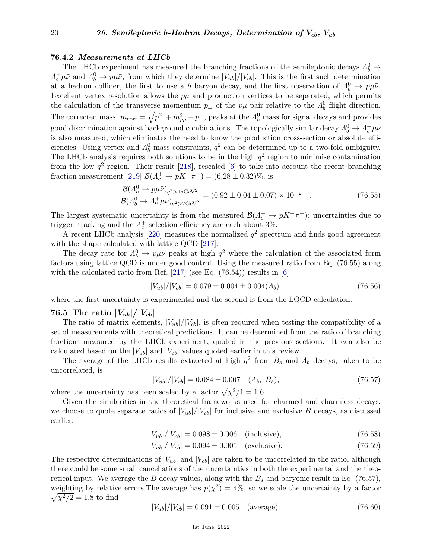#### **76.4.2** *Measurements at LHCb*

The LHCb experiment has measured the branching fractions of the semileptonic decays  $\Lambda_b^0 \rightarrow$  $\Lambda_c^+\mu\bar{\nu}$  and  $\Lambda_b^0 \to p\mu\bar{\nu}$ , from which they determine  $|V_{ub}|/|V_{cb}|$ . This is the first such determination at a hadron collider, the first to use a *b* baryon decay, and the first observation of  $\Lambda_b^0 \to p\mu\bar{\nu}$ . Excellent vertex resolution allows the  $p\mu$  and production vertices to be separated, which permits the calculation of the transverse momentum  $p_{\perp}$  of the  $p\mu$  pair relative to the  $\Lambda_b^0$  flight direction. The corrected mass,  $m_{\text{corr}} = \sqrt{p_{\perp}^2 + m_{p\mu}^2} + p_{\perp}$ , peaks at the  $\Lambda_b^0$  mass for signal decays and provides good discrimination against background combinations. The topologically similar decay  $\Lambda_b^0 \to \Lambda_c^+ \mu \bar{\nu}$ is also measured, which eliminates the need to know the production cross-section or absolute efficiencies. Using vertex and  $\Lambda_b^0$  mass constraints,  $q^2$  can be determined up to a two-fold ambiguity. The LHCb analysis requires both solutions to be in the high  $q<sup>2</sup>$  region to minimise contamination from the low  $q^2$  region. Their result [\[218\]](#page-31-10), rescaled [\[6\]](#page-25-0) to take into account the recent branching fraction measurement [\[219\]](#page-31-11)  $\mathcal{B}(\Lambda_c^+ \to pK^-\pi^+) = (6.28 \pm 0.32)\%$ , is

$$
\frac{\mathcal{B}(A_b^0 \to p\mu\bar{\nu})_{q^2 > 15 \text{GeV}^2}}{\mathcal{B}(A_b^0 \to A_c^+ \mu\bar{\nu})_{q^2 > 7 \text{GeV}^2}} = (0.92 \pm 0.04 \pm 0.07) \times 10^{-2} \quad . \tag{76.55}
$$

The largest systematic uncertainty is from the measured  $\mathcal{B}(\Lambda_c^+ \to pK^-\pi^+)$ ; uncertainties due to trigger, tracking and the  $\Lambda_c^+$  selection efficiency are each about 3%.

A recent LHCb analysis [\[220\]](#page-31-12) measures the normalized  $q^2$  spectrum and finds good agreement with the shape calculated with lattice QCD [\[217\]](#page-31-9).

The decay rate for  $\Lambda_b^0 \to p\mu\bar{\nu}$  peaks at high  $q^2$  where the calculation of the associated form factors using lattice QCD is under good control. Using the measured ratio from Eq. (76.55) along with the calculated ratio from Ref.  $[217]$  (see Eq. (76.54)) results in [\[6\]](#page-25-0)

$$
|V_{ub}|/|V_{cb}| = 0.079 \pm 0.004 \pm 0.004 (A_b). \tag{76.56}
$$

where the first uncertainty is experimental and the second is from the LQCD calculation.

## **76.5 The ratio**  $|V_{ub}|/|V_{cb}|$

The ratio of matrix elements,  $|V_{ub}|/|V_{cb}|$ , is often required when testing the compatibility of a set of measurements with theoretical predictions. It can be determined from the ratio of branching fractions measured by the LHCb experiment, quoted in the previous sections. It can also be calculated based on the  $|V_{ub}|$  and  $|V_{cb}|$  values quoted earlier in this review.

The average of the LHCb results extracted at high  $q^2$  from  $B_s$  and  $\Lambda_b$  decays, taken to be uncorrelated, is

$$
|V_{ub}|/|V_{cb}| = 0.084 \pm 0.007 \quad (A_b, B_s), \tag{76.57}
$$

where the uncertainty has been scaled by a factor  $\sqrt{\chi^2/1} = 1.6$ .

Given the similarities in the theoretical frameworks used for charmed and charmless decays, we choose to quote separate ratios of  $|V_{ub}|/|V_{cb}|$  for inclusive and exclusive *B* decays, as discussed earlier:

$$
|V_{ub}|/|V_{cb}| = 0.098 \pm 0.006 \quad \text{(inclusive)},\tag{76.58}
$$

$$
|V_{ub}|/|V_{cb}| = 0.094 \pm 0.005 \quad \text{(exclusive)}.\tag{76.59}
$$

The respective determinations of  $|V_{ub}|$  and  $|V_{cb}|$  are taken to be uncorrelated in the ratio, although there could be some small cancellations of the uncertainties in both the experimental and the theoretical input. We average the *B* decay values, along with the  $B_s$  and baryonic result in Eq. (76.57), weighting by relative errors. The average has  $p(\chi^2) = 4\%$ , so we scale the uncertainty by a factor  $\sqrt{\chi^2/2} = 1.8$  to find

$$
|V_{ub}|/|V_{cb}| = 0.091 \pm 0.005 \quad \text{(average)}.\tag{76.60}
$$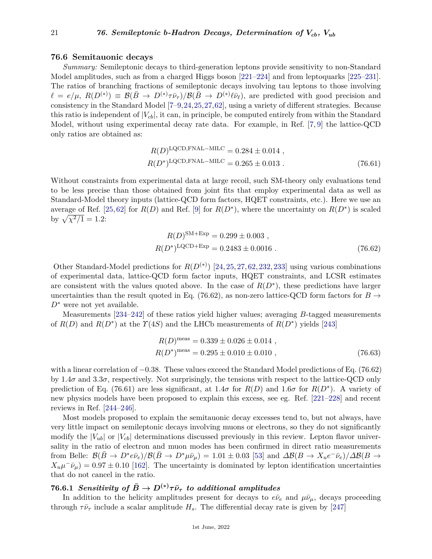### **76.6 Semitauonic decays**

*Summary:* Semileptonic decays to third-generation leptons provide sensitivity to non-Standard Model amplitudes, such as from a charged Higgs boson [\[221–](#page-31-13)[224\]](#page-31-14) and from leptoquarks [\[225–](#page-31-15)[231\]](#page-31-16). The ratios of branching fractions of semileptonic decays involving tau leptons to those involving  $\ell = e/\mu$ ,  $R(D^{(*)}) \equiv \mathcal{B}(\bar{B} \to D^{(*)}\tau\bar{\nu}_{\tau})/\mathcal{B}(\bar{B} \to D^{(*)}\ell\bar{\nu}_{\ell})$ , are predicted with good precision and consistency in the Standard Model [\[7–](#page-25-1)[9,](#page-25-2)[24,](#page-25-12)[25,](#page-25-25)[27,](#page-25-22)[62\]](#page-26-18), using a variety of different strategies. Because this ratio is independent of  $|V_{cb}|$ , it can, in principle, be computed entirely from within the Standard Model, without using experimental decay rate data. For example, in Ref. [\[7,](#page-25-1) [9\]](#page-25-2) the lattice-QCD only ratios are obtained as:

$$
R(D)^{\text{LQCD,FNAL-MILC}} = 0.284 \pm 0.014 ,
$$
  
\n
$$
R(D^*)^{\text{LQCD,FNAL-MILC}} = 0.265 \pm 0.013 .
$$
 (76.61)

Without constraints from experimental data at large recoil, such SM-theory only evaluations tend to be less precise than those obtained from joint fits that employ experimental data as well as Standard-Model theory inputs (lattice-QCD form factors, HQET constraints, etc.). Here we use an average of Ref. [\[25,](#page-25-25)[62\]](#page-26-18) for  $R(D)$  and Ref. [\[9\]](#page-25-2) for  $R(D^*)$ , where the uncertainty on  $R(D^*)$  is scaled by  $\sqrt{\chi^2/1} = 1.2$ :

$$
R(D)^{\text{SM+Exp}} = 0.299 \pm 0.003 ,
$$
  
\n
$$
R(D^*)^{\text{LQCD+Exp}} = 0.2483 \pm 0.0016 .
$$
 (76.62)

Other Standard-Model predictions for  $R(D^{(*)})$  [\[24,](#page-25-12) [25,](#page-25-25) [27,](#page-25-22) [62,](#page-26-18) [232,](#page-31-17) [233\]](#page-31-18) using various combinations of experimental data, lattice-QCD form factor inputs, HQET constraints, and LCSR estimates are consistent with the values quoted above. In the case of  $R(D^*)$ , these predictions have larger uncertainties than the result quoted in Eq. (76.62), as non-zero lattice-QCD form factors for  $B \to$ *D*<sup>∗</sup> were not yet available.

Measurements [\[234–](#page-31-19)[242\]](#page-31-20) of these ratios yield higher values; averaging *B*-tagged measurements of  $R(D)$  and  $R(D^*)$  at the  $\Upsilon(4S)$  and the LHCb measurements of  $R(D^*)$  yields [\[243\]](#page-31-21)

$$
R(D)^{\text{meas}} = 0.339 \pm 0.026 \pm 0.014 ,
$$
  
\n
$$
R(D^*)^{\text{meas}} = 0.295 \pm 0.010 \pm 0.010 ,
$$
\n(76.63)

with a linear correlation of −0*.*38. These values exceed the Standard Model predictions of Eq. (76.62) by  $1.4\sigma$  and  $3.3\sigma$ , respectively. Not surprisingly, the tensions with respect to the lattice-QCD only prediction of Eq. (76.61) are less significant, at 1.4*σ* for  $R(D)$  and 1.6*σ* for  $R(D^*)$ . A variety of new physics models have been proposed to explain this excess, see eg. Ref. [\[221–](#page-31-13)[228\]](#page-31-22) and recent reviews in Ref. [\[244–](#page-31-23)[246\]](#page-32-0).

Most models proposed to explain the semitauonic decay excesses tend to, but not always, have very little impact on semileptonic decays involving muons or electrons, so they do not significantly modify the  $|V_{ub}|$  or  $|V_{cb}|$  determinations discussed previously in this review. Lepton flavor universality in the ratio of electron and muon modes has been confirmed in direct ratio measurements from Belle:  $\mathcal{B}(\bar{B} \to D^* e \bar{\nu}_e)/\mathcal{B}(\bar{B} \to D^* \mu \bar{\nu}_\mu) = 1.01 \pm 0.03$  [\[53\]](#page-26-8) and  $\Delta \mathcal{B}(B \to X_u e^- \bar{\nu}_e)/\Delta \mathcal{B}(B \to \bar{\nu}_e)$  $X_u \mu^- \bar{\nu}_\mu$ ) = 0.97 ± 0.10 [\[162\]](#page-29-19). The uncertainty is dominated by lepton identification uncertainties that do not cancel in the ratio.

## **76.6.1** *Sensitivity of*  $\bar{B} \to D^{(*)}\tau\bar{\nu}_{\tau}$  *to additional amplitudes*

In addition to the helicity amplitudes present for decays to  $e\bar{\nu}_e$  and  $\mu\bar{\nu}_\mu$ , decays proceeding through  $\tau \bar{\nu}_{\tau}$  include a scalar amplitude  $H_s$ . The differential decay rate is given by [\[247\]](#page-32-1)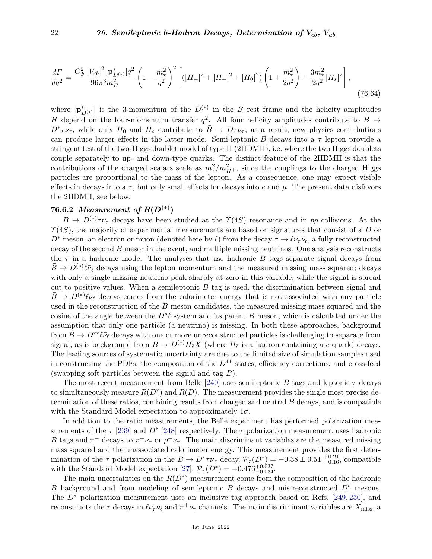$$
\frac{d\Gamma}{dq^2} = \frac{G_F^2 |V_{cb}|^2 |\mathbf{p}_{D^{(*)}}^*|q^2}{96\pi^3 m_B^2} \left(1 - \frac{m_\tau^2}{q^2}\right)^2 \left[ (|H_+|^2 + |H_-|^2 + |H_0|^2) \left(1 + \frac{m_\tau^2}{2q^2}\right) + \frac{3m_\tau^2}{2q^2} |H_s|^2 \right],\tag{76.64}
$$

where  $|\mathbf{p}_{D^{(*)}}^*|$  is the 3-momentum of the  $D^{(*)}$  in the  $\overline{B}$  rest frame and the helicity amplitudes *H* depend on the four-momentum transfer  $q^2$ . All four helicity amplitudes contribute to  $\bar{B} \rightarrow$  $D^* \tau \bar{\nu}_{\tau}$ , while only  $H_0$  and  $H_s$  contribute to  $\bar{B} \to D \tau \bar{\nu}_{\tau}$ ; as a result, new physics contributions can produce larger effects in the latter mode. Semi-leptonic *B* decays into a *τ* lepton provide a stringent test of the two-Higgs doublet model of type II (2HDMII), i.e. where the two Higgs doublets couple separately to up- and down-type quarks. The distinct feature of the 2HDMII is that the contributions of the charged scalars scale as  $m_\tau^2/m_{H^+}^2$ , since the couplings to the charged Higgs particles are proportional to the mass of the lepton. As a consequence, one may expect visible effects in decays into a  $\tau$ , but only small effects for decays into *e* and  $\mu$ . The present data disfavors the 2HDMII, see below.

## **76.6.2** *Measurement of*  $R(D^{(*)})$

 $\bar{B} \to D^{(*)}\tau\bar{\nu}_{\tau}$  decays have been studied at the  $\gamma(4S)$  resonance and in *pp* collisions. At the *Υ*(4*S*), the majority of experimental measurements are based on signatures that consist of a *D* or *D*<sup>\*</sup> meson, an electron or muon (denoted here by  $\ell$ ) from the decay  $\tau \to \ell \nu_{\tau} \bar{\nu}_{\ell}$ , a fully-reconstructed decay of the second *B* meson in the event, and multiple missing neutrinos. One analysis reconstructs the  $\tau$  in a hadronic mode. The analyses that use hadronic *B* tags separate signal decays from  $\bar{B} \to D^{(*)}\ell\bar{\nu}_{\ell}$  decays using the lepton momentum and the measured missing mass squared; decays with only a single missing neutrino peak sharply at zero in this variable, while the signal is spread out to positive values. When a semileptonic *B* tag is used, the discrimination between signal and  $\bar{B}$   $\rightarrow$  *D*<sup>(\*)</sup> $\ell \bar{\nu}_{\ell}$  decays comes from the calorimeter energy that is not associated with any particle used in the reconstruction of the *B* meson candidates, the measured missing mass squared and the cosine of the angle between the  $D^*\ell$  system and its parent *B* meson, which is calculated under the assumption that only one particle (a neutrino) is missing. In both these approaches, background from  $\bar{B} \to D^{**} \ell \bar{\nu}_\ell$  decays with one or more unreconstructed particles is challenging to separate from signal, as is background from  $\bar{B} \to D^{(*)} H_{\bar{c}} X$  (where  $H_{\bar{c}}$  is a hadron containing a  $\bar{c}$  quark) decays. The leading sources of systematic uncertainty are due to the limited size of simulation samples used in constructing the PDFs, the composition of the *D*∗∗ states, efficiency corrections, and cross-feed (swapping soft particles between the signal and tag *B*).

The most recent measurement from Belle [\[240\]](#page-31-24) uses semileptonic *B* tags and leptonic *τ* decays to simultaneously measure  $R(D^*)$  and  $R(D)$ . The measurement provides the single most precise determination of these ratios, combining results from charged and neutral *B* decays, and is compatible with the Standard Model expectation to approximately 1*σ*.

In addition to the ratio measurements, the Belle experiment has performed polarization measurements of the  $\tau$  [\[239\]](#page-31-25) and  $D^*$  [\[248\]](#page-32-2) respectively. The  $\tau$  polarization measurement uses hadronic *B* tags and  $\tau^-$  decays to  $\pi^- \nu_\tau$  or  $\rho^- \nu_\tau$ . The main discriminant variables are the measured missing mass squared and the unassociated calorimeter energy. This measurement provides the first determination of the  $\tau$  polarization in the  $\bar{B} \to D^* \tau \bar{\nu}_{\tau}$  decay,  $\mathcal{P}_{\tau}(D^*) = -0.38 \pm 0.51 \frac{+0.21}{-0.16}$ , compatible with the Standard Model expectation [\[27\]](#page-25-22),  $\mathcal{P}_{\tau}(D^*) = -0.476_{-0.034}^{+0.037}$ .

The main uncertainties on the  $R(D^*)$  measurement come from the composition of the hadronic *B* background and from modeling of semileptonic *B* decays and mis-reconstructed *D*<sup>∗</sup> mesons. The *D*<sup>∗</sup> polarization measurement uses an inclusive tag approach based on Refs. [\[249,](#page-32-3) [250\]](#page-32-4), and reconstructs the  $\tau$  decays in  $\ell \nu_{\tau} \bar{\nu}_{\ell}$  and  $\pi^{+} \bar{\nu}_{\tau}$  channels. The main discriminant variables are  $X_{\text{miss}}$ , a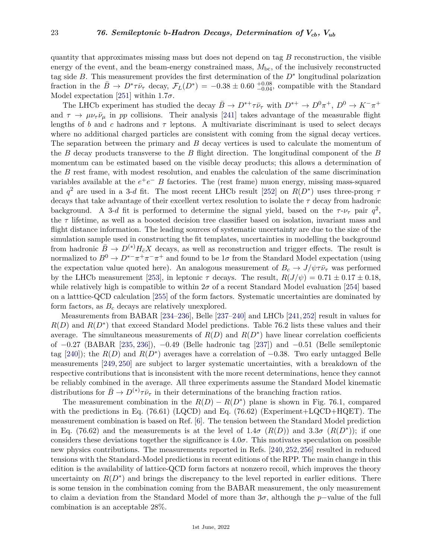quantity that approximates missing mass but does not depend on tag *B* reconstruction, the visible energy of the event, and the beam-energy constrained mass,  $M_{\text{bc}}$ , of the inclusively reconstructed tag side *B*. This measurement provides the first determination of the *D*<sup>∗</sup> longitudinal polarization fraction in the  $\bar{B} \to D^* \tau \bar{\nu}_{\tau}$  decay,  $\mathcal{F}_L(D^*) = -0.38 \pm 0.60 \frac{+0.08}{-0.04}$ , compatible with the Standard Model expectation [\[251\]](#page-32-5) within 1.7*σ*.

The LHCb experiment has studied the decay  $\bar{B} \to D^{*+}\tau\bar{\nu}_{\tau}$  with  $D^{*+} \to D^0\pi^+$ ,  $D^0 \to K^-\pi^+$ and  $\tau \to \mu \nu_{\tau} \bar{\nu}_{\mu}$  in *pp* collisions. Their analysis [\[241\]](#page-31-26) takes advantage of the measurable flight lengths of *b* and *c* hadrons and  $\tau$  leptons. A multivariate discriminant is used to select decays where no additional charged particles are consistent with coming from the signal decay vertices. The separation between the primary and *B* decay vertices is used to calculate the momentum of the *B* decay products transverse to the *B* flight direction. The longitudinal component of the *B* momentum can be estimated based on the visible decay products; this allows a determination of the *B* rest frame, with modest resolution, and enables the calculation of the same discrimination variables available at the  $e^+e^-$  *B* factories. The (rest frame) muon energy, missing mass-squared and  $q^2$  are used in a 3-*d* fit. The most recent LHCb result [\[252\]](#page-32-6) on  $R(D^*)$  uses three-prong  $\tau$ decays that take advantage of their excellent vertex resolution to isolate the *τ* decay from hadronic background. A 3-*d* fit is performed to determine the signal yield, based on the  $\tau$ - $\nu_{\tau}$  pair  $q^2$ , the *τ* lifetime, as well as a boosted decision tree classifier based on isolation, invariant mass and flight distance information. The leading sources of systematic uncertainty are due to the size of the simulation sample used in constructing the fit templates, uncertainties in modelling the background from hadronic  $\bar{B} \to D^{(*)} H_{\bar{c}} X$  decays, as well as reconstruction and trigger effects. The result is normalized to  $B^0 \to D^{*-}\pi^+\pi^-\pi^+$  and found to be 1 $\sigma$  from the Standard Model expectation (using the expectation value quoted here). An analogous measurement of  $B_c \to J/\psi \tau \bar{\nu}_{\tau}$  was performed by the LHCb measurement [\[253\]](#page-32-7), in leptonic  $\tau$  decays. The result,  $R(J/\psi) = 0.71 \pm 0.17 \pm 0.18$ , while relatively high is compatible to within  $2\sigma$  of a recent Standard Model evaluation [\[254\]](#page-32-8) based on a latttice-QCD calculation [\[255\]](#page-32-9) of the form factors. Systematic uncertainties are dominated by form factors, as *B<sup>c</sup>* decays are relatively unexplored.

Measurements from BABAR [\[234–](#page-31-19)[236\]](#page-31-27), Belle [\[237–](#page-31-28)[240\]](#page-31-24) and LHCb [\[241,](#page-31-26)[252\]](#page-32-6) result in values for  $R(D)$  and  $R(D^*)$  that exceed Standard Model predictions. Table 76.2 lists these values and their average. The simultaneous measurements of  $R(D)$  and  $R(D^*)$  have linear correlation coefficients of −0*.*27 (BABAR [\[235,](#page-31-29) [236\]](#page-31-27)), −0*.*49 (Belle hadronic tag [\[237\]](#page-31-28)) and −0*.*51 (Belle semileptonic tag [\[240\]](#page-31-24)); the  $R(D)$  and  $R(D^*)$  averages have a correlation of  $-0.38$ . Two early untagged Belle measurements [\[249,](#page-32-3) [250\]](#page-32-4) are subject to larger systematic uncertainties, with a breakdown of the respective contributions that is inconsistent with the more recent determinations, hence they cannot be reliably combined in the average. All three experiments assume the Standard Model kinematic distributions for  $\bar{B} \to D^{(*)}\tau\bar{\nu}_{\tau}$  in their determinations of the branching fraction ratios.

The measurement combination in the  $R(D) - R(D^*)$  plane is shown in Fig. 76.1, compared with the predictions in Eq. (76.61) (LQCD) and Eq. (76.62) (Experiment+LQCD+HQET). The measurement combination is based on Ref. [\[6\]](#page-25-0). The tension between the Standard Model prediction in Eq. (76.62) and the measurements is at the level of  $1.4\sigma$  ( $R(D)$ ) and  $3.3\sigma$  ( $R(D^*)$ ); if one considers these deviations together the significance is  $4.0\sigma$ . This motivates speculation on possible new physics contributions. The measurements reported in Refs. [\[240,](#page-31-24) [252,](#page-32-6) [256\]](#page-32-10) resulted in reduced tensions with the Standard-Model predictions in recent editions of the RPP. The main change in this edition is the availability of lattice-QCD form factors at nonzero recoil, which improves the theory uncertainty on  $R(D^*)$  and brings the discrepancy to the level reported in earlier editions. There is some tension in the combination coming from the BABAR measurement, the only measurement to claim a deviation from the Standard Model of more than 3*σ*, although the *p*−value of the full combination is an acceptable 28%.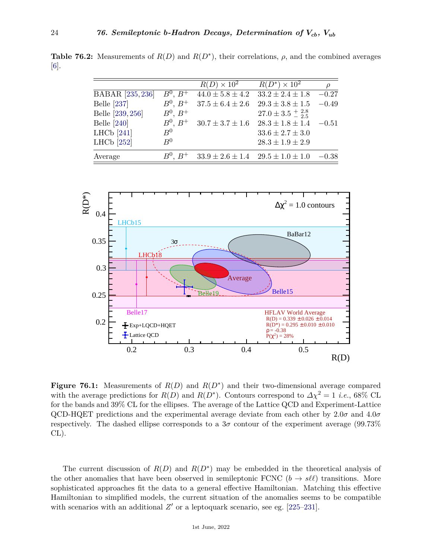**Table 76.2:** Measurements of  $R(D)$  and  $R(D^*)$ , their correlations,  $\rho$ , and the combined averages [\[6\]](#page-25-0).

|                         |               | $R(D) \times 10^2$                            | $R(D^*)\times 10^2$                | $\rho$  |
|-------------------------|---------------|-----------------------------------------------|------------------------------------|---------|
| <b>BABAR</b> [235, 236] | $B^0, B^+$    | $44.0 \pm 5.8 \pm 4.2$                        | $33.2 \pm 2.4 \pm 1.8$             | $-0.27$ |
| Belle [237]             | $B^0, B^+$    | $37.5 \pm 6.4 \pm 2.6$                        | $29.3 \pm 3.8 \pm 1.5$             | $-0.49$ |
| Belle [239, 256]        | $B^0, B^+$    |                                               | $27.0 \pm 3.5 \pm \frac{2.8}{2.5}$ |         |
| <b>Belle</b> [240]      | $B^0$ , $B^+$ | $30.7 \pm 3.7 \pm 1.6$                        | $28.3 \pm 1.8 \pm 1.4$             | $-0.51$ |
| LHCb $[241]$            | $R^0$         |                                               | $33.6 \pm 2.7 \pm 3.0$             |         |
| LHCb $[252]$            | $R^0$         |                                               | $28.3\pm1.9\pm2.9$                 |         |
| Average                 | $B^0$ , $B^+$ | $33.9 \pm 2.6 \pm 1.4$ $29.5 \pm 1.0 \pm 1.0$ |                                    | $-0.38$ |



**Figure 76.1:** Measurements of  $R(D)$  and  $R(D^*)$  and their two-dimensional average compared with the average predictions for  $R(D)$  and  $R(D^*)$ . Contours correspond to  $\Delta \chi^2 = 1$  *i.e.*, 68% CL for the bands and 39% CL for the ellipses. The average of the Lattice QCD and Experiment-Lattice QCD-HQET predictions and the experimental average deviate from each other by 2.0*σ* and 4.0*σ* respectively. The dashed ellipse corresponds to a  $3\sigma$  contour of the experiment average (99.73%) CL).

The current discussion of  $R(D)$  and  $R(D^*)$  may be embedded in the theoretical analysis of the other anomalies that have been observed in semileptonic FCNC  $(b \rightarrow s\ell\ell)$  transitions. More sophisticated approaches fit the data to a general effective Hamiltonian. Matching this effective Hamiltonian to simplified models, the current situation of the anomalies seems to be compatible with scenarios with an additional  $Z'$  or a leptoquark scenario, see eg.  $[225-231]$  $[225-231]$ .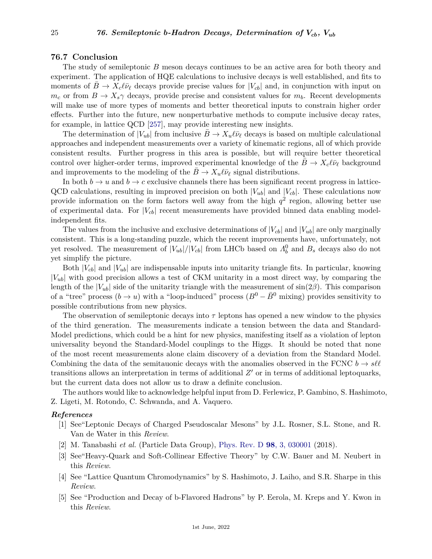## **76.7 Conclusion**

The study of semileptonic *B* meson decays continues to be an active area for both theory and experiment. The application of HQE calculations to inclusive decays is well established, and fits to moments of  $B \to X_c \ell \bar{\nu}_\ell$  decays provide precise values for  $|V_{cb}|$  and, in conjunction with input on  $m_c$  or from  $B \to X_s \gamma$  decays, provide precise and consistent values for  $m_b$ . Recent developments will make use of more types of moments and better theoretical inputs to constrain higher order effects. Further into the future, new nonperturbative methods to compute inclusive decay rates, for example, in lattice QCD [\[257\]](#page-32-11), may provide interesting new insights.

The determination of  $|V_{ub}|$  from inclusive  $B \to X_u \ell \bar{\nu}_\ell$  decays is based on multiple calculational approaches and independent measurements over a variety of kinematic regions, all of which provide consistent results. Further progress in this area is possible, but will require better theoretical control over higher-order terms, improved experimental knowledge of the  $B \to X_c \ell \bar{\nu}_\ell$  background and improvements to the modeling of the  $B \to X_u \ell \bar{\nu}_\ell$  signal distributions.

In both  $b \to u$  and  $b \to c$  exclusive channels there has been significant recent progress in lattice-QCD calculations, resulting in improved precision on both  $|V_{ub}|$  and  $|V_{cb}|$ . These calculations now provide information on the form factors well away from the high  $q^2$  region, allowing better use of experimental data. For  $|V_{cb}|$  recent measurements have provided binned data enabling modelindependent fits.

The values from the inclusive and exclusive determinations of  $|V_{cb}|$  and  $|V_{ub}|$  are only marginally consistent. This is a long-standing puzzle, which the recent improvements have, unfortunately, not yet resolved. The measurement of  $|V_{ub}|/|V_{cb}|$  from LHCb based on  $\Lambda_b^0$  and  $B_s$  decays also do not yet simplify the picture.

Both  $|V_{cb}|$  and  $|V_{ub}|$  are indispensable inputs into unitarity triangle fits. In particular, knowing |*Vub*| with good precision allows a test of CKM unitarity in a most direct way, by comparing the length of the  $|V_{ub}|$  side of the unitarity triangle with the measurement of  $sin(2\beta)$ . This comparison of a "tree" process  $(b \to u)$  with a "loop-induced" process  $(B^0 - \bar{B}^0$  mixing) provides sensitivity to possible contributions from new physics.

The observation of semileptonic decays into *τ* leptons has opened a new window to the physics of the third generation. The measurements indicate a tension between the data and Standard-Model predictions, which could be a hint for new physics, manifesting itself as a violation of lepton universality beyond the Standard-Model couplings to the Higgs. It should be noted that none of the most recent measurements alone claim discovery of a deviation from the Standard Model. Combining the data of the semitauonic decays with the anomalies observed in the FCNC  $b \rightarrow s\ell\ell$ transitions allows an interpretation in terms of additional  $Z'$  or in terms of additional leptoquarks, but the current data does not allow us to draw a definite conclusion.

The authors would like to acknowledge helpful input from D. Ferlewicz, P. Gambino, S. Hashimoto, Z. Ligeti, M. Rotondo, C. Schwanda, and A. Vaquero.

#### <span id="page-24-0"></span>*References*

- [1] See"Leptonic Decays of Charged Pseudoscalar Mesons" by J.L. Rosner, S.L. Stone, and R. Van de Water in this *Review*.
- <span id="page-24-1"></span>[2] M. Tanabashi *et al.* (Particle Data Group), [Phys. Rev. D](http://doi.org/10.1103/PhysRevD.98.030001) **98**[, 3, 030001](http://doi.org/10.1103/PhysRevD.98.030001) (2018).
- <span id="page-24-2"></span>[3] See"Heavy-Quark and Soft-Collinear Effective Theory" by C.W. Bauer and M. Neubert in this *Review*.
- <span id="page-24-3"></span>[4] See "Lattice Quantum Chromodynamics" by S. Hashimoto, J. Laiho, and S.R. Sharpe in this *Review*.
- <span id="page-24-4"></span>[5] See "Production and Decay of b-Flavored Hadrons" by P. Eerola, M. Kreps and Y. Kwon in this *Review*.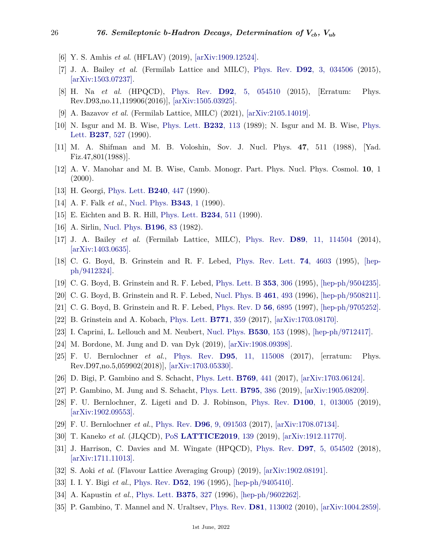- <span id="page-25-0"></span>[6] Y. S. Amhis *et al.* (HFLAV) (2019), [\[arXiv:1909.12524\].](https://arxiv.org/abs/1909.12524)
- <span id="page-25-1"></span>[7] J. A. Bailey *et al.* (Fermilab Lattice and MILC), [Phys. Rev.](http://doi.org/10.1103/PhysRevD.92.034506) **D92**[, 3, 034506](http://doi.org/10.1103/PhysRevD.92.034506) (2015), [\[arXiv:1503.07237\].](https://arxiv.org/abs/1503.07237)
- <span id="page-25-24"></span>[8] H. Na *et al.* (HPQCD), [Phys. Rev.](http://doi.org/10.1103/PhysRevD.93.119906) **D92**[, 5, 054510](http://doi.org/10.1103/PhysRevD.93.119906) (2015), [Erratum: Phys. Rev.D93,no.11,119906(2016)], [\[arXiv:1505.03925\].](https://arxiv.org/abs/1505.03925)
- <span id="page-25-2"></span>[9] A. Bazavov *et al.* (Fermilab Lattice, MILC) (2021), [\[arXiv:2105.14019\].](https://arxiv.org/abs/2105.14019)
- <span id="page-25-3"></span>[10] N. Isgur and M. B. Wise, [Phys. Lett.](http://doi.org/10.1016/0370-2693(89)90566-2) **[B232](http://doi.org/10.1016/0370-2693(89)90566-2)**, 113 (1989); N. Isgur and M. B. Wise, [Phys.](http://doi.org/10.1016/0370-2693(90)91219-2) [Lett.](http://doi.org/10.1016/0370-2693(90)91219-2) **[B237](http://doi.org/10.1016/0370-2693(90)91219-2)**, 527 (1990).
- <span id="page-25-4"></span>[11] M. A. Shifman and M. B. Voloshin, Sov. J. Nucl. Phys. **47**, 511 (1988), [Yad. Fiz.47,801(1988)].
- <span id="page-25-5"></span>[12] A. V. Manohar and M. B. Wise, Camb. Monogr. Part. Phys. Nucl. Phys. Cosmol. **10**, 1  $(2000).$
- [13] H. Georgi, [Phys. Lett.](http://doi.org/10.1016/0370-2693(90)91128-X) **[B240](http://doi.org/10.1016/0370-2693(90)91128-X)**, 447 (1990).
- <span id="page-25-6"></span>[14] A. F. Falk *et al.*, [Nucl. Phys.](http://doi.org/10.1016/0550-3213(90)90591-Z) **[B343](http://doi.org/10.1016/0550-3213(90)90591-Z)**, 1 (1990).
- [15] E. Eichten and B. R. Hill, [Phys. Lett.](http://doi.org/10.1016/0370-2693(90)92049-O) **[B234](http://doi.org/10.1016/0370-2693(90)92049-O)**, 511 (1990).
- <span id="page-25-7"></span>[16] A. Sirlin, [Nucl. Phys.](http://doi.org/10.1016/0550-3213(82)90303-0) **[B196](http://doi.org/10.1016/0550-3213(82)90303-0)**, 83 (1982).
- <span id="page-25-8"></span>[17] J. A. Bailey *et al.* (Fermilab Lattice, MILC), [Phys. Rev.](http://doi.org/10.1103/PhysRevD.89.114504) **D89**[, 11, 114504](http://doi.org/10.1103/PhysRevD.89.114504) (2014), [\[arXiv:1403.0635\].](https://arxiv.org/abs/1403.0635)
- <span id="page-25-9"></span>[18] C. G. Boyd, B. Grinstein and R. F. Lebed, [Phys. Rev. Lett.](http://doi.org/10.1103/PhysRevLett.74.4603) **74**[, 4603](http://doi.org/10.1103/PhysRevLett.74.4603) (1995), [\[hep](https://arxiv.org/abs/hep-ph/9412324)[ph/9412324\].](https://arxiv.org/abs/hep-ph/9412324)
- <span id="page-25-20"></span>[19] C. G. Boyd, B. Grinstein and R. F. Lebed, [Phys. Lett. B](http://doi.org/10.1016/0370-2693(95)00480-9) **353**[, 306](http://doi.org/10.1016/0370-2693(95)00480-9) (1995), [\[hep-ph/9504235\].](https://arxiv.org/abs/hep-ph/9504235)
- [20] C. G. Boyd, B. Grinstein and R. F. Lebed, [Nucl. Phys. B](http://doi.org/10.1016/0550-3213(95)00653-2) **461**[, 493](http://doi.org/10.1016/0550-3213(95)00653-2) (1996), [\[hep-ph/9508211\].](https://arxiv.org/abs/hep-ph/9508211)
- [21] C. G. Boyd, B. Grinstein and R. F. Lebed, [Phys. Rev. D](http://doi.org/10.1103/PhysRevD.56.6895) **56**[, 6895](http://doi.org/10.1103/PhysRevD.56.6895) (1997), [\[hep-ph/9705252\].](https://arxiv.org/abs/hep-ph/9705252)
- <span id="page-25-10"></span>[22] B. Grinstein and A. Kobach, [Phys. Lett.](http://doi.org/10.1016/j.physletb.2017.05.078) **[B771](http://doi.org/10.1016/j.physletb.2017.05.078)**, 359 (2017), [\[arXiv:1703.08170\].](https://arxiv.org/abs/1703.08170)
- <span id="page-25-12"></span><span id="page-25-11"></span>[23] I. Caprini, L. Lellouch and M. Neubert, [Nucl. Phys.](http://doi.org/10.1016/S0550-3213(98)00350-2) **[B530](http://doi.org/10.1016/S0550-3213(98)00350-2)**, 153 (1998), [\[hep-ph/9712417\].](https://arxiv.org/abs/hep-ph/9712417)
- <span id="page-25-25"></span>[24] M. Bordone, M. Jung and D. van Dyk (2019), [\[arXiv:1908.09398\].](https://arxiv.org/abs/1908.09398)
- [25] F. U. Bernlochner *et al.*, [Phys. Rev.](http://doi.org/10.1103/PhysRevD.95.115008) **D95**[, 11, 115008](http://doi.org/10.1103/PhysRevD.95.115008) (2017), [erratum: Phys. Rev.D97,no.5,059902(2018)], [\[arXiv:1703.05330\].](https://arxiv.org/abs/1703.05330)
- <span id="page-25-21"></span>[26] D. Bigi, P. Gambino and S. Schacht, [Phys. Lett.](http://doi.org/10.1016/j.physletb.2017.04.022) **[B769](http://doi.org/10.1016/j.physletb.2017.04.022)**, 441 (2017), [\[arXiv:1703.06124\].](https://arxiv.org/abs/1703.06124)
- <span id="page-25-22"></span>[27] P. Gambino, M. Jung and S. Schacht, [Phys. Lett.](http://doi.org/10.1016/j.physletb.2019.06.039) **[B795](http://doi.org/10.1016/j.physletb.2019.06.039)**, 386 (2019), [\[arXiv:1905.08209\].](https://arxiv.org/abs/1905.08209)
- <span id="page-25-23"></span>[28] F. U. Bernlochner, Z. Ligeti and D. J. Robinson, [Phys. Rev.](http://doi.org/10.1103/PhysRevD.100.013005) **D100**[, 1, 013005](http://doi.org/10.1103/PhysRevD.100.013005) (2019), [\[arXiv:1902.09553\].](https://arxiv.org/abs/1902.09553)
- <span id="page-25-13"></span>[29] F. U. Bernlochner *et al.*, [Phys. Rev.](http://doi.org/10.1103/PhysRevD.96.091503) **D96**[, 9, 091503](http://doi.org/10.1103/PhysRevD.96.091503) (2017), [\[arXiv:1708.07134\].](https://arxiv.org/abs/1708.07134)
- <span id="page-25-14"></span>[30] T. Kaneko *et al.* (JLQCD), [PoS](http://doi.org/10.22323/1.363.0139) **[LATTICE2019](http://doi.org/10.22323/1.363.0139)**, 139 (2019), [\[arXiv:1912.11770\].](https://arxiv.org/abs/1912.11770)
- <span id="page-25-15"></span>[31] J. Harrison, C. Davies and M. Wingate (HPQCD), [Phys. Rev.](http://doi.org/10.1103/PhysRevD.97.054502) **D97**[, 5, 054502](http://doi.org/10.1103/PhysRevD.97.054502) (2018), [\[arXiv:1711.11013\].](https://arxiv.org/abs/1711.11013)
- <span id="page-25-17"></span><span id="page-25-16"></span>[32] S. Aoki *et al.* (Flavour Lattice Averaging Group) (2019), [\[arXiv:1902.08191\].](https://arxiv.org/abs/1902.08191)
- <span id="page-25-19"></span>[33] I. I. Y. Bigi *et al.*, [Phys. Rev.](http://doi.org/10.1103/PhysRevD.52.196) **D52**[, 196](http://doi.org/10.1103/PhysRevD.52.196) (1995), [\[hep-ph/9405410\].](https://arxiv.org/abs/hep-ph/9405410)
- <span id="page-25-18"></span>[34] A. Kapustin *et al.*, [Phys. Lett.](http://doi.org/10.1016/0370-2693(96)00279-1) **[B375](http://doi.org/10.1016/0370-2693(96)00279-1)**, 327 (1996), [\[hep-ph/9602262\].](https://arxiv.org/abs/hep-ph/9602262)
- [35] P. Gambino, T. Mannel and N. Uraltsev, [Phys. Rev.](http://doi.org/10.1103/PhysRevD.81.113002) **D81**[, 113002](http://doi.org/10.1103/PhysRevD.81.113002) (2010), [\[arXiv:1004.2859\].](https://arxiv.org/abs/1004.2859)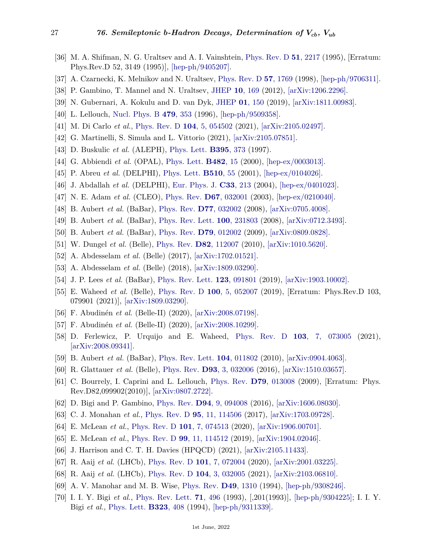- <span id="page-26-0"></span>[36] M. A. Shifman, N. G. Uraltsev and A. I. Vainshtein, [Phys. Rev. D](http://doi.org/10.1103/PhysRevD.52.3149) **51**[, 2217](http://doi.org/10.1103/PhysRevD.52.3149) (1995), [Erratum: Phys.Rev.D 52, 3149 (1995)], [\[hep-ph/9405207\].](https://arxiv.org/abs/hep-ph/9405207)
- <span id="page-26-1"></span>[37] A. Czarnecki, K. Melnikov and N. Uraltsev, [Phys. Rev. D](http://doi.org/10.1103/PhysRevD.57.1769) **57**[, 1769](http://doi.org/10.1103/PhysRevD.57.1769) (1998), [\[hep-ph/9706311\].](https://arxiv.org/abs/hep-ph/9706311)
- <span id="page-26-2"></span>[38] P. Gambino, T. Mannel and N. Uraltsev, [JHEP](http://doi.org/10.1007/JHEP10(2012)169) **10**[, 169](http://doi.org/10.1007/JHEP10(2012)169) (2012), [\[arXiv:1206.2296\].](https://arxiv.org/abs/1206.2296)
- <span id="page-26-3"></span>[39] N. Gubernari, A. Kokulu and D. van Dyk, [JHEP](http://doi.org/10.1007/JHEP01(2019)150) **01**[, 150](http://doi.org/10.1007/JHEP01(2019)150) (2019), [\[arXiv:1811.00983\].](https://arxiv.org/abs/1811.00983)
- <span id="page-26-4"></span>[40] L. Lellouch, [Nucl. Phys. B](http://doi.org/10.1016/0550-3213(96)00443-9) **479**[, 353](http://doi.org/10.1016/0550-3213(96)00443-9) (1996), [\[hep-ph/9509358\].](https://arxiv.org/abs/hep-ph/9509358)
- <span id="page-26-5"></span>[41] M. Di Carlo *et al.*, [Phys. Rev. D](http://doi.org/10.1103/PhysRevD.104.054502) **104**[, 5, 054502](http://doi.org/10.1103/PhysRevD.104.054502) (2021), [\[arXiv:2105.02497\].](https://arxiv.org/abs/2105.02497)
- <span id="page-26-6"></span>[42] G. Martinelli, S. Simula and L. Vittorio (2021), [\[arXiv:2105.07851\].](https://arxiv.org/abs/2105.07851)
- <span id="page-26-7"></span>[43] D. Buskulic *et al.* (ALEPH), [Phys. Lett.](http://doi.org/10.1016/S0370-2693(97)00071-3) **[B395](http://doi.org/10.1016/S0370-2693(97)00071-3)**, 373 (1997).
- [44] G. Abbiendi *et al.* (OPAL), [Phys. Lett.](http://doi.org/10.1016/S0370-2693(00)00457-3) **[B482](http://doi.org/10.1016/S0370-2693(00)00457-3)**, 15 (2000), [\[hep-ex/0003013\].](https://arxiv.org/abs/hep-ex/0003013)
- [45] P. Abreu *et al.* (DELPHI), [Phys. Lett.](http://doi.org/10.1016/S0370-2693(01)00569-X) **[B510](http://doi.org/10.1016/S0370-2693(01)00569-X)**, 55 (2001), [\[hep-ex/0104026\].](https://arxiv.org/abs/hep-ex/0104026)
- [46] J. Abdallah *et al.* (DELPHI), [Eur. Phys. J.](http://doi.org/10.1140/epjc/s2004-01598-6) **C33**[, 213](http://doi.org/10.1140/epjc/s2004-01598-6) (2004), [\[hep-ex/0401023\].](https://arxiv.org/abs/hep-ex/0401023)
- [47] N. E. Adam *et al.* (CLEO), [Phys. Rev.](http://doi.org/10.1103/PhysRevD.67.032001) **D67**[, 032001](http://doi.org/10.1103/PhysRevD.67.032001) (2003), [\[hep-ex/0210040\].](https://arxiv.org/abs/hep-ex/0210040)
- [48] B. Aubert *et al.* (BaBar), [Phys. Rev.](http://doi.org/10.1103/PhysRevD.77.032002) **D77**[, 032002](http://doi.org/10.1103/PhysRevD.77.032002) (2008), [\[arXiv:0705.4008\].](https://arxiv.org/abs/0705.4008)
- [49] B. Aubert *et al.* (BaBar), [Phys. Rev. Lett.](http://doi.org/10.1103/PhysRevLett.100.231803) **100**[, 231803](http://doi.org/10.1103/PhysRevLett.100.231803) (2008), [\[arXiv:0712.3493\].](https://arxiv.org/abs/0712.3493)
- <span id="page-26-14"></span>[50] B. Aubert *et al.* (BaBar), [Phys. Rev.](http://doi.org/10.1103/PhysRevD.79.012002) **D79**[, 012002](http://doi.org/10.1103/PhysRevD.79.012002) (2009), [\[arXiv:0809.0828\].](https://arxiv.org/abs/0809.0828)
- [51] W. Dungel *et al.* (Belle), [Phys. Rev.](http://doi.org/10.1103/PhysRevD.82.112007) **D82**[, 112007](http://doi.org/10.1103/PhysRevD.82.112007) (2010), [\[arXiv:1010.5620\].](https://arxiv.org/abs/1010.5620)
- [52] A. Abdesselam *et al.* (Belle) (2017), [\[arXiv:1702.01521\].](https://arxiv.org/abs/1702.01521)
- <span id="page-26-8"></span>[53] A. Abdesselam *et al.* (Belle) (2018), [\[arXiv:1809.03290\].](https://arxiv.org/abs/1809.03290)
- <span id="page-26-9"></span>[54] J. P. Lees *et al.* (BaBar), [Phys. Rev. Lett.](http://doi.org/10.1103/PhysRevLett.123.091801) **123**[, 091801](http://doi.org/10.1103/PhysRevLett.123.091801) (2019), [\[arXiv:1903.10002\].](https://arxiv.org/abs/1903.10002)
- <span id="page-26-10"></span>[55] E. Waheed *et al.* (Belle), [Phys. Rev. D](http://doi.org/10.1103/PhysRevD.100.052007) **100**[, 5, 052007](http://doi.org/10.1103/PhysRevD.100.052007) (2019), [Erratum: Phys.Rev.D 103, 079901 (2021)], [\[arXiv:1809.03290\].](https://arxiv.org/abs/1809.03290)
- <span id="page-26-12"></span><span id="page-26-11"></span>[56] F. Abudinén *et al.* (Belle-II) (2020), [\[arXiv:2008.07198\].](https://arxiv.org/abs/2008.07198)
- [57] F. Abudinén *et al.* (Belle-II) (2020), [\[arXiv:2008.10299\].](https://arxiv.org/abs/2008.10299)
- <span id="page-26-13"></span>[58] D. Ferlewicz, P. Urquijo and E. Waheed, [Phys. Rev. D](http://doi.org/10.1103/PhysRevD.103.073005) **103**[, 7, 073005](http://doi.org/10.1103/PhysRevD.103.073005) (2021), [\[arXiv:2008.09341\].](https://arxiv.org/abs/2008.09341)
- <span id="page-26-15"></span>[59] B. Aubert *et al.* (BaBar), [Phys. Rev. Lett.](http://doi.org/10.1103/PhysRevLett.104.011802) **104**[, 011802](http://doi.org/10.1103/PhysRevLett.104.011802) (2010), [\[arXiv:0904.4063\].](https://arxiv.org/abs/0904.4063)
- <span id="page-26-16"></span>[60] R. Glattauer *et al.* (Belle), [Phys. Rev.](http://doi.org/10.1103/PhysRevD.93.032006) **D93**[, 3, 032006](http://doi.org/10.1103/PhysRevD.93.032006) (2016), [\[arXiv:1510.03657\].](https://arxiv.org/abs/1510.03657)
- <span id="page-26-17"></span>[61] C. Bourrely, I. Caprini and L. Lellouch, [Phys. Rev.](http://doi.org/10.1103/PhysRevD.82.099902) **D79**[, 013008](http://doi.org/10.1103/PhysRevD.82.099902) (2009), [Erratum: Phys. Rev.D82,099902(2010)], [\[arXiv:0807.2722\].](https://arxiv.org/abs/0807.2722)
- <span id="page-26-18"></span>[62] D. Bigi and P. Gambino, [Phys. Rev.](http://doi.org/10.1103/PhysRevD.94.094008) **D94**[, 9, 094008](http://doi.org/10.1103/PhysRevD.94.094008) (2016), [\[arXiv:1606.08030\].](https://arxiv.org/abs/1606.08030)
- <span id="page-26-19"></span>[63] C. J. Monahan *et al.*, [Phys. Rev. D](http://doi.org/10.1103/PhysRevD.95.114506) **95**[, 11, 114506](http://doi.org/10.1103/PhysRevD.95.114506) (2017), [\[arXiv:1703.09728\].](https://arxiv.org/abs/1703.09728)
- <span id="page-26-20"></span>[64] E. McLean *et al.*, [Phys. Rev. D](http://doi.org/10.1103/PhysRevD.101.074513) **101**[, 7, 074513](http://doi.org/10.1103/PhysRevD.101.074513) (2020), [\[arXiv:1906.00701\].](https://arxiv.org/abs/1906.00701)
- <span id="page-26-21"></span>[65] E. McLean *et al.*, [Phys. Rev. D](http://doi.org/10.1103/PhysRevD.99.114512) **99**[, 11, 114512](http://doi.org/10.1103/PhysRevD.99.114512) (2019), [\[arXiv:1904.02046\].](https://arxiv.org/abs/1904.02046)
- <span id="page-26-22"></span>[66] J. Harrison and C. T. H. Davies (HPQCD) (2021), [\[arXiv:2105.11433\].](https://arxiv.org/abs/2105.11433)
- <span id="page-26-23"></span>[67] R. Aaij *et al.* (LHCb), [Phys. Rev. D](http://doi.org/10.1103/PhysRevD.101.072004) **101**[, 7, 072004](http://doi.org/10.1103/PhysRevD.101.072004) (2020), [\[arXiv:2001.03225\].](https://arxiv.org/abs/2001.03225)
- <span id="page-26-24"></span>[68] R. Aaij *et al.* (LHCb), [Phys. Rev. D](http://doi.org/10.1103/PhysRevD.104.032005) **104**[, 3, 032005](http://doi.org/10.1103/PhysRevD.104.032005) (2021), [\[arXiv:2103.06810\].](https://arxiv.org/abs/2103.06810)
- <span id="page-26-25"></span>[69] A. V. Manohar and M. B. Wise, [Phys. Rev.](http://doi.org/10.1103/PhysRevD.49.1310) **D49**[, 1310](http://doi.org/10.1103/PhysRevD.49.1310) (1994), [\[hep-ph/9308246\].](https://arxiv.org/abs/hep-ph/9308246)
- <span id="page-26-26"></span>[70] I. I. Y. Bigi *et al.*, [Phys. Rev. Lett.](http://doi.org/10.1103/PhysRevLett.71.496) **71**[, 496](http://doi.org/10.1103/PhysRevLett.71.496) (1993), [,201(1993)], [\[hep-ph/9304225\];](https://arxiv.org/abs/hep-ph/9304225) I. I. Y. Bigi *et al.*, [Phys. Lett.](http://doi.org/10.1016/0370-2693(94)91239-4) **[B323](http://doi.org/10.1016/0370-2693(94)91239-4)**, 408 (1994), [\[hep-ph/9311339\].](https://arxiv.org/abs/hep-ph/9311339)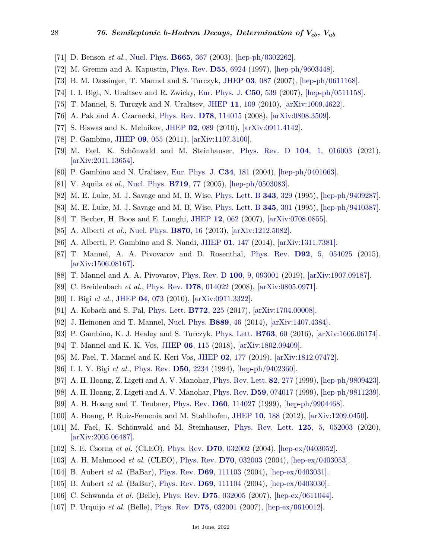- <span id="page-27-0"></span>[71] D. Benson *et al.*, [Nucl. Phys.](http://doi.org/10.1016/S0550-3213(03)00452-8) **[B665](http://doi.org/10.1016/S0550-3213(03)00452-8)**, 367 (2003), [\[hep-ph/0302262\].](https://arxiv.org/abs/hep-ph/0302262)
- <span id="page-27-1"></span>[72] M. Gremm and A. Kapustin, [Phys. Rev.](http://doi.org/10.1103/PhysRevD.55.6924) **D55**[, 6924](http://doi.org/10.1103/PhysRevD.55.6924) (1997), [\[hep-ph/9603448\].](https://arxiv.org/abs/hep-ph/9603448)
- [73] B. M. Dassinger, T. Mannel and S. Turczyk, [JHEP](http://doi.org/10.1088/1126-6708/2007/03/087) **03**[, 087](http://doi.org/10.1088/1126-6708/2007/03/087) (2007), [\[hep-ph/0611168\].](https://arxiv.org/abs/hep-ph/0611168)
- <span id="page-27-13"></span>[74] I. I. Bigi, N. Uraltsev and R. Zwicky, [Eur. Phys. J.](http://doi.org/10.1140/epjc/s10052-007-0216-8) **C50**[, 539](http://doi.org/10.1140/epjc/s10052-007-0216-8) (2007), [\[hep-ph/0511158\].](https://arxiv.org/abs/hep-ph/0511158)
- <span id="page-27-2"></span>[75] T. Mannel, S. Turczyk and N. Uraltsev, [JHEP](http://doi.org/10.1007/JHEP11(2010)109) **11**[, 109](http://doi.org/10.1007/JHEP11(2010)109) (2010), [\[arXiv:1009.4622\].](https://arxiv.org/abs/1009.4622)
- <span id="page-27-3"></span>[76] A. Pak and A. Czarnecki, [Phys. Rev.](http://doi.org/10.1103/PhysRevD.78.114015) **D78**[, 114015](http://doi.org/10.1103/PhysRevD.78.114015) (2008), [\[arXiv:0808.3509\].](https://arxiv.org/abs/0808.3509)
- [77] S. Biswas and K. Melnikov, [JHEP](http://doi.org/10.1007/JHEP02(2010)089) **02**[, 089](http://doi.org/10.1007/JHEP02(2010)089) (2010), [\[arXiv:0911.4142\].](https://arxiv.org/abs/0911.4142)
- <span id="page-27-4"></span>[78] P. Gambino, [JHEP](http://doi.org/10.1007/JHEP09(2011)055) **09**[, 055](http://doi.org/10.1007/JHEP09(2011)055) (2011), [\[arXiv:1107.3100\].](https://arxiv.org/abs/1107.3100)
- <span id="page-27-5"></span>[79] M. Fael, K. Schönwald and M. Steinhauser, [Phys. Rev. D](http://doi.org/10.1103/PhysRevD.104.016003) **104**[, 1, 016003](http://doi.org/10.1103/PhysRevD.104.016003) (2021), [\[arXiv:2011.13654\].](https://arxiv.org/abs/2011.13654)
- <span id="page-27-6"></span>[80] P. Gambino and N. Uraltsev, [Eur. Phys. J.](http://doi.org/10.1140/epjc/s2004-01671-2) **C34**[, 181](http://doi.org/10.1140/epjc/s2004-01671-2) (2004), [\[hep-ph/0401063\].](https://arxiv.org/abs/hep-ph/0401063)
- [81] V. Aquila *et al.*, [Nucl. Phys.](http://doi.org/10.1016/j.nuclphysb.2005.04.031) **[B719](http://doi.org/10.1016/j.nuclphysb.2005.04.031)**, 77 (2005), [\[hep-ph/0503083\].](https://arxiv.org/abs/hep-ph/0503083)
- [82] M. E. Luke, M. J. Savage and M. B. Wise, [Phys. Lett. B](http://doi.org/10.1016/0370-2693(94)01370-R) **343**[, 329](http://doi.org/10.1016/0370-2693(94)01370-R) (1995), [\[hep-ph/9409287\].](https://arxiv.org/abs/hep-ph/9409287)
- <span id="page-27-7"></span>[83] M. E. Luke, M. J. Savage and M. B. Wise, [Phys. Lett. B](http://doi.org/10.1016/0370-2693(94)01573-U) **345**[, 301](http://doi.org/10.1016/0370-2693(94)01573-U) (1995), [\[hep-ph/9410387\].](https://arxiv.org/abs/hep-ph/9410387)
- <span id="page-27-8"></span>[84] T. Becher, H. Boos and E. Lunghi, [JHEP](http://doi.org/10.1088/1126-6708/2007/12/062) **12**[, 062](http://doi.org/10.1088/1126-6708/2007/12/062) (2007), [\[arXiv:0708.0855\].](https://arxiv.org/abs/0708.0855)
- <span id="page-27-9"></span>[85] A. Alberti *et al.*, [Nucl. Phys.](http://doi.org/10.1016/j.nuclphysb.2013.01.005) **[B870](http://doi.org/10.1016/j.nuclphysb.2013.01.005)**, 16 (2013), [\[arXiv:1212.5082\].](https://arxiv.org/abs/1212.5082)
- <span id="page-27-10"></span>[86] A. Alberti, P. Gambino and S. Nandi, [JHEP](http://doi.org/10.1007/JHEP01(2014)147) **01**[, 147](http://doi.org/10.1007/JHEP01(2014)147) (2014), [\[arXiv:1311.7381\].](https://arxiv.org/abs/1311.7381)
- <span id="page-27-11"></span>[87] T. Mannel, A. A. Pivovarov and D. Rosenthal, [Phys. Rev.](http://doi.org/10.1103/PhysRevD.92.054025) **D92**[, 5, 054025](http://doi.org/10.1103/PhysRevD.92.054025) (2015), [\[arXiv:1506.08167\].](https://arxiv.org/abs/1506.08167)
- <span id="page-27-12"></span>[88] T. Mannel and A. A. Pivovarov, [Phys. Rev. D](http://doi.org/10.1103/PhysRevD.100.093001) **100**[, 9, 093001](http://doi.org/10.1103/PhysRevD.100.093001) (2019), [\[arXiv:1907.09187\].](https://arxiv.org/abs/1907.09187)
- <span id="page-27-14"></span>[89] C. Breidenbach *et al.*, [Phys. Rev.](http://doi.org/10.1103/PhysRevD.78.014022) **D78**[, 014022](http://doi.org/10.1103/PhysRevD.78.014022) (2008), [\[arXiv:0805.0971\].](https://arxiv.org/abs/0805.0971)
- <span id="page-27-15"></span>[90] I. Bigi *et al.*, [JHEP](http://doi.org/10.1007/JHEP04(2010)073) **04**[, 073](http://doi.org/10.1007/JHEP04(2010)073) (2010), [\[arXiv:0911.3322\].](https://arxiv.org/abs/0911.3322)
- <span id="page-27-16"></span>[91] A. Kobach and S. Pal, [Phys. Lett.](http://doi.org/10.1016/j.physletb.2017.06.026) **[B772](http://doi.org/10.1016/j.physletb.2017.06.026)**, 225 (2017), [\[arXiv:1704.00008\].](https://arxiv.org/abs/1704.00008)
- <span id="page-27-17"></span>[92] J. Heinonen and T. Mannel, [Nucl. Phys.](http://doi.org/10.1016/j.nuclphysb.2014.09.017) **[B889](http://doi.org/10.1016/j.nuclphysb.2014.09.017)**, 46 (2014), [\[arXiv:1407.4384\].](https://arxiv.org/abs/1407.4384)
- <span id="page-27-18"></span>[93] P. Gambino, K. J. Healey and S. Turczyk, [Phys. Lett.](http://doi.org/10.1016/j.physletb.2016.10.023) **[B763](http://doi.org/10.1016/j.physletb.2016.10.023)**, 60 (2016), [\[arXiv:1606.06174\].](https://arxiv.org/abs/1606.06174)
- <span id="page-27-19"></span>[94] T. Mannel and K. K. Vos, [JHEP](http://doi.org/10.1007/JHEP06(2018)115) **06**[, 115](http://doi.org/10.1007/JHEP06(2018)115) (2018), [\[arXiv:1802.09409\].](https://arxiv.org/abs/1802.09409)
- <span id="page-27-20"></span>[95] M. Fael, T. Mannel and K. Keri Vos, [JHEP](http://doi.org/10.1007/JHEP02(2019)177) **02**[, 177](http://doi.org/10.1007/JHEP02(2019)177) (2019), [\[arXiv:1812.07472\].](https://arxiv.org/abs/1812.07472)
- <span id="page-27-21"></span>[96] I. I. Y. Bigi *et al.*, [Phys. Rev.](http://doi.org/10.1103/PhysRevD.50.2234) **D50**[, 2234](http://doi.org/10.1103/PhysRevD.50.2234) (1994), [\[hep-ph/9402360\].](https://arxiv.org/abs/hep-ph/9402360)
- <span id="page-27-22"></span>[97] A. H. Hoang, Z. Ligeti and A. V. Manohar, [Phys. Rev. Lett.](http://doi.org/10.1103/PhysRevLett.82.277) **82**[, 277](http://doi.org/10.1103/PhysRevLett.82.277) (1999), [\[hep-ph/9809423\].](https://arxiv.org/abs/hep-ph/9809423)
- <span id="page-27-27"></span>[98] A. H. Hoang, Z. Ligeti and A. V. Manohar, [Phys. Rev.](http://doi.org/10.1103/PhysRevD.59.074017) **D59**[, 074017](http://doi.org/10.1103/PhysRevD.59.074017) (1999), [\[hep-ph/9811239\].](https://arxiv.org/abs/hep-ph/9811239)
- <span id="page-27-23"></span>[99] A. H. Hoang and T. Teubner, [Phys. Rev.](http://doi.org/10.1103/PhysRevD.60.114027) **D60**[, 114027](http://doi.org/10.1103/PhysRevD.60.114027) (1999), [\[hep-ph/9904468\].](https://arxiv.org/abs/hep-ph/9904468)
- <span id="page-27-24"></span>[100] A. Hoang, P. Ruiz-Femenia and M. Stahlhofen, [JHEP](http://doi.org/10.1007/JHEP10(2012)188) **10**[, 188](http://doi.org/10.1007/JHEP10(2012)188) (2012), [\[arXiv:1209.0450\].](https://arxiv.org/abs/1209.0450)
- <span id="page-27-25"></span>[101] M. Fael, K. Schönwald and M. Steinhauser, [Phys. Rev. Lett.](http://doi.org/10.1103/PhysRevLett.125.052003) **125**[, 5, 052003](http://doi.org/10.1103/PhysRevLett.125.052003) (2020), [\[arXiv:2005.06487\].](https://arxiv.org/abs/2005.06487)
- <span id="page-27-26"></span>[102] S. E. Csorna *et al.* (CLEO), [Phys. Rev.](http://doi.org/10.1103/PhysRevD.70.032002) **D70**[, 032002](http://doi.org/10.1103/PhysRevD.70.032002) (2004), [\[hep-ex/0403052\].](https://arxiv.org/abs/hep-ex/0403052)
- [103] A. H. Mahmood *et al.* (CLEO), [Phys. Rev.](http://doi.org/10.1103/PhysRevD.70.032003) **D70**[, 032003](http://doi.org/10.1103/PhysRevD.70.032003) (2004), [\[hep-ex/0403053\].](https://arxiv.org/abs/hep-ex/0403053)
- [104] B. Aubert *et al.* (BaBar), [Phys. Rev.](http://doi.org/10.1103/PhysRevD.69.111103) **D69**[, 111103](http://doi.org/10.1103/PhysRevD.69.111103) (2004), [\[hep-ex/0403031\].](https://arxiv.org/abs/hep-ex/0403031)
- [105] B. Aubert *et al.* (BaBar), [Phys. Rev.](http://doi.org/10.1103/PhysRevD.69.111104) **D69**[, 111104](http://doi.org/10.1103/PhysRevD.69.111104) (2004), [\[hep-ex/0403030\].](https://arxiv.org/abs/hep-ex/0403030)
- [106] C. Schwanda *et al.* (Belle), [Phys. Rev.](http://doi.org/10.1103/PhysRevD.75.032005) **D75**[, 032005](http://doi.org/10.1103/PhysRevD.75.032005) (2007), [\[hep-ex/0611044\].](https://arxiv.org/abs/hep-ex/0611044)
- [107] P. Urquijo *et al.* (Belle), [Phys. Rev.](http://doi.org/10.1103/PhysRevD.75.032001) **D75**[, 032001](http://doi.org/10.1103/PhysRevD.75.032001) (2007), [\[hep-ex/0610012\].](https://arxiv.org/abs/hep-ex/0610012)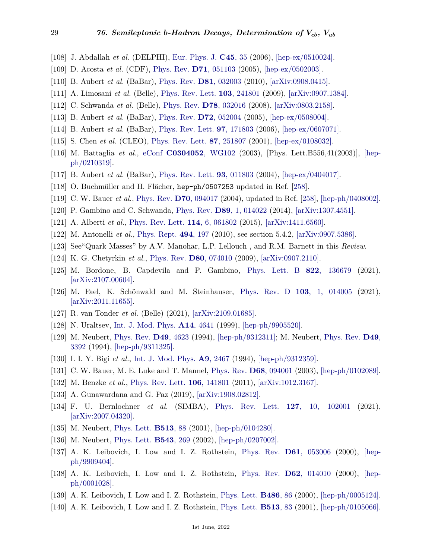- [108] J. Abdallah *et al.* (DELPHI), [Eur. Phys. J.](http://doi.org/10.1140/epjc/s2005-02406-7) **[C45](http://doi.org/10.1140/epjc/s2005-02406-7)**, 35 (2006), [\[hep-ex/0510024\].](https://arxiv.org/abs/hep-ex/0510024)
- [109] D. Acosta *et al.* (CDF), [Phys. Rev.](http://doi.org/10.1103/PhysRevD.71.051103) **D71**[, 051103](http://doi.org/10.1103/PhysRevD.71.051103) (2005), [\[hep-ex/0502003\].](https://arxiv.org/abs/hep-ex/0502003)
- <span id="page-28-0"></span>[110] B. Aubert *et al.* (BaBar), [Phys. Rev.](http://doi.org/10.1103/PhysRevD.81.032003) **D81**[, 032003](http://doi.org/10.1103/PhysRevD.81.032003) (2010), [\[arXiv:0908.0415\].](https://arxiv.org/abs/0908.0415)
- <span id="page-28-1"></span>[111] A. Limosani *et al.* (Belle), [Phys. Rev. Lett.](http://doi.org/10.1103/PhysRevLett.103.241801) **103**[, 241801](http://doi.org/10.1103/PhysRevLett.103.241801) (2009), [\[arXiv:0907.1384\].](https://arxiv.org/abs/0907.1384)
- <span id="page-28-3"></span>[112] C. Schwanda *et al.* (Belle), [Phys. Rev.](http://doi.org/10.1103/PhysRevD.78.032016) **D78**[, 032016](http://doi.org/10.1103/PhysRevD.78.032016) (2008), [\[arXiv:0803.2158\].](https://arxiv.org/abs/0803.2158)
- [113] B. Aubert *et al.* (BaBar), [Phys. Rev.](http://doi.org/10.1103/PhysRevD.72.052004) **D72**[, 052004](http://doi.org/10.1103/PhysRevD.72.052004) (2005), [\[hep-ex/0508004\].](https://arxiv.org/abs/hep-ex/0508004)
- [114] B. Aubert *et al.* (BaBar), [Phys. Rev. Lett.](http://doi.org/10.1103/PhysRevLett.97.171803) **97**[, 171803](http://doi.org/10.1103/PhysRevLett.97.171803) (2006), [\[hep-ex/0607071\].](https://arxiv.org/abs/hep-ex/0607071)
- <span id="page-28-2"></span>[115] S. Chen *et al.* (CLEO), [Phys. Rev. Lett.](http://doi.org/10.1103/PhysRevLett.87.251807) **87**[, 251807](http://doi.org/10.1103/PhysRevLett.87.251807) (2001), [\[hep-ex/0108032\].](https://arxiv.org/abs/hep-ex/0108032)
- <span id="page-28-4"></span>[116] M. Battaglia *et al.*, [eConf](http://doi.org/10.1016/S0370-2693(03)00042-X) **[C0304052](http://doi.org/10.1016/S0370-2693(03)00042-X)**, WG102 (2003), [Phys. Lett.B556,41(2003)], [\[hep](https://arxiv.org/abs/hep-ph/0210319)[ph/0210319\].](https://arxiv.org/abs/hep-ph/0210319)
- [117] B. Aubert *et al.* (BaBar), [Phys. Rev. Lett.](http://doi.org/10.1103/PhysRevLett.93.011803) **93**[, 011803](http://doi.org/10.1103/PhysRevLett.93.011803) (2004), [\[hep-ex/0404017\].](https://arxiv.org/abs/hep-ex/0404017)
- <span id="page-28-10"></span>[118] O. Buchmüller and H. Flächer, hep-ph/0507253 updated in Ref. [\[258\]](#page-32-12).
- [119] C. W. Bauer *et al.*, [Phys. Rev.](http://doi.org/10.1103/PhysRevD.70.094017) **D70**[, 094017](http://doi.org/10.1103/PhysRevD.70.094017) (2004), updated in Ref. [\[258\]](#page-32-12), [\[hep-ph/0408002\].](https://arxiv.org/abs/hep-ph/0408002)
- <span id="page-28-8"></span>[120] P. Gambino and C. Schwanda, [Phys. Rev.](http://doi.org/10.1103/PhysRevD.89.014022) **D89**[, 1, 014022](http://doi.org/10.1103/PhysRevD.89.014022) (2014), [\[arXiv:1307.4551\].](https://arxiv.org/abs/1307.4551)
- <span id="page-28-5"></span>[121] A. Alberti *et al.*, [Phys. Rev. Lett.](http://doi.org/10.1103/PhysRevLett.114.061802) **114**[, 6, 061802](http://doi.org/10.1103/PhysRevLett.114.061802) (2015), [\[arXiv:1411.6560\].](https://arxiv.org/abs/1411.6560)
- <span id="page-28-6"></span>[122] M. Antonelli *et al.*, [Phys. Rept.](http://doi.org/10.1016/j.physrep.2010.05.003) **494**[, 197](http://doi.org/10.1016/j.physrep.2010.05.003) (2010), see section 5.4.2, [\[arXiv:0907.5386\].](https://arxiv.org/abs/0907.5386)
- <span id="page-28-7"></span>[123] See"Quark Masses" by A.V. Manohar, L.P. Lellouch , and R.M. Barnett in this *Review*.
- <span id="page-28-9"></span>[124] K. G. Chetyrkin *et al.*, [Phys. Rev.](http://doi.org/10.1103/PhysRevD.80.074010) **D80**[, 074010](http://doi.org/10.1103/PhysRevD.80.074010) (2009), [\[arXiv:0907.2110\].](https://arxiv.org/abs/0907.2110)
- <span id="page-28-11"></span>[125] M. Bordone, B. Capdevila and P. Gambino, [Phys. Lett. B](http://doi.org/10.1016/j.physletb.2021.136679) **822**[, 136679](http://doi.org/10.1016/j.physletb.2021.136679) (2021), [\[arXiv:2107.00604\].](https://arxiv.org/abs/2107.00604)
- <span id="page-28-12"></span>[126] M. Fael, K. Schönwald and M. Steinhauser, [Phys. Rev. D](http://doi.org/10.1103/PhysRevD.103.014005) **103**[, 1, 014005](http://doi.org/10.1103/PhysRevD.103.014005) (2021), [\[arXiv:2011.11655\].](https://arxiv.org/abs/2011.11655)
- <span id="page-28-13"></span>[127] R. van Tonder *et al.* (Belle) (2021), [\[arXiv:2109.01685\].](https://arxiv.org/abs/2109.01685)
- <span id="page-28-14"></span>[128] N. Uraltsev, [Int. J. Mod. Phys.](http://doi.org/10.1142/S0217751X99002177) **A14**[, 4641](http://doi.org/10.1142/S0217751X99002177) (1999), [\[hep-ph/9905520\].](https://arxiv.org/abs/hep-ph/9905520)
- <span id="page-28-15"></span>[129] M. Neubert, [Phys. Rev.](http://doi.org/10.1103/PhysRevD.49.4623) **D49**[, 4623](http://doi.org/10.1103/PhysRevD.49.4623) (1994), [\[hep-ph/9312311\];](https://arxiv.org/abs/hep-ph/9312311) M. Neubert, [Phys. Rev.](http://doi.org/10.1103/PhysRevD.49.3392) **[D49](http://doi.org/10.1103/PhysRevD.49.3392)**, [3392](http://doi.org/10.1103/PhysRevD.49.3392) (1994), [\[hep-ph/9311325\].](https://arxiv.org/abs/hep-ph/9311325)
- <span id="page-28-17"></span><span id="page-28-16"></span>[130] I. I. Y. Bigi *et al.*, [Int. J. Mod. Phys.](http://doi.org/10.1142/S0217751X94000996) **A9**[, 2467](http://doi.org/10.1142/S0217751X94000996) (1994), [\[hep-ph/9312359\].](https://arxiv.org/abs/hep-ph/9312359)
- <span id="page-28-18"></span>[131] C. W. Bauer, M. E. Luke and T. Mannel, [Phys. Rev.](http://doi.org/10.1103/PhysRevD.68.094001) **D68**[, 094001](http://doi.org/10.1103/PhysRevD.68.094001) (2003), [\[hep-ph/0102089\].](https://arxiv.org/abs/hep-ph/0102089)
- [132] M. Benzke *et al.*, [Phys. Rev. Lett.](http://doi.org/10.1103/PhysRevLett.106.141801) **106**[, 141801](http://doi.org/10.1103/PhysRevLett.106.141801) (2011), [\[arXiv:1012.3167\].](https://arxiv.org/abs/1012.3167)
- [133] A. Gunawardana and G. Paz (2019), [\[arXiv:1908.02812\].](https://arxiv.org/abs/1908.02812)
- <span id="page-28-19"></span>[134] F. U. Bernlochner *et al.* (SIMBA), [Phys. Rev. Lett.](http://doi.org/10.1103/PhysRevLett.127.102001) **127**[, 10, 102001](http://doi.org/10.1103/PhysRevLett.127.102001) (2021), [\[arXiv:2007.04320\].](https://arxiv.org/abs/2007.04320)
- <span id="page-28-20"></span>[135] M. Neubert, [Phys. Lett.](http://doi.org/10.1016/S0370-2693(01)00668-2) **[B513](http://doi.org/10.1016/S0370-2693(01)00668-2)**, 88 (2001), [\[hep-ph/0104280\].](https://arxiv.org/abs/hep-ph/0104280)
- [136] M. Neubert, [Phys. Lett.](http://doi.org/10.1016/S0370-2693(02)02462-0) **[B543](http://doi.org/10.1016/S0370-2693(02)02462-0)**, 269 (2002), [\[hep-ph/0207002\].](https://arxiv.org/abs/hep-ph/0207002)
- [137] A. K. Leibovich, I. Low and I. Z. Rothstein, [Phys. Rev.](http://doi.org/10.1103/PhysRevD.61.053006) **D61**[, 053006](http://doi.org/10.1103/PhysRevD.61.053006) (2000), [\[hep](https://arxiv.org/abs/hep-ph/9909404)[ph/9909404\].](https://arxiv.org/abs/hep-ph/9909404)
- [138] A. K. Leibovich, I. Low and I. Z. Rothstein, [Phys. Rev.](http://doi.org/10.1103/PhysRevD.62.014010) **D62**[, 014010](http://doi.org/10.1103/PhysRevD.62.014010) (2000), [\[hep](https://arxiv.org/abs/hep-ph/0001028)[ph/0001028\].](https://arxiv.org/abs/hep-ph/0001028)
- [139] A. K. Leibovich, I. Low and I. Z. Rothstein, [Phys. Lett.](http://doi.org/10.1016/S0370-2693(00)00756-5) **[B486](http://doi.org/10.1016/S0370-2693(00)00756-5)**, 86 (2000), [\[hep-ph/0005124\].](https://arxiv.org/abs/hep-ph/0005124)
- [140] A. K. Leibovich, I. Low and I. Z. Rothstein, [Phys. Lett.](http://doi.org/10.1016/S0370-2693(01)00667-0) **[B513](http://doi.org/10.1016/S0370-2693(01)00667-0)**, 83 (2001), [\[hep-ph/0105066\].](https://arxiv.org/abs/hep-ph/0105066)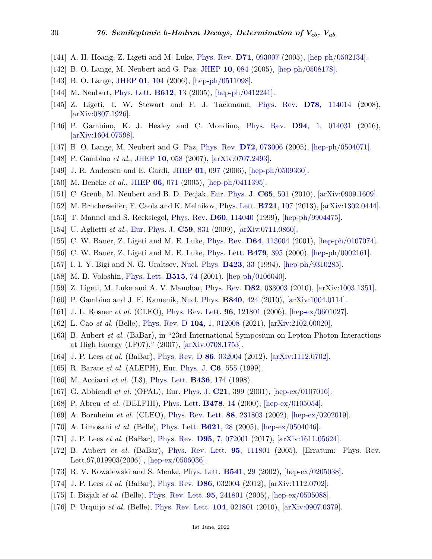- [141] A. H. Hoang, Z. Ligeti and M. Luke, [Phys. Rev.](http://doi.org/10.1103/PhysRevD.71.093007) **D71**[, 093007](http://doi.org/10.1103/PhysRevD.71.093007) (2005), [\[hep-ph/0502134\].](https://arxiv.org/abs/hep-ph/0502134)
- [142] B. O. Lange, M. Neubert and G. Paz, [JHEP](http://doi.org/10.1088/1126-6708/2005/10/084) **10**[, 084](http://doi.org/10.1088/1126-6708/2005/10/084) (2005), [\[hep-ph/0508178\].](https://arxiv.org/abs/hep-ph/0508178)
- <span id="page-29-0"></span>[143] B. O. Lange, [JHEP](http://doi.org/10.1088/1126-6708/2006/01/104) **01**[, 104](http://doi.org/10.1088/1126-6708/2006/01/104) (2006), [\[hep-ph/0511098\].](https://arxiv.org/abs/hep-ph/0511098)
- <span id="page-29-1"></span>[144] M. Neubert, [Phys. Lett.](http://doi.org/10.1016/j.physletb.2005.02.055) **[B612](http://doi.org/10.1016/j.physletb.2005.02.055)**, 13 (2005), [\[hep-ph/0412241\].](https://arxiv.org/abs/hep-ph/0412241)
- <span id="page-29-2"></span>[145] Z. Ligeti, I. W. Stewart and F. J. Tackmann, [Phys. Rev.](http://doi.org/10.1103/PhysRevD.78.114014) **D78**[, 114014](http://doi.org/10.1103/PhysRevD.78.114014) (2008), [\[arXiv:0807.1926\].](https://arxiv.org/abs/0807.1926)
- <span id="page-29-3"></span>[146] P. Gambino, K. J. Healey and C. Mondino, [Phys. Rev.](http://doi.org/10.1103/PhysRevD.94.014031) **D94**[, 1, 014031](http://doi.org/10.1103/PhysRevD.94.014031) (2016), [\[arXiv:1604.07598\].](https://arxiv.org/abs/1604.07598)
- <span id="page-29-4"></span>[147] B. O. Lange, M. Neubert and G. Paz, [Phys. Rev.](http://doi.org/10.1103/PhysRevD.72.073006) **D72**[, 073006](http://doi.org/10.1103/PhysRevD.72.073006) (2005), [\[hep-ph/0504071\].](https://arxiv.org/abs/hep-ph/0504071)
- <span id="page-29-5"></span>[148] P. Gambino *et al.*, [JHEP](http://doi.org/10.1088/1126-6708/2007/10/058) **10**[, 058](http://doi.org/10.1088/1126-6708/2007/10/058) (2007), [\[arXiv:0707.2493\].](https://arxiv.org/abs/0707.2493)
- <span id="page-29-6"></span>[149] J. R. Andersen and E. Gardi, [JHEP](http://doi.org/10.1088/1126-6708/2006/01/097) **01**[, 097](http://doi.org/10.1088/1126-6708/2006/01/097) (2006), [\[hep-ph/0509360\].](https://arxiv.org/abs/hep-ph/0509360)
- <span id="page-29-7"></span>[150] M. Beneke *et al.*, [JHEP](http://doi.org/10.1088/1126-6708/2005/06/071) **06**[, 071](http://doi.org/10.1088/1126-6708/2005/06/071) (2005), [\[hep-ph/0411395\].](https://arxiv.org/abs/hep-ph/0411395)
- <span id="page-29-8"></span>[151] C. Greub, M. Neubert and B. D. Pecjak, [Eur. Phys. J.](http://doi.org/10.1140/epjc/s10052-009-1210-0) **C65**[, 501](http://doi.org/10.1140/epjc/s10052-009-1210-0) (2010), [\[arXiv:0909.1609\].](https://arxiv.org/abs/0909.1609)
- <span id="page-29-9"></span>[152] M. Brucherseifer, F. Caola and K. Melnikov, [Phys. Lett.](http://doi.org/10.1016/j.physletb.2013.03.006) **[B721](http://doi.org/10.1016/j.physletb.2013.03.006)**, 107 (2013), [\[arXiv:1302.0444\].](https://arxiv.org/abs/1302.0444)
- <span id="page-29-10"></span>[153] T. Mannel and S. Recksiegel, [Phys. Rev.](http://doi.org/10.1103/PhysRevD.60.114040) **D60**[, 114040](http://doi.org/10.1103/PhysRevD.60.114040) (1999), [\[hep-ph/9904475\].](https://arxiv.org/abs/hep-ph/9904475)
- <span id="page-29-11"></span>[154] U. Aglietti *et al.*, [Eur. Phys. J.](http://doi.org/10.1140/epjc/s10052-008-0817-x) **C59**[, 831](http://doi.org/10.1140/epjc/s10052-008-0817-x) (2009), [\[arXiv:0711.0860\].](https://arxiv.org/abs/0711.0860)
- <span id="page-29-12"></span>[155] C. W. Bauer, Z. Ligeti and M. E. Luke, [Phys. Rev.](http://doi.org/10.1103/PhysRevD.64.113004) **D64**[, 113004](http://doi.org/10.1103/PhysRevD.64.113004) (2001), [\[hep-ph/0107074\].](https://arxiv.org/abs/hep-ph/0107074)
- <span id="page-29-13"></span>[156] C. W. Bauer, Z. Ligeti and M. E. Luke, [Phys. Lett.](http://doi.org/10.1016/S0370-2693(00)00318-X) **[B479](http://doi.org/10.1016/S0370-2693(00)00318-X)**, 395 (2000), [\[hep-ph/0002161\].](https://arxiv.org/abs/hep-ph/0002161)
- <span id="page-29-14"></span>[157] I. I. Y. Bigi and N. G. Uraltsev, [Nucl. Phys.](http://doi.org/10.1016/0550-3213(94)90564-9) **[B423](http://doi.org/10.1016/0550-3213(94)90564-9)**, 33 (1994), [\[hep-ph/9310285\].](https://arxiv.org/abs/hep-ph/9310285)
- <span id="page-29-15"></span>[158] M. B. Voloshin, [Phys. Lett.](http://doi.org/10.1016/S0370-2693(01)00812-7) **[B515](http://doi.org/10.1016/S0370-2693(01)00812-7)**, 74 (2001), [\[hep-ph/0106040\].](https://arxiv.org/abs/hep-ph/0106040)
- <span id="page-29-16"></span>[159] Z. Ligeti, M. Luke and A. V. Manohar, [Phys. Rev.](http://doi.org/10.1103/PhysRevD.82.033003) **D82**[, 033003](http://doi.org/10.1103/PhysRevD.82.033003) (2010), [\[arXiv:1003.1351\].](https://arxiv.org/abs/1003.1351)
- <span id="page-29-17"></span>[160] P. Gambino and J. F. Kamenik, [Nucl. Phys.](http://doi.org/10.1016/j.nuclphysb.2010.07.019) **[B840](http://doi.org/10.1016/j.nuclphysb.2010.07.019)**, 424 (2010), [\[arXiv:1004.0114\].](https://arxiv.org/abs/1004.0114)
- <span id="page-29-18"></span>[161] J. L. Rosner *et al.* (CLEO), [Phys. Rev. Lett.](http://doi.org/10.1103/PhysRevLett.96.121801) **96**[, 121801](http://doi.org/10.1103/PhysRevLett.96.121801) (2006), [\[hep-ex/0601027\].](https://arxiv.org/abs/hep-ex/0601027)
- <span id="page-29-19"></span>[162] L. Cao *et al.* (Belle), [Phys. Rev. D](http://doi.org/10.1103/PhysRevD.104.012008) **104**[, 1, 012008](http://doi.org/10.1103/PhysRevD.104.012008) (2021), [\[arXiv:2102.00020\].](https://arxiv.org/abs/2102.00020)
- [163] B. Aubert *et al.* (BaBar), in "23rd International Symposium on Lepton-Photon Interactions at High Energy (LP07)," (2007), [\[arXiv:0708.1753\].](https://arxiv.org/abs/0708.1753)
- <span id="page-29-20"></span>[164] J. P. Lees *et al.* (BaBar), [Phys. Rev. D](http://doi.org/10.1103/PhysRevD.86.032004) **86**[, 032004](http://doi.org/10.1103/PhysRevD.86.032004) (2012), [\[arXiv:1112.0702\].](https://arxiv.org/abs/1112.0702)
- <span id="page-29-21"></span>[165] R. Barate *et al.* (ALEPH), [Eur. Phys. J.](http://doi.org/10.1007/s100529801031) **C6**[, 555](http://doi.org/10.1007/s100529801031) (1999).
- [166] M. Acciarri *et al.* (L3), [Phys. Lett.](http://doi.org/10.1016/S0370-2693(98)00941-1) **[B436](http://doi.org/10.1016/S0370-2693(98)00941-1)**, 174 (1998).
- [167] G. Abbiendi *et al.* (OPAL), [Eur. Phys. J.](http://doi.org/10.1007/s100520100764) **C21**[, 399](http://doi.org/10.1007/s100520100764) (2001), [\[hep-ex/0107016\].](https://arxiv.org/abs/hep-ex/0107016)
- <span id="page-29-22"></span>[168] P. Abreu *et al.* (DELPHI), [Phys. Lett.](http://doi.org/10.1016/S0370-2693(00)00281-1) **[B478](http://doi.org/10.1016/S0370-2693(00)00281-1)**, 14 (2000), [\[hep-ex/0105054\].](https://arxiv.org/abs/hep-ex/0105054)
- <span id="page-29-23"></span>[169] A. Bornheim *et al.* (CLEO), [Phys. Rev. Lett.](http://doi.org/10.1103/PhysRevLett.88.231803) **88**[, 231803](http://doi.org/10.1103/PhysRevLett.88.231803) (2002), [\[hep-ex/0202019\].](https://arxiv.org/abs/hep-ex/0202019)
- <span id="page-29-24"></span>[170] A. Limosani *et al.* (Belle), [Phys. Lett.](http://doi.org/10.1016/j.physletb.2005.06.011) **[B621](http://doi.org/10.1016/j.physletb.2005.06.011)**, 28 (2005), [\[hep-ex/0504046\].](https://arxiv.org/abs/hep-ex/0504046)
- <span id="page-29-25"></span>[171] J. P. Lees *et al.* (BaBar), [Phys. Rev.](http://doi.org/10.1103/PhysRevD.95.072001) **D95**[, 7, 072001](http://doi.org/10.1103/PhysRevD.95.072001) (2017), [\[arXiv:1611.05624\].](https://arxiv.org/abs/1611.05624)
- <span id="page-29-26"></span>[172] B. Aubert *et al.* (BaBar), [Phys. Rev. Lett.](http://doi.org/10.1103/PhysRevLett.97.019903) **95**[, 111801](http://doi.org/10.1103/PhysRevLett.97.019903) (2005), [Erratum: Phys. Rev. Lett.97,019903(2006)], [\[hep-ex/0506036\].](https://arxiv.org/abs/hep-ex/0506036)
- <span id="page-29-27"></span>[173] R. V. Kowalewski and S. Menke, [Phys. Lett.](http://doi.org/10.1016/S0370-2693(02)02181-0) **[B541](http://doi.org/10.1016/S0370-2693(02)02181-0)**, 29 (2002), [\[hep-ex/0205038\].](https://arxiv.org/abs/hep-ex/0205038)
- <span id="page-29-28"></span>[174] J. P. Lees *et al.* (BaBar), [Phys. Rev.](http://doi.org/10.1103/PhysRevD.86.032004) **D86**[, 032004](http://doi.org/10.1103/PhysRevD.86.032004) (2012), [\[arXiv:1112.0702\].](https://arxiv.org/abs/1112.0702)
- <span id="page-29-29"></span>[175] I. Bizjak *et al.* (Belle), [Phys. Rev. Lett.](http://doi.org/10.1103/PhysRevLett.95.241801) **95**[, 241801](http://doi.org/10.1103/PhysRevLett.95.241801) (2005), [\[hep-ex/0505088\].](https://arxiv.org/abs/hep-ex/0505088)
- <span id="page-29-30"></span>[176] P. Urquijo *et al.* (Belle), [Phys. Rev. Lett.](http://doi.org/10.1103/PhysRevLett.104.021801) **104**[, 021801](http://doi.org/10.1103/PhysRevLett.104.021801) (2010), [\[arXiv:0907.0379\].](https://arxiv.org/abs/0907.0379)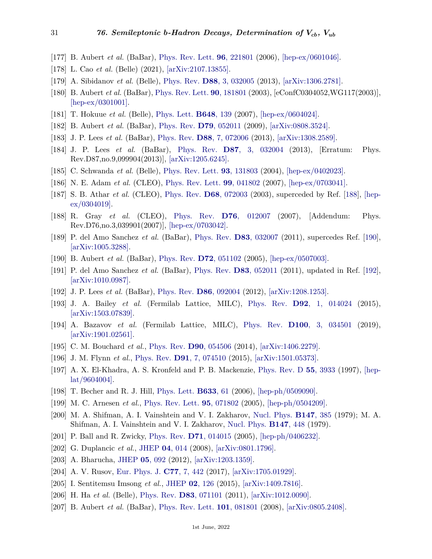- <span id="page-30-0"></span>[177] B. Aubert *et al.* (BaBar), [Phys. Rev. Lett.](http://doi.org/10.1103/PhysRevLett.96.221801) **96**[, 221801](http://doi.org/10.1103/PhysRevLett.96.221801) (2006), [\[hep-ex/0601046\].](https://arxiv.org/abs/hep-ex/0601046)
- <span id="page-30-1"></span>[178] L. Cao *et al.* (Belle) (2021), [\[arXiv:2107.13855\].](https://arxiv.org/abs/2107.13855)
- <span id="page-30-2"></span>[179] A. Sibidanov *et al.* (Belle), [Phys. Rev.](http://doi.org/10.1103/PhysRevD.88.032005) **D88**[, 3, 032005](http://doi.org/10.1103/PhysRevD.88.032005) (2013), [\[arXiv:1306.2781\].](https://arxiv.org/abs/1306.2781)
- [180] B. Aubert *et al.* (BaBar), [Phys. Rev. Lett.](http://doi.org/10.1103/PhysRevLett.90.181801) **90**[, 181801](http://doi.org/10.1103/PhysRevLett.90.181801) (2003), [eConfC0304052,WG117(2003)], [\[hep-ex/0301001\].](https://arxiv.org/abs/hep-ex/0301001)
- <span id="page-30-21"></span>[181] T. Hokuue *et al.* (Belle), [Phys. Lett.](http://doi.org/10.1016/j.physletb.2007.02.067) **[B648](http://doi.org/10.1016/j.physletb.2007.02.067)**, 139 (2007), [\[hep-ex/0604024\].](https://arxiv.org/abs/hep-ex/0604024)
- [182] B. Aubert *et al.* (BaBar), [Phys. Rev.](http://doi.org/10.1103/PhysRevD.79.052011) **D79**[, 052011](http://doi.org/10.1103/PhysRevD.79.052011) (2009), [\[arXiv:0808.3524\].](https://arxiv.org/abs/0808.3524)
- [183] J. P. Lees *et al.* (BaBar), [Phys. Rev.](http://doi.org/10.1103/PhysRevD.88.072006) **D88**[, 7, 072006](http://doi.org/10.1103/PhysRevD.88.072006) (2013), [\[arXiv:1308.2589\].](https://arxiv.org/abs/1308.2589)
- [184] J. P. Lees *et al.* (BaBar), [Phys. Rev.](http://doi.org/10.1103/PhysRevD.87.099904) **D87**[, 3, 032004](http://doi.org/10.1103/PhysRevD.87.099904) (2013), [Erratum: Phys. Rev.D87,no.9,099904(2013)], [\[arXiv:1205.6245\].](https://arxiv.org/abs/1205.6245)
- [185] C. Schwanda *et al.* (Belle), [Phys. Rev. Lett.](http://doi.org/10.1103/PhysRevLett.93.131803) **93**[, 131803](http://doi.org/10.1103/PhysRevLett.93.131803) (2004), [\[hep-ex/0402023\].](https://arxiv.org/abs/hep-ex/0402023)
- <span id="page-30-17"></span>[186] N. E. Adam *et al.* (CLEO), [Phys. Rev. Lett.](http://doi.org/10.1103/PhysRevLett.99.041802) **99**[, 041802](http://doi.org/10.1103/PhysRevLett.99.041802) (2007), [\[hep-ex/0703041\].](https://arxiv.org/abs/hep-ex/0703041)
- [187] S. B. Athar *et al.* (CLEO), [Phys. Rev.](http://doi.org/10.1103/PhysRevD.68.072003) **D68**[, 072003](http://doi.org/10.1103/PhysRevD.68.072003) (2003), superceded by Ref. [\[188\]](#page-30-18), [\[hep](https://arxiv.org/abs/hep-ex/0304019) $ex/0304019$ .
- <span id="page-30-18"></span>[188] R. Gray *et al.* (CLEO), [Phys. Rev.](http://doi.org/10.1103/PhysRevD.76.039901) **D76**[, 012007](http://doi.org/10.1103/PhysRevD.76.039901) (2007), [Addendum: Phys. Rev.D76,no.3,039901(2007)], [\[hep-ex/0703042\].](https://arxiv.org/abs/hep-ex/0703042)
- <span id="page-30-19"></span>[189] P. del Amo Sanchez *et al.* (BaBar), [Phys. Rev.](http://doi.org/10.1103/PhysRevD.83.032007) **D83**[, 032007](http://doi.org/10.1103/PhysRevD.83.032007) (2011), supercedes Ref. [\[190\]](#page-30-23), [\[arXiv:1005.3288\].](https://arxiv.org/abs/1005.3288)
- <span id="page-30-23"></span>[190] B. Aubert *et al.* (BaBar), [Phys. Rev.](http://doi.org/10.1103/PhysRevD.72.051102) **D72**[, 051102](http://doi.org/10.1103/PhysRevD.72.051102) (2005), [\[hep-ex/0507003\].](https://arxiv.org/abs/hep-ex/0507003)
- [191] P. del Amo Sanchez *et al.* (BaBar), [Phys. Rev.](http://doi.org/10.1103/PhysRevD.83.052011) **D83**[, 052011](http://doi.org/10.1103/PhysRevD.83.052011) (2011), updated in Ref. [\[192\]](#page-30-3), [\[arXiv:1010.0987\].](https://arxiv.org/abs/1010.0987)
- <span id="page-30-4"></span><span id="page-30-3"></span>[192] J. P. Lees *et al.* (BaBar), [Phys. Rev.](http://doi.org/10.1103/PhysRevD.86.092004) **D86**[, 092004](http://doi.org/10.1103/PhysRevD.86.092004) (2012), [\[arXiv:1208.1253\].](https://arxiv.org/abs/1208.1253)
- [193] J. A. Bailey *et al.* (Fermilab Lattice, MILC), [Phys. Rev.](http://doi.org/10.1103/PhysRevD.92.014024) **D92**[, 1, 014024](http://doi.org/10.1103/PhysRevD.92.014024) (2015), [\[arXiv:1503.07839\].](https://arxiv.org/abs/1503.07839)
- <span id="page-30-5"></span>[194] A. Bazavov *et al.* (Fermilab Lattice, MILC), [Phys. Rev.](http://doi.org/10.1103/PhysRevD.100.034501) **D100**[, 3, 034501](http://doi.org/10.1103/PhysRevD.100.034501) (2019), [\[arXiv:1901.02561\].](https://arxiv.org/abs/1901.02561)
- <span id="page-30-6"></span>[195] C. M. Bouchard *et al.*, [Phys. Rev.](http://doi.org/10.1103/PhysRevD.90.054506) **D90**[, 054506](http://doi.org/10.1103/PhysRevD.90.054506) (2014), [\[arXiv:1406.2279\].](https://arxiv.org/abs/1406.2279)
- <span id="page-30-7"></span>[196] J. M. Flynn *et al.*, [Phys. Rev.](http://doi.org/10.1103/PhysRevD.91.074510) **D91**[, 7, 074510](http://doi.org/10.1103/PhysRevD.91.074510) (2015), [\[arXiv:1501.05373\].](https://arxiv.org/abs/1501.05373)
- <span id="page-30-8"></span>[197] A. X. El-Khadra, A. S. Kronfeld and P. B. Mackenzie, [Phys. Rev. D](http://doi.org/10.1103/PhysRevD.55.3933) **55**[, 3933](http://doi.org/10.1103/PhysRevD.55.3933) (1997), [\[hep](https://arxiv.org/abs/hep-lat/9604004)[lat/9604004\].](https://arxiv.org/abs/hep-lat/9604004)
- <span id="page-30-9"></span>[198] T. Becher and R. J. Hill, [Phys. Lett.](http://doi.org/10.1016/j.physletb.2005.11.063) **[B633](http://doi.org/10.1016/j.physletb.2005.11.063)**, 61 (2006), [\[hep-ph/0509090\].](https://arxiv.org/abs/hep-ph/0509090)
- <span id="page-30-10"></span>[199] M. C. Arnesen *et al.*, [Phys. Rev. Lett.](http://doi.org/10.1103/PhysRevLett.95.071802) **95**[, 071802](http://doi.org/10.1103/PhysRevLett.95.071802) (2005), [\[hep-ph/0504209\].](https://arxiv.org/abs/hep-ph/0504209)
- <span id="page-30-11"></span>[200] M. A. Shifman, A. I. Vainshtein and V. I. Zakharov, [Nucl. Phys.](http://doi.org/10.1016/0550-3213(79)90022-1) **[B147](http://doi.org/10.1016/0550-3213(79)90022-1)**, 385 (1979); M. A. Shifman, A. I. Vainshtein and V. I. Zakharov, [Nucl. Phys.](http://doi.org/10.1016/0550-3213(79)90023-3) **[B147](http://doi.org/10.1016/0550-3213(79)90023-3)**, 448 (1979).
- <span id="page-30-12"></span>[201] P. Ball and R. Zwicky, [Phys. Rev.](http://doi.org/10.1103/PhysRevD.71.014015) **D71**[, 014015](http://doi.org/10.1103/PhysRevD.71.014015) (2005), [\[hep-ph/0406232\].](https://arxiv.org/abs/hep-ph/0406232)
- <span id="page-30-13"></span>[202] G. Duplancic *et al.*, [JHEP](http://doi.org/10.1088/1126-6708/2008/04/014) **04**[, 014](http://doi.org/10.1088/1126-6708/2008/04/014) (2008), [\[arXiv:0801.1796\].](https://arxiv.org/abs/0801.1796)
- <span id="page-30-15"></span><span id="page-30-14"></span>[203] A. Bharucha, [JHEP](http://doi.org/10.1007/JHEP05(2012)092) **05**[, 092](http://doi.org/10.1007/JHEP05(2012)092) (2012), [\[arXiv:1203.1359\].](https://arxiv.org/abs/1203.1359)
- [204] A. V. Rusov, [Eur. Phys. J.](http://doi.org/10.1140/epjc/s10052-017-5000-9) **C77**[, 7, 442](http://doi.org/10.1140/epjc/s10052-017-5000-9) (2017), [\[arXiv:1705.01929\].](https://arxiv.org/abs/1705.01929)
- <span id="page-30-16"></span>[205] I. Sentitemsu Imsong *et al.*, [JHEP](http://doi.org/10.1007/JHEP02(2015)126) **02**[, 126](http://doi.org/10.1007/JHEP02(2015)126) (2015), [\[arXiv:1409.7816\].](https://arxiv.org/abs/1409.7816)
- <span id="page-30-20"></span>[206] H. Ha *et al.* (Belle), [Phys. Rev.](http://doi.org/10.1103/PhysRevD.83.071101) **D83**[, 071101](http://doi.org/10.1103/PhysRevD.83.071101) (2011), [\[arXiv:1012.0090\].](https://arxiv.org/abs/1012.0090)
- <span id="page-30-22"></span>[207] B. Aubert *et al.* (BaBar), [Phys. Rev. Lett.](http://doi.org/10.1103/PhysRevLett.101.081801) **101**[, 081801](http://doi.org/10.1103/PhysRevLett.101.081801) (2008), [\[arXiv:0805.2408\].](https://arxiv.org/abs/0805.2408)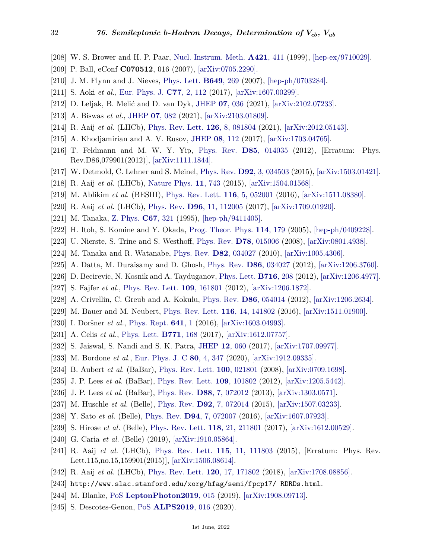- <span id="page-31-0"></span>[208] W. S. Brower and H. P. Paar, [Nucl. Instrum. Meth.](http://doi.org/10.1016/S0168-9002(98)01141-3) **[A421](http://doi.org/10.1016/S0168-9002(98)01141-3)**, 411 (1999), [\[hep-ex/9710029\].](https://arxiv.org/abs/hep-ex/9710029)
- <span id="page-31-1"></span>[209] P. Ball, eConf **C070512**, 016 (2007), [\[arXiv:0705.2290\].](https://arxiv.org/abs/0705.2290)
- <span id="page-31-2"></span>[210] J. M. Flynn and J. Nieves, [Phys. Lett.](http://doi.org/10.1016/j.physletb.2007.04.028) **[B649](http://doi.org/10.1016/j.physletb.2007.04.028)**, 269 (2007), [\[hep-ph/0703284\].](https://arxiv.org/abs/hep-ph/0703284)
- <span id="page-31-3"></span>[211] S. Aoki *et al.*, [Eur. Phys. J.](http://doi.org/10.1140/epjc/s10052-016-4509-7) **C77**[, 2, 112](http://doi.org/10.1140/epjc/s10052-016-4509-7) (2017), [\[arXiv:1607.00299\].](https://arxiv.org/abs/1607.00299)
- <span id="page-31-4"></span>[212] D. Leljak, B. Melić and D. van Dyk, [JHEP](http://doi.org/10.1007/JHEP07(2021)036) **07**[, 036](http://doi.org/10.1007/JHEP07(2021)036) (2021), [\[arXiv:2102.07233\].](https://arxiv.org/abs/2102.07233)
- <span id="page-31-5"></span>[213] A. Biswas *et al.*, [JHEP](http://doi.org/10.1007/JHEP07(2021)082) **07**[, 082](http://doi.org/10.1007/JHEP07(2021)082) (2021), [\[arXiv:2103.01809\].](https://arxiv.org/abs/2103.01809)
- <span id="page-31-6"></span>[214] R. Aaij *et al.* (LHCb), [Phys. Rev. Lett.](http://doi.org/10.1103/PhysRevLett.126.081804) **126**[, 8, 081804](http://doi.org/10.1103/PhysRevLett.126.081804) (2021), [\[arXiv:2012.05143\].](https://arxiv.org/abs/2012.05143)
- <span id="page-31-7"></span>[215] A. Khodjamirian and A. V. Rusov, [JHEP](http://doi.org/10.1007/JHEP08(2017)112) **08**[, 112](http://doi.org/10.1007/JHEP08(2017)112) (2017), [\[arXiv:1703.04765\].](https://arxiv.org/abs/1703.04765)
- <span id="page-31-8"></span>[216] T. Feldmann and M. W. Y. Yip, [Phys. Rev.](http://doi.org/10.1103/PhysRevD.85.014035) **D85**[, 014035](http://doi.org/10.1103/PhysRevD.85.014035) (2012), [Erratum: Phys. Rev.D86,079901(2012)], [\[arXiv:1111.1844\].](https://arxiv.org/abs/1111.1844)
- <span id="page-31-9"></span>[217] W. Detmold, C. Lehner and S. Meinel, [Phys. Rev.](http://doi.org/10.1103/PhysRevD.92.034503) **D92**[, 3, 034503](http://doi.org/10.1103/PhysRevD.92.034503) (2015), [\[arXiv:1503.01421\].](https://arxiv.org/abs/1503.01421)
- <span id="page-31-10"></span>[218] R. Aaij *et al.* (LHCb), [Nature Phys.](http://doi.org/10.1038/nphys3415) **11**[, 743](http://doi.org/10.1038/nphys3415) (2015), [\[arXiv:1504.01568\].](https://arxiv.org/abs/1504.01568)
- <span id="page-31-11"></span>[219] M. Ablikim *et al.* (BESIII), [Phys. Rev. Lett.](http://doi.org/10.1103/PhysRevLett.116.052001) **116**[, 5, 052001](http://doi.org/10.1103/PhysRevLett.116.052001) (2016), [\[arXiv:1511.08380\].](https://arxiv.org/abs/1511.08380)
- <span id="page-31-12"></span>[220] R. Aaij *et al.* (LHCb), [Phys. Rev.](http://doi.org/10.1103/PhysRevD.96.112005) **D96**[, 11, 112005](http://doi.org/10.1103/PhysRevD.96.112005) (2017), [\[arXiv:1709.01920\].](https://arxiv.org/abs/1709.01920)
- <span id="page-31-13"></span>[221] M. Tanaka, [Z. Phys.](http://doi.org/10.1007/BF01571294) **C67**[, 321](http://doi.org/10.1007/BF01571294) (1995), [\[hep-ph/9411405\].](https://arxiv.org/abs/hep-ph/9411405)
- [222] H. Itoh, S. Komine and Y. Okada, [Prog. Theor. Phys.](http://doi.org/10.1143/PTP.114.179) **114**[, 179](http://doi.org/10.1143/PTP.114.179) (2005), [\[hep-ph/0409228\].](https://arxiv.org/abs/hep-ph/0409228)
- [223] U. Nierste, S. Trine and S. Westhoff, [Phys. Rev.](http://doi.org/10.1103/PhysRevD.78.015006) **D78**[, 015006](http://doi.org/10.1103/PhysRevD.78.015006) (2008), [\[arXiv:0801.4938\].](https://arxiv.org/abs/0801.4938)
- <span id="page-31-14"></span>[224] M. Tanaka and R. Watanabe, [Phys. Rev.](http://doi.org/10.1103/PhysRevD.82.034027) **D82**[, 034027](http://doi.org/10.1103/PhysRevD.82.034027) (2010), [\[arXiv:1005.4306\].](https://arxiv.org/abs/1005.4306)
- <span id="page-31-15"></span>[225] A. Datta, M. Duraisamy and D. Ghosh, [Phys. Rev.](http://doi.org/10.1103/PhysRevD.86.034027) **D86**[, 034027](http://doi.org/10.1103/PhysRevD.86.034027) (2012), [\[arXiv:1206.3760\].](https://arxiv.org/abs/1206.3760)
- [226] D. Becirevic, N. Kosnik and A. Tayduganov, [Phys. Lett.](http://doi.org/10.1016/j.physletb.2012.08.016) **[B716](http://doi.org/10.1016/j.physletb.2012.08.016)**, 208 (2012), [\[arXiv:1206.4977\].](https://arxiv.org/abs/1206.4977)
- [227] S. Fajfer *et al.*, [Phys. Rev. Lett.](http://doi.org/10.1103/PhysRevLett.109.161801) **109**[, 161801](http://doi.org/10.1103/PhysRevLett.109.161801) (2012), [\[arXiv:1206.1872\].](https://arxiv.org/abs/1206.1872)
- <span id="page-31-22"></span>[228] A. Crivellin, C. Greub and A. Kokulu, [Phys. Rev.](http://doi.org/10.1103/PhysRevD.86.054014) **D86**[, 054014](http://doi.org/10.1103/PhysRevD.86.054014) (2012), [\[arXiv:1206.2634\].](https://arxiv.org/abs/1206.2634)
- [229] M. Bauer and M. Neubert, [Phys. Rev. Lett.](http://doi.org/10.1103/PhysRevLett.116.141802) **116**[, 14, 141802](http://doi.org/10.1103/PhysRevLett.116.141802) (2016), [\[arXiv:1511.01900\].](https://arxiv.org/abs/1511.01900)
- [230] I. Doršner *et al.*, [Phys. Rept.](http://doi.org/10.1016/j.physrep.2016.06.001) **[641](http://doi.org/10.1016/j.physrep.2016.06.001)**, 1 (2016), [\[arXiv:1603.04993\].](https://arxiv.org/abs/1603.04993)
- <span id="page-31-16"></span>[231] A. Celis *et al.*, [Phys. Lett.](http://doi.org/10.1016/j.physletb.2017.05.037) **[B771](http://doi.org/10.1016/j.physletb.2017.05.037)**, 168 (2017), [\[arXiv:1612.07757\].](https://arxiv.org/abs/1612.07757)
- <span id="page-31-17"></span>[232] S. Jaiswal, S. Nandi and S. K. Patra, [JHEP](http://doi.org/10.1007/JHEP12(2017)060) **12**[, 060](http://doi.org/10.1007/JHEP12(2017)060) (2017), [\[arXiv:1707.09977\].](https://arxiv.org/abs/1707.09977)
- <span id="page-31-18"></span>[233] M. Bordone *et al.*, [Eur. Phys. J. C](http://doi.org/10.1140/epjc/s10052-020-7850-9) **80**[, 4, 347](http://doi.org/10.1140/epjc/s10052-020-7850-9) (2020), [\[arXiv:1912.09335\].](https://arxiv.org/abs/1912.09335)
- <span id="page-31-19"></span>[234] B. Aubert *et al.* (BaBar), [Phys. Rev. Lett.](http://doi.org/10.1103/PhysRevLett.100.021801) **100**[, 021801](http://doi.org/10.1103/PhysRevLett.100.021801) (2008), [\[arXiv:0709.1698\].](https://arxiv.org/abs/0709.1698)
- <span id="page-31-29"></span>[235] J. P. Lees *et al.* (BaBar), [Phys. Rev. Lett.](http://doi.org/10.1103/PhysRevLett.109.101802) **109**[, 101802](http://doi.org/10.1103/PhysRevLett.109.101802) (2012), [\[arXiv:1205.5442\].](https://arxiv.org/abs/1205.5442)
- <span id="page-31-27"></span>[236] J. P. Lees *et al.* (BaBar), [Phys. Rev.](http://doi.org/10.1103/PhysRevD.88.072012) **D88**[, 7, 072012](http://doi.org/10.1103/PhysRevD.88.072012) (2013), [\[arXiv:1303.0571\].](https://arxiv.org/abs/1303.0571)
- <span id="page-31-28"></span>[237] M. Huschle *et al.* (Belle), [Phys. Rev.](http://doi.org/10.1103/PhysRevD.92.072014) **D92**[, 7, 072014](http://doi.org/10.1103/PhysRevD.92.072014) (2015), [\[arXiv:1507.03233\].](https://arxiv.org/abs/1507.03233)
- [238] Y. Sato *et al.* (Belle), [Phys. Rev.](http://doi.org/10.1103/PhysRevD.94.072007) **D94**[, 7, 072007](http://doi.org/10.1103/PhysRevD.94.072007) (2016), [\[arXiv:1607.07923\].](https://arxiv.org/abs/1607.07923)
- <span id="page-31-25"></span>[239] S. Hirose *et al.* (Belle), [Phys. Rev. Lett.](http://doi.org/10.1103/PhysRevLett.118.211801) **118**[, 21, 211801](http://doi.org/10.1103/PhysRevLett.118.211801) (2017), [\[arXiv:1612.00529\].](https://arxiv.org/abs/1612.00529)
- <span id="page-31-24"></span>[240] G. Caria *et al.* (Belle) (2019), [\[arXiv:1910.05864\].](https://arxiv.org/abs/1910.05864)
- <span id="page-31-26"></span>[241] R. Aaij *et al.* (LHCb), [Phys. Rev. Lett.](http://doi.org/10.1103/PhysRevLett.115.159901) **115**[, 11, 111803](http://doi.org/10.1103/PhysRevLett.115.159901) (2015), [Erratum: Phys. Rev. Lett.115,no.15,159901(2015)], [\[arXiv:1506.08614\].](https://arxiv.org/abs/1506.08614)
- <span id="page-31-20"></span>[242] R. Aaij *et al.* (LHCb), [Phys. Rev. Lett.](http://doi.org/10.1103/PhysRevLett.120.171802) **120**[, 17, 171802](http://doi.org/10.1103/PhysRevLett.120.171802) (2018), [\[arXiv:1708.08856\].](https://arxiv.org/abs/1708.08856)
- <span id="page-31-23"></span><span id="page-31-21"></span>[243] http://www.slac.stanford.edu/xorg/hfag/semi/fpcp17/ RDRDs.html.
- [244] M. Blanke, [PoS](http://doi.org/10.22323/1.367.0015) **[LeptonPhoton2019](http://doi.org/10.22323/1.367.0015)**, 015 (2019), [\[arXiv:1908.09713\].](https://arxiv.org/abs/1908.09713)
- [245] S. Descotes-Genon, [PoS](http://doi.org/10.22323/1.360.0016) **[ALPS2019](http://doi.org/10.22323/1.360.0016)**, 016 (2020).